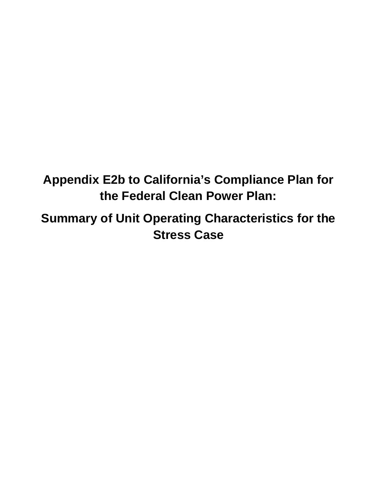**Appendix E2b to California's Compliance Plan for the Federal Clean Power Plan:** 

 **Summary of Unit Operating Characteristics for the Stress Case**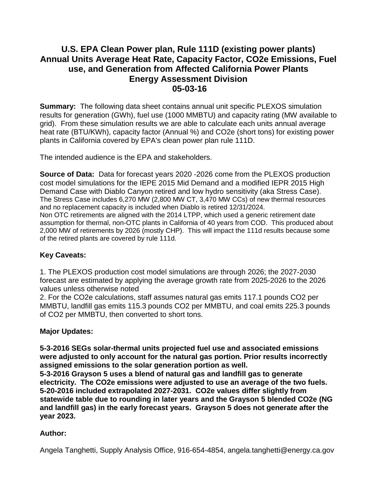## **05-03-16 U.S. EPA Clean Power plan, Rule 111D (existing power plants) Annual Units Average Heat Rate, Capacity Factor, CO2e Emissions, Fuel use, and Generation from Affected California Power Plants Energy Assessment Division**

 **Summary:** The following data sheet contains annual unit specific PLEXOS simulation results for generation (GWh), fuel use (1000 MMBTU) and capacity rating (MW available to heat rate (BTU/KWh), capacity factor (Annual %) and CO2e (short tons) for existing power plants in California covered by EPA's clean power plan rule 111D.<br>The intended audience is the EPA and stakeholders. grid). From these simulation results we are able to calculate each units annual average

 The Stress Case includes 6,270 MW (2,800 MW CT, 3,470 MW CCs) of new thermal resources and no replacement capacity is included when Diablo is retired 12/31/2024. and no replacement capacity is included when Diablo is retired 12/31/2024.<br>Non OTC retirements are aligned with the 2014 LTPP, which used a generic retirement date assumption for thermal, non-OTC plants in California of 40 years from COD. This produced about 2,000 MW of retirements by 2026 (mostly CHP). This will impact the 111d results because some **Source of Data:** Data for forecast years 2020 -2026 come from the PLEXOS production cost model simulations for the IEPE 2015 Mid Demand and a modified IEPR 2015 High Demand Case with Diablo Canyon retired and low hydro sensitivity (aka Stress Case).

of the retired plants are covered by rule 111d.

## **Key Caveats:**

1. The PLEXOS production cost model simulations are through 2026; the 2027-2030 forecast are estimated by applying the average growth rate from 2025-2026 to the 2026 values unless otherwise noted

2. For the CO2e calculations, staff assumes natural gas emits 117.1 pounds CO2 per MMBTU, landfill gas emits 115.3 pounds CO2 per MMBTU, and coal emits 225.3 pounds of CO2 per MMBTU, then converted to short tons.

## **Major Updates:**

**5-3-2016 SEGs solar-thermal units projected fuel use and associated emissions were adjusted to only account for the natural gas portion. Prior results incorrectly assigned emissions to the solar generation portion as well.** 

**5-3-2016 Grayson 5 uses a blend of natural gas and landfill gas to generate electricity. The CO2e emissions were adjusted to use an average of the two fuels. 5-20-2016 included extrapolated 2027-2031. CO2e values differ slightly from statewide table due to rounding in later years and the Grayson 5 blended CO2e (NG and landfill gas) in the early forecast years. Grayson 5 does not generate after the year 2023.** 

## **Author:**

Angela Tanghetti, Supply Analysis Office, 916-654-4854, [angela.tanghetti@energy.ca.gov](mailto:angela.tanghetti@energy.ca.gov)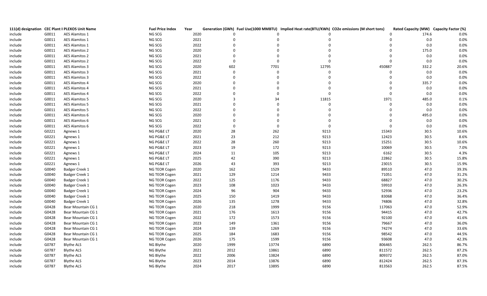|         |       | 111(d) designation CEC Plant II PLEXOS Unit Name | <b>Fuel Price Index</b> | Year |             |             |             | Generation (GWh) Fuel Use(1000 MMBTU) Implied Heat rate(BTU/KWh) CO2e emissions (M short tons) | Rated Capacity (MW) Capacity Factor (%) |       |
|---------|-------|--------------------------------------------------|-------------------------|------|-------------|-------------|-------------|------------------------------------------------------------------------------------------------|-----------------------------------------|-------|
| include | G0011 | <b>AES Alamitos 1</b>                            | NG SCG                  | 2020 |             |             |             |                                                                                                | 174.6                                   | 0.0%  |
| include | G0011 | <b>AES Alamitos 1</b>                            | NG SCG                  | 2021 |             |             |             |                                                                                                | 0.0                                     | 0.0%  |
| include | G0011 | <b>AES Alamitos 1</b>                            | NG SCG                  | 2022 | $\Omega$    |             | $\Omega$    |                                                                                                | $0.0\,$                                 | 0.0%  |
| include | G0011 | <b>AES Alamitos 2</b>                            | NG SCG                  | 2020 | $\Omega$    | $\Omega$    | $\Omega$    |                                                                                                | 175.0                                   | 0.0%  |
| include | G0011 | <b>AES Alamitos 2</b>                            | NG SCG                  | 2021 |             | $\Omega$    | $\Omega$    | $\Omega$                                                                                       | $0.0\,$                                 | 0.0%  |
| include | G0011 | <b>AES Alamitos 2</b>                            | NG SCG                  | 2022 | $\Omega$    | $\Omega$    | $\mathbf 0$ | $\Omega$                                                                                       | 0.0                                     | 0.0%  |
| include | G0011 | <b>AES Alamitos 3</b>                            | NG SCG                  | 2020 | 602         | 7701        | 12795       | 450887                                                                                         | 332.2                                   | 20.6% |
| include | G0011 | <b>AES Alamitos 3</b>                            | NG SCG                  | 2021 | $\mathbf 0$ | $\mathbf 0$ | $\mathbf 0$ | $\Omega$                                                                                       | $0.0\,$                                 | 0.0%  |
| include | G0011 | <b>AES Alamitos 3</b>                            | NG SCG                  | 2022 | $\mathbf 0$ | $\Omega$    | $\Omega$    | $\Omega$                                                                                       | 0.0                                     | 0.0%  |
| include | G0011 | <b>AES Alamitos 4</b>                            | NG SCG                  | 2020 | $\Omega$    | $\Omega$    | $\Omega$    | $\Omega$                                                                                       | 335.7                                   | 0.0%  |
| include | G0011 | <b>AES Alamitos 4</b>                            | NG SCG                  | 2021 |             | $\Omega$    | $\mathbf 0$ | $\Omega$                                                                                       | 0.0                                     | 0.0%  |
| include | G0011 | <b>AES Alamitos 4</b>                            | NG SCG                  | 2022 | $\Omega$    | $\Omega$    | $\mathbf 0$ | $\Omega$                                                                                       | 0.0                                     | 0.0%  |
| include | G0011 | <b>AES Alamitos 5</b>                            | NG SCG                  | 2020 | 3           | 34          | 11815       | 1971                                                                                           | 485.0                                   | 0.1%  |
| include | G0011 | <b>AES Alamitos 5</b>                            | NG SCG                  | 2021 |             | $\Omega$    | $\mathbf 0$ | $\Omega$                                                                                       | 0.0                                     | 0.0%  |
| include | G0011 | <b>AES Alamitos 5</b>                            | NG SCG                  | 2022 |             |             | $\Omega$    |                                                                                                | 0.0                                     | 0.0%  |
| include | G0011 | <b>AES Alamitos 6</b>                            | NG SCG                  | 2020 | $\Omega$    |             |             |                                                                                                | 495.0                                   | 0.0%  |
| include | G0011 | <b>AES Alamitos 6</b>                            | NG SCG                  | 2021 |             | $\Omega$    | $\Omega$    | $\Omega$                                                                                       | 0.0                                     | 0.0%  |
| include | G0011 | AES Alamitos 6                                   | NG SCG                  | 2022 | $\mathbf 0$ | $\mathbf 0$ | $\mathbf 0$ | $\Omega$                                                                                       | 0.0                                     | 0.0%  |
| include | G0221 | Agnews 1                                         | NG PG&E LT              | 2020 | 28          | 262         | 9213        | 15343                                                                                          | 30.5                                    | 10.6% |
| include | G0221 | Agnews 1                                         | NG PG&E LT              | 2021 | 23          | 212         | 9213        | 12423                                                                                          | $30.5\,$                                | 8.6%  |
| include | G0221 | Agnews 1                                         | NG PG&E LT              | 2022 | 28          | 260         | 9213        | 15251                                                                                          | 30.5                                    | 10.6% |
| include | G0221 | Agnews 1                                         | NG PG&E LT              | 2023 | 19          | 172         | 9213        | 10069                                                                                          | 30.5                                    | 7.0%  |
| include | G0221 | Agnews 1                                         | NG PG&E LT              | 2024 | 11          | 105         | 9213        | 6162                                                                                           | 30.5                                    | 4.3%  |
| include | G0221 | Agnews 1                                         | NG PG&E LT              | 2025 | 42          | 390         | 9213        | 22862                                                                                          | 30.5                                    | 15.8% |
| include | G0221 | Agnews 1                                         | NG PG&E LT              | 2026 | 43          | 393         | 9213        | 23015                                                                                          | 30.5                                    | 15.9% |
| include | G0040 | Badger Creek 1                                   | NG TEOR Cogen           | 2020 | 162         | 1529        | 9433        | 89510                                                                                          | 47.0                                    | 39.3% |
| include | G0040 | Badger Creek 1                                   | NG TEOR Cogen           | 2021 | 129         | 1214        | 9433        | 71051                                                                                          | 47.0                                    | 31.2% |
| include | G0040 | Badger Creek 1                                   | NG TEOR Cogen           | 2022 | 125         | 1176        | 9433        | 68827                                                                                          | 47.0                                    | 30.2% |
| include | G0040 | Badger Creek 1                                   | NG TEOR Cogen           | 2023 | 108         | 1023        | 9433        | 59910                                                                                          | 47.0                                    | 26.3% |
| include | G0040 | Badger Creek 1                                   | NG TEOR Cogen           | 2024 | 96          | 904         | 9433        | 52936                                                                                          | 47.0                                    | 23.2% |
| include | G0040 | Badger Creek 1                                   | NG TEOR Cogen           | 2025 | 150         | 1419        | 9433        | 83068                                                                                          | 47.0                                    | 36.4% |
| include | G0040 | Badger Creek 1                                   | NG TEOR Cogen           | 2026 | 135         | 1278        | 9433        | 74806                                                                                          | 47.0                                    | 32.8% |
| include | G0428 | Bear Mountain CG 1                               | NG TEOR Cogen           | 2020 | 218         | 1999        | 9156        | 117063                                                                                         | 47.0                                    | 52.9% |
| include | G0428 | Bear Mountain CG 1                               | NG TEOR Cogen           | 2021 | 176         | 1613        | 9156        | 94415                                                                                          | 47.0                                    | 42.7% |
| include | G0428 | Bear Mountain CG 1                               | NG TEOR Cogen           | 2022 | 172         | 1573        | 9156        | 92100                                                                                          | 47.0                                    | 41.6% |
| include | G0428 | Bear Mountain CG 1                               | NG TEOR Cogen           | 2023 | 149         | 1361        | 9156        | 79667                                                                                          | 47.0                                    | 36.0% |
| include | G0428 | Bear Mountain CG 1                               | NG TEOR Cogen           | 2024 | 139         | 1269        | 9156        | 74274                                                                                          | 47.0                                    | 33.6% |
| include | G0428 | Bear Mountain CG 1                               | NG TEOR Cogen           | 2025 | 184         | 1683        | 9156        | 98542                                                                                          | 47.0                                    | 44.5% |
| include | G0428 | Bear Mountain CG 1                               | NG TEOR Cogen           | 2026 | 175         | 1599        | 9156        | 93608                                                                                          | 47.0                                    | 42.3% |
| include | G0787 | Blythe ALS                                       | NG Blythe               | 2020 | 1999        | 13774       | 6890        | 806465                                                                                         | 262.5                                   | 86.7% |
| include | G0787 | <b>Blythe ALS</b>                                | NG Blythe               | 2021 | 2012        | 13861       | 6890        | 811572                                                                                         | 262.5                                   | 87.2% |
| include | G0787 | <b>Blythe ALS</b>                                | NG Blythe               | 2022 | 2006        | 13824       | 6890        | 809372                                                                                         | 262.5                                   | 87.0% |
| include | G0787 | <b>Blythe ALS</b>                                | NG Blythe               | 2023 | 2014        | 13876       | 6890        | 812424                                                                                         | 262.5                                   | 87.3% |
| include | G0787 | <b>Blythe ALS</b>                                | NG Blythe               | 2024 | 2017        | 13895       | 6890        | 813563                                                                                         | 262.5                                   | 87.5% |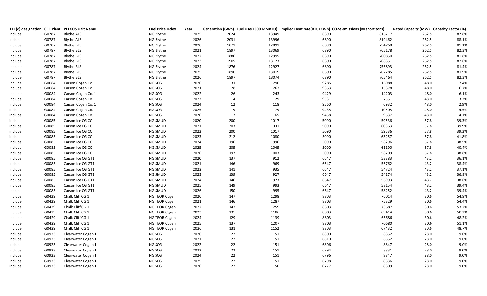|         |       | 111(d) designation CEC Plant II PLEXOS Unit Name | <b>Fuel Price Index</b> | Year |      |       |      | Generation (GWh) Fuel Use(1000 MMBTU) Implied Heat rate(BTU/KWh) CO2e emissions (M short tons) | Rated Capacity (MW) Capacity Factor (%) |       |
|---------|-------|--------------------------------------------------|-------------------------|------|------|-------|------|------------------------------------------------------------------------------------------------|-----------------------------------------|-------|
| include | G0787 | <b>Blythe ALS</b>                                | NG Blythe               | 2025 | 2024 | 13949 | 6890 | 816717                                                                                         | 262.5                                   | 87.8% |
| include | G0787 | <b>Blythe ALS</b>                                | NG Blythe               | 2026 | 2031 | 13996 | 6890 | 819462                                                                                         | 262.5                                   | 88.1% |
| include | G0787 | <b>Blythe BLS</b>                                | NG Blythe               | 2020 | 1871 | 12891 | 6890 | 754768                                                                                         | 262.5                                   | 81.1% |
| include | G0787 | <b>Blythe BLS</b>                                | NG Blythe               | 2021 | 1897 | 13069 | 6890 | 765178                                                                                         | 262.5                                   | 82.3% |
| include | G0787 | <b>Blythe BLS</b>                                | NG Blythe               | 2022 | 1886 | 12995 | 6890 | 760850                                                                                         | 262.5                                   | 81.8% |
| include | G0787 | <b>Blythe BLS</b>                                | NG Blythe               | 2023 | 1905 | 13123 | 6890 | 768351                                                                                         | 262.5                                   | 82.6% |
| include | G0787 | <b>Blythe BLS</b>                                | NG Blythe               | 2024 | 1876 | 12927 | 6890 | 756893                                                                                         | 262.5                                   | 81.4% |
| include | G0787 | <b>Blythe BLS</b>                                | NG Blythe               | 2025 | 1890 | 13019 | 6890 | 762285                                                                                         | 262.5                                   | 81.9% |
| include | G0787 | <b>Blythe BLS</b>                                | NG Blythe               | 2026 | 1897 | 13074 | 6890 | 765464                                                                                         | 262.5                                   | 82.3% |
| include | G0084 | Carson Cogen Co. 1                               | NG SCG                  | 2020 | 31   | 290   | 9285 | 16988                                                                                          | 48.0                                    | 7.4%  |
| include | G0084 | Carson Cogen Co. 1                               | NG SCG                  | 2021 | 28   | 263   | 9353 | 15378                                                                                          | 48.0                                    | 6.7%  |
| include | G0084 | Carson Cogen Co. 1                               | NG SCG                  | 2022 | 26   | 243   | 9429 | 14203                                                                                          | 48.0                                    | 6.1%  |
| include | G0084 | Carson Cogen Co. 1                               | NG SCG                  | 2023 | 14   | 129   | 9531 | 7551                                                                                           | 48.0                                    | 3.2%  |
| include | G0084 | Carson Cogen Co. 1                               | NG SCG                  | 2024 | 12   | 118   | 9560 | 6932                                                                                           | 48.0                                    | 2.9%  |
| include | G0084 | Carson Cogen Co. 1                               | NG SCG                  | 2025 | 19   | 179   | 9435 | 10505                                                                                          | 48.0                                    | 4.5%  |
| include | G0084 | Carson Cogen Co. 1                               | NG SCG                  | 2026 | 17   | 165   | 9458 | 9637                                                                                           | 48.0                                    | 4.1%  |
| include | G0085 | Carson Ice CG CC                                 | NG SMUD                 | 2020 | 200  | 1017  | 5090 | 59536                                                                                          | 57.8                                    | 39.3% |
| include | G0085 | Carson Ice CG CC                                 | NG SMUD                 | 2021 | 203  | 1031  | 5090 | 60363                                                                                          | 57.8                                    | 39.9% |
| include | G0085 | Carson Ice CG CC                                 | NG SMUD                 | 2022 | 200  | 1017  | 5090 | 59536                                                                                          | 57.8                                    | 39.3% |
| include | G0085 | Carson Ice CG CC                                 | NG SMUD                 | 2023 | 212  | 1080  | 5090 | 63257                                                                                          | 57.8                                    | 41.8% |
| include | G0085 | Carson Ice CG CC                                 | NG SMUD                 | 2024 | 196  | 996   | 5090 | 58296                                                                                          | 57.8                                    | 38.5% |
| include | G0085 | Carson Ice CG CC                                 | NG SMUD                 | 2025 | 205  | 1045  | 5090 | 61190                                                                                          | 57.8                                    | 40.4% |
| include | G0085 | Carson Ice CG CC                                 | NG SMUD                 | 2026 | 197  | 1003  | 5090 | 58709                                                                                          | 57.8                                    | 38.8% |
| include | G0085 | Carson Ice CG GT1                                | NG SMUD                 | 2020 | 137  | 912   | 6647 | 53383                                                                                          | 43.2                                    | 36.1% |
| include | G0085 | Carson Ice CG GT1                                | NG SMUD                 | 2021 | 146  | 969   | 6647 | 56762                                                                                          | 43.2                                    | 38.4% |
| include | G0085 | Carson Ice CG GT1                                | NG SMUD                 | 2022 | 141  | 935   | 6647 | 54724                                                                                          | 43.2                                    | 37.1% |
| include | G0085 | Carson Ice CG GT1                                | NG SMUD                 | 2023 | 139  | 927   | 6647 | 54274                                                                                          | 43.2                                    | 36.8% |
| include | G0085 | Carson Ice CG GT1                                | NG SMUD                 | 2024 | 146  | 973   | 6647 | 56993                                                                                          | 43.2                                    | 38.6% |
| include | G0085 | Carson Ice CG GT1                                | NG SMUD                 | 2025 | 149  | 993   | 6647 | 58154                                                                                          | 43.2                                    | 39.4% |
| include | G0085 | Carson Ice CG GT1                                | NG SMUD                 | 2026 | 150  | 995   | 6647 | 58252                                                                                          | 43.2                                    | 39.4% |
| include | G0429 | Chalk Cliff CG 1                                 | NG TEOR Cogen           | 2020 | 147  | 1298  | 8803 | 76014                                                                                          | 30.6                                    | 54.9% |
| include | G0429 | Chalk Cliff CG 1                                 | NG TEOR Cogen           | 2021 | 146  | 1287  | 8803 | 75329                                                                                          | 30.6                                    | 54.4% |
| include | G0429 | Chalk Cliff CG 1                                 | NG TEOR Cogen           | 2022 | 143  | 1259  | 8803 | 73687                                                                                          | 30.6                                    | 53.2% |
| include | G0429 | Chalk Cliff CG 1                                 | NG TEOR Cogen           | 2023 | 135  | 1186  | 8803 | 69414                                                                                          | 30.6                                    | 50.2% |
| include | G0429 | Chalk Cliff CG 1                                 | NG TEOR Cogen           | 2024 | 129  | 1139  | 8803 | 66686                                                                                          | 30.6                                    | 48.2% |
| include | G0429 | Chalk Cliff CG 1                                 | NG TEOR Cogen           | 2025 | 137  | 1207  | 8803 | 70680                                                                                          | 30.6                                    | 51.1% |
| include | G0429 | Chalk Cliff CG 1                                 | NG TEOR Cogen           | 2026 | 131  | 1152  | 8803 | 67432                                                                                          | 30.6                                    | 48.7% |
| include | G0923 | Clearwater Cogen 1                               | NG SCG                  | 2020 | 22   | 151   | 6800 | 8852                                                                                           | 28.0                                    | 9.0%  |
| include | G0923 | Clearwater Cogen 1                               | NG SCG                  | 2021 | 22   | 151   | 6810 | 8852                                                                                           | 28.0                                    | 9.0%  |
| include | G0923 | Clearwater Cogen 1                               | NG SCG                  | 2022 | 22   | 151   | 6806 | 8847                                                                                           | 28.0                                    | 9.0%  |
| include | G0923 | Clearwater Cogen 1                               | NG SCG                  | 2023 | 22   | 151   | 6794 | 8831                                                                                           | 28.0                                    | 9.0%  |
| include | G0923 | Clearwater Cogen 1                               | NG SCG                  | 2024 | 22   | 151   | 6796 | 8847                                                                                           | 28.0                                    | 9.0%  |
| include | G0923 | Clearwater Cogen 1                               | NG SCG                  | 2025 | 22   | 151   | 6798 | 8836                                                                                           | 28.0                                    | 9.0%  |
| include | G0923 | Clearwater Cogen 1                               | NG SCG                  | 2026 | 22   | 150   | 6777 | 8809                                                                                           | 28.0                                    | 9.0%  |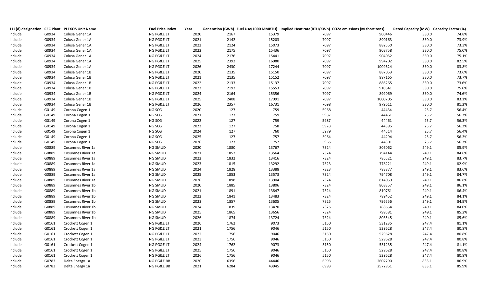|         |       | 111(d) designation CEC Plant II PLEXOS Unit Name | <b>Fuel Price Index</b> | Year | Generation (GWh) Fuel Use(1000 MMBTU) Implied Heat rate(BTU/KWh) CO2e emissions (M short tons) |      |         | Rated Capacity (MW) Capacity Factor (%) |       |
|---------|-------|--------------------------------------------------|-------------------------|------|------------------------------------------------------------------------------------------------|------|---------|-----------------------------------------|-------|
| include | G0934 | Colusa Gener 1A                                  | NG PG&E LT              | 2020 | 2167<br>15379                                                                                  | 7097 | 900446  | 330.0                                   | 74.8% |
| include | G0934 | Colusa Gener 1A                                  | NG PG&E LT              | 2021 | 15203<br>2142                                                                                  | 7097 | 890163  | 330.0                                   | 73.9% |
| include | G0934 | Colusa Gener 1A                                  | NG PG&E LT              | 2022 | 15073<br>2124                                                                                  | 7097 | 882550  | 330.0                                   | 73.3% |
| include | G0934 | Colusa Gener 1A                                  | NG PG&E LT              | 2023 | 2175<br>15436                                                                                  | 7097 | 903758  | 330.0                                   | 75.0% |
| include | G0934 | Colusa Gener 1A                                  | NG PG&E LT              | 2024 | 2176<br>15441                                                                                  | 7097 | 904052  | 330.0                                   | 75.1% |
| include | G0934 | Colusa Gener 1A                                  | NG PG&E LT              | 2025 | 2392<br>16980                                                                                  | 7097 | 994202  | 330.0                                   | 82.5% |
| include | G0934 | Colusa Gener 1A                                  | NG PG&E LT              | 2026 | 2430<br>17244                                                                                  | 7097 | 1009624 | 330.0                                   | 83.8% |
| include | G0934 | Colusa Gener 1B                                  | NG PG&E LT              | 2020 | 2135<br>15150                                                                                  | 7097 | 887053  | 330.0                                   | 73.6% |
| include | G0934 | Colusa Gener 1B                                  | NG PG&E LT              | 2021 | 15152<br>2135                                                                                  | 7097 | 887165  | 330.0                                   | 73.7% |
| include | G0934 | Colusa Gener 1B                                  | NG PG&E LT              | 2022 | 2133<br>15137                                                                                  | 7097 | 886265  | 330.0                                   | 73.6% |
| include | G0934 | Colusa Gener 1B                                  | NG PG&E LT              | 2023 | 2192<br>15553                                                                                  | 7097 | 910641  | 330.0                                   | 75.6% |
| include | G0934 | Colusa Gener 1B                                  | NG PG&E LT              | 2024 | 2164<br>15356                                                                                  | 7097 | 899069  | 330.0                                   | 74.6% |
| include | G0934 | Colusa Gener 1B                                  | NG PG&E LT              | 2025 | 17091<br>2408                                                                                  | 7097 | 1000705 | 330.0                                   | 83.1% |
| include | G0934 | Colusa Gener 1B                                  | NG PG&E LT              | 2026 | 16731<br>2357                                                                                  | 7098 | 979611  | 330.0                                   | 81.3% |
| Include | G0149 | Corona Cogen 1                                   | NG SCG                  | 2020 | 759<br>127                                                                                     | 5968 | 44434   | 25.7                                    | 56.4% |
| Include | G0149 | Corona Cogen 1                                   | NG SCG                  | 2021 | 127<br>759                                                                                     | 5987 | 44461   | 25.7                                    | 56.3% |
| Include | G0149 | Corona Cogen 1                                   | NG SCG                  | 2022 | 127<br>759                                                                                     | 5987 | 44461   | 25.7                                    | 56.3% |
| Include | G0149 | Corona Cogen 1                                   | NG SCG                  | 2023 | 127<br>758                                                                                     | 5978 | 44396   | 25.7                                    | 56.3% |
| Include | G0149 | Corona Cogen 1                                   | NG SCG                  | 2024 | 127<br>760                                                                                     | 5979 | 44514   | 25.7                                    | 56.4% |
| Include | G0149 | Corona Cogen 1                                   | NG SCG                  | 2025 | 757<br>127                                                                                     | 5964 | 44294   | 25.7                                    | 56.3% |
| Include | G0149 | Corona Cogen 1                                   | NG SCG                  | 2026 | 757<br>127                                                                                     | 5965 | 44301   | 25.7                                    | 56.3% |
| include | G0889 | Cosumnes River 1a                                | NG SMUD                 | 2020 | 1880<br>13767                                                                                  | 7324 | 806062  | 249.1                                   | 85.9% |
| include | G0889 | Cosumnes River 1a                                | NG SMUD                 | 2021 | 1852<br>13564                                                                                  | 7324 | 794144  | 249.1                                   | 84.6% |
| include | G0889 | Cosumnes River 1a                                | NG SMUD                 | 2022 | 13416<br>1832                                                                                  | 7324 | 785521  | 249.1                                   | 83.7% |
| include | G0889 | Cosumnes River 1a                                | NG SMUD                 | 2023 | 1815<br>13292                                                                                  | 7323 | 778221  | 249.1                                   | 82.9% |
| include | G0889 | Cosumnes River 1a                                | NG SMUD                 | 2024 | 13388<br>1828                                                                                  | 7323 | 783877  | 249.1                                   | 83.6% |
| include | G0889 | Cosumnes River 1a                                | NG SMUD                 | 2025 | 13573<br>1853                                                                                  | 7324 | 794708  | 249.1                                   | 84.7% |
| include | G0889 | Cosumnes River 1a                                | NG SMUD                 | 2026 | 1898<br>13904                                                                                  | 7324 | 814059  | 249.1                                   | 86.8% |
| include | G0889 | Cosumnes River 1b                                | NG SMUD                 | 2020 | 13806<br>1885                                                                                  | 7324 | 808357  | 249.1                                   | 86.1% |
| include | G0889 | Cosumnes River 1b                                | NG SMUD                 | 2021 | 13847<br>1891                                                                                  | 7324 | 810761  | 249.1                                   | 86.4% |
| include | G0889 | Cosumnes River 1b                                | NG SMUD                 | 2022 | 13483<br>1841                                                                                  | 7324 | 789452  | 249.1                                   | 84.1% |
| include | G0889 | Cosumnes River 1b                                | NG SMUD                 | 2023 | 13605<br>1857                                                                                  | 7325 | 796556  | 249.1                                   | 84.9% |
| include | G0889 | Cosumnes River 1b                                | NG SMUD                 | 2024 | 13470<br>1839                                                                                  | 7325 | 788654  | 249.1                                   | 84.0% |
| include | G0889 | Cosumnes River 1b                                | NG SMUD                 | 2025 | 13656<br>1865                                                                                  | 7324 | 799581  | 249.1                                   | 85.2% |
| include | G0889 | Cosumnes River 1b                                | NG SMUD                 | 2026 | 1874<br>13724                                                                                  | 7324 | 803545  | 249.1                                   | 85.6% |
| include | G0161 | Crockett Cogen 1                                 | NG PG&E LT              | 2020 | 9073<br>1762                                                                                   | 5150 | 531235  | 247.4                                   | 81.1% |
| include | G0161 | Crockett Cogen 1                                 | NG PG&E LT              | 2021 | 1756<br>9046                                                                                   | 5150 | 529628  | 247.4                                   | 80.8% |
| include | G0161 | Crockett Cogen 1                                 | NG PG&E LT              | 2022 | 1756<br>9046                                                                                   | 5150 | 529628  | 247.4                                   | 80.8% |
| include | G0161 | Crockett Cogen 1                                 | NG PG&E LT              | 2023 | 1756<br>9046                                                                                   | 5150 | 529628  | 247.4                                   | 80.8% |
| include | G0161 | Crockett Cogen 1                                 | NG PG&E LT              | 2024 | 1762<br>9073                                                                                   | 5150 | 531235  | 247.4                                   | 81.1% |
| include | G0161 | Crockett Cogen 1                                 | NG PG&E LT              | 2025 | 1756<br>9046                                                                                   | 5150 | 529628  | 247.4                                   | 80.8% |
| include | G0161 | Crockett Cogen 1                                 | NG PG&E LT              | 2026 | 9046<br>1756                                                                                   | 5150 | 529628  | 247.4                                   | 80.8% |
| include | G0783 | Delta Energy 1a                                  | NG PG&E BB              | 2020 | 6356<br>44446                                                                                  | 6993 | 2602290 | 833.1                                   | 86.9% |
| include | G0783 | Delta Energy 1a                                  | NG PG&E BB              | 2021 | 43945<br>6284                                                                                  | 6993 | 2572951 | 833.1                                   | 85.9% |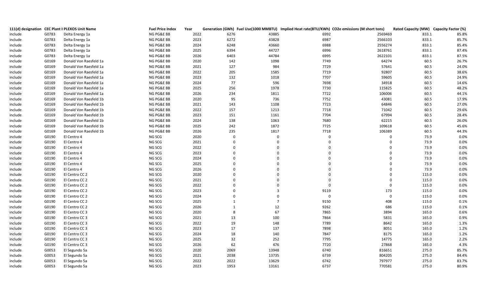|         |       | 111(d) designation CEC Plant II PLEXOS Unit Name | <b>Fuel Price Index</b> | Year |              |                | Generation (GWh) Fuel Use(1000 MMBTU) Implied Heat rate(BTU/KWh) CO2e emissions (M short tons) |             | Rated Capacity (MW) Capacity Factor (%) |       |
|---------|-------|--------------------------------------------------|-------------------------|------|--------------|----------------|------------------------------------------------------------------------------------------------|-------------|-----------------------------------------|-------|
| include | G0783 | Delta Energy 1a                                  | NG PG&E BB              | 2022 | 6276         | 43885          | 6992                                                                                           | 2569469     | 833.1                                   | 85.8% |
| include | G0783 | Delta Energy 1a                                  | NG PG&E BB              | 2023 | 6272         | 43828          | 6987                                                                                           | 2566103     | 833.1                                   | 85.7% |
| include | G0783 | Delta Energy 1a                                  | NG PG&E BB              | 2024 | 6248         | 43660          | 6988                                                                                           | 2556274     | 833.1                                   | 85.4% |
| include | G0783 | Delta Energy 1a                                  | NG PG&E BB              | 2025 | 6394         | 44727          | 6996                                                                                           | 2618761     | 833.1                                   | 87.4% |
| include | G0783 | Delta Energy 1a                                  | NG PG&E BB              | 2026 | 6403         | 44784          | 6995                                                                                           | 2622101     | 833.1                                   | 87.5% |
| include | G0169 | Donald Von Raesfeld 1a                           | NG PG&E BB              | 2020 | 142          | 1098           | 7749                                                                                           | 64274       | 60.5                                    | 26.7% |
| include | G0169 | Donald Von Raesfeld 1a                           | NG PG&E BB              | 2021 | 127          | 984            | 7729                                                                                           | 57641       | 60.5                                    | 24.0% |
| include | G0169 | Donald Von Raesfeld 1a                           | NG PG&E BB              | 2022 | 205          | 1585           | 7719                                                                                           | 92807       | 60.5                                    | 38.6% |
| include | G0169 | Donald Von Raesfeld 1a                           | NG PG&E BB              | 2023 | 132          | 1018           | 7707                                                                                           | 59605       | 60.5                                    | 24.9% |
| include | G0169 | Donald Von Raesfeld 1a                           | NG PG&E BB              | 2024 | 77           | 596            | 7698                                                                                           | 34918       | 60.5                                    | 14.6% |
| include | G0169 | Donald Von Raesfeld 1a                           | NG PG&E BB              | 2025 | 256          | 1978           | 7730                                                                                           | 115825      | 60.5                                    | 48.2% |
| include | G0169 | Donald Von Raesfeld 1a                           | NG PG&E BB              | 2026 | 234          | 1811           | 7722                                                                                           | 106006      | 60.5                                    | 44.1% |
| include | G0169 | Donald Von Raesfeld 1b                           | NG PG&E BB              | 2020 | 95           | 736            | 7752                                                                                           | 43081       | 60.5                                    | 17.9% |
| include | G0169 | Donald Von Raesfeld 1b                           | NG PG&E BB              | 2021 | 143          | 1108           | 7723                                                                                           | 64846       | 60.5                                    | 27.0% |
| include | G0169 | Donald Von Raesfeld 1b                           | NG PG&E BB              | 2022 | 157          | 1213           | 7718                                                                                           | 71042       | 60.5                                    | 29.6% |
| include | G0169 | Donald Von Raesfeld 1b                           | NG PG&E BB              | 2023 | 151          | 1161           | 7704                                                                                           | 67994       | 60.5                                    | 28.4% |
| include | G0169 | Donald Von Raesfeld 1b                           | NG PG&E BB              | 2024 | 138          | 1063           | 7680                                                                                           | 62215       | 60.5                                    | 26.0% |
| include | G0169 | Donald Von Raesfeld 1b                           | NG PG&E BB              | 2025 | 242          | 1872           | 7725                                                                                           | 109618      | 60.5                                    | 45.6% |
| include | G0169 | Donald Von Raesfeld 1b                           | NG PG&E BB              | 2026 | 235          | 1817           | 7718                                                                                           | 106389      | 60.5                                    | 44.3% |
| include | G0190 | El Centro 4                                      | NG SCG                  | 2020 | $\mathbf 0$  | $\mathbf 0$    | $\overline{0}$                                                                                 | $\mathbf 0$ | 73.9                                    | 0.0%  |
| include | G0190 | El Centro 4                                      | NG SCG                  | 2021 | $\mathbf 0$  | $\Omega$       | $\Omega$                                                                                       | $\Omega$    | 73.9                                    | 0.0%  |
| include | G0190 | El Centro 4                                      | NG SCG                  | 2022 | $\Omega$     |                |                                                                                                | $\Omega$    | 73.9                                    | 0.0%  |
| include | G0190 | El Centro 4                                      | NG SCG                  | 2023 | $\Omega$     |                | $\Omega$                                                                                       | $\mathbf 0$ | 73.9                                    | 0.0%  |
| include | G0190 | El Centro 4                                      | NG SCG                  | 2024 | $\Omega$     |                |                                                                                                | $\Omega$    | 73.9                                    | 0.0%  |
| include | G0190 | El Centro 4                                      | NG SCG                  | 2025 | $\Omega$     |                |                                                                                                | $\Omega$    | 73.9                                    | 0.0%  |
| include | G0190 | El Centro 4                                      | NG SCG                  | 2026 |              |                |                                                                                                | $\mathbf 0$ | 73.9                                    | 0.0%  |
| include | G0190 | El Centro CC 2                                   | NG SCG                  | 2020 |              |                |                                                                                                | $\Omega$    | 115.0                                   | 0.0%  |
| include | G0190 | El Centro CC 2                                   | NG SCG                  | 2021 | $\Omega$     |                |                                                                                                | $\Omega$    | 115.0                                   | 0.0%  |
| include | G0190 | El Centro CC 2                                   | NG SCG                  | 2022 |              |                | $\overline{0}$                                                                                 | $\mathbf 0$ | 115.0                                   | 0.0%  |
| include | G0190 | El Centro CC 2                                   | NG SCG                  | 2023 |              | 3              | 9119                                                                                           | 173         | 115.0                                   | 0.0%  |
| include | G0190 | El Centro CC 2                                   | NG SCG                  | 2024 | $\Omega$     | $\Omega$       | $\mathbf 0$                                                                                    | 0           | 115.0                                   | 0.0%  |
| include | G0190 | El Centro CC 2                                   | NG SCG                  | 2025 | $\mathbf{1}$ | $\overline{7}$ | 9150                                                                                           | 408         | 115.0                                   | 0.1%  |
| include | G0190 | El Centro CC 2                                   | NG SCG                  | 2026 | $\mathbf{1}$ | 12             | 9262                                                                                           | 686         | 115.0                                   | 0.1%  |
| include | G0190 | El Centro CC 3                                   | NG SCG                  | 2020 | -8           | 67             | 7865                                                                                           | 3894        | 165.0                                   | 0.6%  |
| include | G0190 | El Centro CC 3                                   | NG SCG                  | 2021 | 13           | 100            | 7864                                                                                           | 5831        | 165.0                                   | 0.9%  |
| include | G0190 | El Centro CC 3                                   | NG SCG                  | 2022 | 19           | 148            | 7789                                                                                           | 8642        | 165.0                                   | 1.3%  |
| include | G0190 | El Centro CC 3                                   | NG SCG                  | 2023 | 17           | 137            | 7898                                                                                           | 8051        | 165.0                                   | 1.2%  |
| include | G0190 | El Centro CC 3                                   | NG SCG                  | 2024 | 18           | 140            | 7847                                                                                           | 8175        | 165.0                                   | 1.2%  |
| include | G0190 | El Centro CC 3                                   | NG SCG                  | 2025 | 32           | 252            | 7795                                                                                           | 14775       | 165.0                                   | 2.2%  |
| include | G0190 | El Centro CC 3                                   | NG SCG                  | 2026 | 62           | 476            | 7720                                                                                           | 27868       | 165.0                                   | 4.3%  |
| include | G0053 | El Segundo 5a                                    | NG SCG                  | 2020 | 2069         | 13948          | 6740                                                                                           | 816651      | 275.0                                   | 85.7% |
| include | G0053 | El Segundo 5a                                    | NG SCG                  | 2021 | 2038         | 13735          | 6739                                                                                           | 804205      | 275.0                                   | 84.4% |
| include | G0053 | El Segundo 5a                                    | NG SCG                  | 2022 | 2022         | 13629          | 6742                                                                                           | 797977      | 275.0                                   | 83.7% |
| include | G0053 | El Segundo 5a                                    | NG SCG                  | 2023 | 1953         | 13161          | 6737                                                                                           | 770581      | 275.0                                   | 80.9% |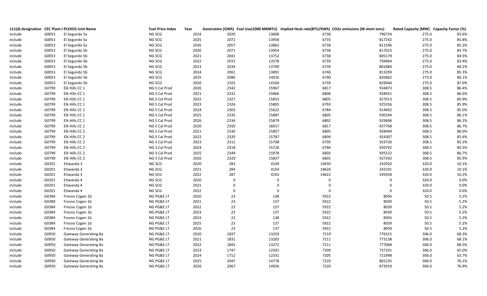|         |       | 111(d) designation CEC Plant II PLEXOS Unit Name | <b>Fuel Price Index</b> | Year |                |             |                  | Generation (GWh) Fuel Use(1000 MMBTU) Implied Heat rate(BTU/KWh) CO2e emissions (M short tons) | Rated Capacity (MW) Capacity Factor (%) |       |
|---------|-------|--------------------------------------------------|-------------------------|------|----------------|-------------|------------------|------------------------------------------------------------------------------------------------|-----------------------------------------|-------|
| include | G0053 | El Segundo 5a                                    | NG SCG                  | 2024 | 2020           | 13608       | 6738             | 796734                                                                                         | 275.0                                   | 83.6% |
| include | G0053 | El Segundo 5a                                    | NG SCG                  | 2025 | 2072           | 13958       | 6735             | 817242                                                                                         | 275.0                                   | 85.8% |
| include | G0053 | El Segundo 5a                                    | NG SCG                  | 2026 | 2057           | 13862       | 6738             | 811596                                                                                         | 275.0                                   | 85.2% |
| include | G0053 | El Segundo 5b                                    | NG SCG                  | 2020 | 2071           | 13954       | 6738             | 817023                                                                                         | 275.0                                   | 85.7% |
| include | G0053 | El Segundo 5b                                    | NG SCG                  | 2021 | 2041           | 13752       | 6738             | 805179                                                                                         | 275.0                                   | 84.5% |
| include | G0053 | El Segundo 5b                                    | NG SCG                  | 2022 | 2015           | 13578       | 6739             | 794964                                                                                         | 275.0                                   | 83.4% |
| include | G0053 | El Segundo 5b                                    | NG SCG                  | 2023 | 2034           | 13709       | 6739             | 802684                                                                                         | 275.0                                   | 84.2% |
| include | G0053 | El Segundo 5b                                    | NG SCG                  | 2024 | 2061           | 13891       | 6740             | 813299                                                                                         | 275.0                                   | 85.3% |
| include | G0053 | El Segundo 5b                                    | NG SCG                  | 2025 | 2080           | 14016       | 6740             | 820662                                                                                         | 275.0                                   | 86.1% |
| include | G0053 | El Segundo 5b                                    | NG SCG                  | 2026 | 2101           | 14160       | 6739             | 829044                                                                                         | 275.0                                   | 87.0% |
| include | G0799 | Elk Hills CC 1                                   | NG S Cal Prod           | 2020 | 2342           | 15967       | 6817             | 934873                                                                                         | 308.5                                   | 86.4% |
| include | G0799 | Elk Hills CC 1                                   | NG S Cal Prod           | 2021 | 2331           | 15866       | 6806             | 928931                                                                                         | 308.5                                   | 86.0% |
| include | G0799 | Elk Hills CC 1                                   | NG S Cal Prod           | 2022 | 2327           | 15833       | 6805             | 927013                                                                                         | 308.5                                   | 85.9% |
| include | G0799 | Elk Hills CC 1                                   | NG S Cal Prod           | 2023 | 2326           | 15805       | 6793             | 925356                                                                                         | 308.5                                   | 85.9% |
| include | G0799 | Elk Hills CC 1                                   | NG S Cal Prod           | 2024 | 2303           | 15622       | 6784             | 914692                                                                                         | 308.5                                   | 85.0% |
| include | G0799 | Elk Hills CC 1                                   | NG S Cal Prod           | 2025 | 2335           | 15887       | 6805             | 930194                                                                                         | 308.5                                   | 86.1% |
| include | G0799 | Elk Hills CC 1                                   | NG S Cal Prod           | 2026 | 2334           | 15879       | 6802             | 929696                                                                                         | 308.5                                   | 86.1% |
| include | G0799 | Elk Hills CC 2                                   | NG S Cal Prod           | 2020 | 2350           | 16017       | 6817             | 937768                                                                                         | 308.5                                   | 86.7% |
| include | G0799 | Elk Hills CC 2                                   | NG S Cal Prod           | 2021 | 2330           | 15857       | 6805             | 928449                                                                                         | 308.5                                   | 86.0% |
| include | G0799 | Elk Hills CC 2                                   | NG S Cal Prod           | 2022 | 2320           | 15787       | 6804             | 924307                                                                                         | 308.5                                   | 85.6% |
| include | G0799 | Elk Hills CC 2                                   | NG S Cal Prod           | 2023 | 2312           | 15708       | 6795             | 919720                                                                                         | 308.5                                   | 85.3% |
| include | G0799 | Elk Hills CC 2                                   | NG S Cal Prod           | 2024 | 2318           | 15726       | 6784             | 920762                                                                                         | 308.5                                   | 85.5% |
| include | G0799 | Elk Hills CC 2                                   | NG S Cal Prod           | 2025 | 2349           | 15978       | 6803             | 935522                                                                                         | 308.5                                   | 86.7% |
| include | G0799 | Elk Hills CC 2                                   | NG S Cal Prod           | 2026 | 2329           | 15837       | 6801             | 927242                                                                                         | 308.5                                   | 85.9% |
| include | G0201 | Etiwanda 3                                       | NG SCG                  | 2020 | 283            | 4149        | 14650            | 242920                                                                                         | 320.0                                   | 10.1% |
| include | G0201 | Etiwanda 3                                       | NG SCG                  | 2021 | 284            | 4154        | 14626            | 243191                                                                                         | 320.0                                   | 10.1% |
| include | G0201 | Etiwanda 3                                       | NG SCG                  | 2022 | 287            | 4192        | 14622            | 245458                                                                                         | 320.0                                   | 10.2% |
| include | G0201 | Etiwanda 4                                       | NG SCG                  | 2020 | $\overline{0}$ | $\mathbf 0$ | $\overline{0}$   | $\mathbf 0$                                                                                    | 320.0                                   | 0.0%  |
| include | G0201 | Etiwanda 4                                       | NG SCG                  | 2021 | $\mathbf 0$    | $\mathbf 0$ | $\overline{0}$   | $\mathbf 0$                                                                                    | 320.0                                   | 0.0%  |
| include | G0201 | Etiwanda 4                                       | NG SCG                  | 2022 | $\mathbf 0$    | $\mathbf 0$ | $\boldsymbol{0}$ | $\mathbf 0$                                                                                    | 320.0                                   | 0.0%  |
| include | G0384 | Fresno Cogen 1b                                  | NG PG&E LT              | 2020 | 23             | 138         | 5922             | 8056                                                                                           | 50.5                                    | 5.2%  |
| include | G0384 | Fresno Cogen 1b                                  | NG PG&E LT              | 2021 | 23             | 137         | 5922             | 8039                                                                                           | 50.5                                    | 5.2%  |
| include | G0384 | Fresno Cogen 1b                                  | NG PG&E LT              | 2022 | 23             | 137         | 5922             | 8039                                                                                           | 50.5                                    | 5.2%  |
| include | G0384 | Fresno Cogen 1b                                  | NG PG&E LT              | 2023 | 23             | 137         | 5922             | 8039                                                                                           | 50.5                                    | 5.2%  |
| include | G0384 | Fresno Cogen 1b                                  | NG PG&E LT              | 2024 | 23             | 138         | 5922             | 8056                                                                                           | 50.5                                    | 5.2%  |
| include | G0384 | Fresno Cogen 1b                                  | NG PG&E LT              | 2025 | 23             | 137         | 5922             | 8039                                                                                           | $50.5\,$                                | 5.2%  |
| include | G0384 | Fresno Cogen 1b                                  | NG PG&E LT              | 2026 | 23             | 137         | 5922             | 8039                                                                                           | 50.5                                    | 5.2%  |
| include | G0950 | Gateway Generating 8a                            | NG PG&E LT              | 2020 | 1837           | 13259       | 7219             | 776315                                                                                         | 306.0                                   | 68.3% |
| include | G0950 | Gateway Generating 8a                            | NG PG&E LT              | 2021 | 1831           | 13205       | 7211             | 773138                                                                                         | 306.0                                   | 68.1% |
| include | G0950 | Gateway Generating 8a                            | NG PG&E LT              | 2022 | 1841           | 13272       | 7211             | 777068                                                                                         | 306.0                                   | 68.5% |
| include | G0950 | Gateway Generating 8a                            | NG PG&E LT              | 2023 | 1747           | 12591       | 7209             | 737191                                                                                         | 306.0                                   | 65.0% |
| include | G0950 | Gateway Generating 8a                            | NG PG&E LT              | 2024 | 1712           | 12331       | 7205             | 721998                                                                                         | 306.0                                   | 63.7% |
| include | G0950 | Gateway Generating 8a                            | NG PG&E LT              | 2025 | 2047           | 14778       | 7220             | 865235                                                                                         | 306.0                                   | 76.1% |
| include | G0950 | Gateway Generating 8a                            | NG PG&E LT              | 2026 | 2067           | 14926       | 7220             | 873919                                                                                         | 306.0                                   | 76.9% |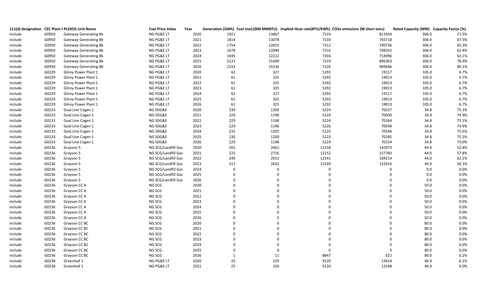|         |       | 111(d) designation CEC Plant II PLEXOS Unit Name | <b>Fuel Price Index</b> | Year | Generation (GWh) Fuel Use(1000 MMBTU) Implied Heat rate(BTU/KWh) CO2e emissions (M short tons) |          |             |             | Rated Capacity (MW) Capacity Factor (%) |       |
|---------|-------|--------------------------------------------------|-------------------------|------|------------------------------------------------------------------------------------------------|----------|-------------|-------------|-----------------------------------------|-------|
| include | G0950 | Gateway Generating 8b                            | NG PG&E LT              | 2020 | 1921                                                                                           | 13867    | 7219        | 811934      | 306.0                                   | 71.5% |
| include | G0950 | <b>Gateway Generating 8b</b>                     | NG PG&E LT              | 2021 | 1814                                                                                           | 13078    | 7210        | 765718      | 306.0                                   | 67.5% |
| include | G0950 | Gateway Generating 8b                            | NG PG&E LT              | 2022 | 1754                                                                                           | 12651    | 7212        | 740736      | 306.0                                   | 65.3% |
| include | G0950 | Gateway Generating 8b                            | NG PG&E LT              | 2023 | 1678                                                                                           | 12096    | 7210        | 708241      | 306.0                                   | 62.4% |
| include | G0950 | <b>Gateway Generating 8b</b>                     | NG PG&E LT              | 2024 | 1695                                                                                           | 12212    | 7203        | 714996      | 306.0                                   | 63.1% |
| include | G0950 | Gateway Generating 8b                            | NG PG&E LT              | 2025 | 2121                                                                                           | 15309    | 7219        | 896363      | 306.0                                   | 78.9% |
| include | G0950 | Gateway Generating 8b                            | NG PG&E LT              | 2026 | 2152                                                                                           | 15536    | 7220        | 909646      | 306.0                                   | 80.1% |
| include | G0229 | Gilroy Power Plant 1                             | NG PG&E LT              | 2020 | 62                                                                                             | 327      | 5292        | 19117       | 105.0                                   | 6.7%  |
| include | G0229 | Gilroy Power Plant 1                             | NG PG&E LT              | 2021 | 61                                                                                             | 325      | 5292        | 19013       | 105.0                                   | 6.7%  |
| include | G0229 | Gilroy Power Plant 1                             | NG PG&E LT              | 2022 | 61                                                                                             | 325      | 5292        | 19013       | 105.0                                   | 6.7%  |
| include | G0229 | Gilroy Power Plant 1                             | NG PG&E LT              | 2023 | 61                                                                                             | 325      | 5292        | 19013       | 105.0                                   | 6.7%  |
| include | G0229 | Gilroy Power Plant 1                             | NG PG&E LT              | 2024 | 62                                                                                             | 327      | 5292        | 19117       | 105.0                                   | 6.7%  |
| include | G0229 | Gilroy Power Plant 1                             | NG PG&E LT              | 2025 | 61                                                                                             | 325      | 5292        | 19013       | 105.0                                   | 6.7%  |
| include | G0229 | Gilroy Power Plant 1                             | NG PG&E LT              | 2026 | 61                                                                                             | 325      | 5292        | 19013       | 105.0                                   | 6.7%  |
| include | G0233 | Goal Line Cogen 1                                | NG SDG&E                | 2020 | 230                                                                                            | 1200     | 5224        | 70237       | 34.8                                    | 75.1% |
| include | G0233 | Goal Line Cogen 1                                | NG SDG&E                | 2021 | 229                                                                                            | 1196     | 5224        | 70030       | 34.8                                    | 74.9% |
| include | G0233 | Goal Line Cogen 1                                | NG SDG&E                | 2022 | 229                                                                                            | 1198     | 5224        | 70164       | 34.8                                    | 75.1% |
| include | G0233 | Goal Line Cogen 1                                | NG SDG&E                | 2023 | 229                                                                                            | 1196     | 5226        | 70038       | 34.8                                    | 74.9% |
| include | G0233 | Goal Line Cogen 1                                | NG SDG&E                | 2024 | 231                                                                                            | 1205     | 5225        | 70546       | 34.8                                    | 75.5% |
| include | G0233 | Goal Line Cogen 1                                | NG SDG&E                | 2025 | 230                                                                                            | 1200     | 5223        | 70285       | 34.8                                    | 75.2% |
| include | G0233 | Goal Line Cogen 1                                | NG SDG&E                | 2026 | 229                                                                                            | 1198     | 5224        | 70154       | 34.8                                    | 75.0% |
| include | G0236 | Grayson 5                                        | NG SCG/Landfill Gas     | 2020 | 202                                                                                            | 2461     | 12158       | 142973      | 44.0                                    | 52.4% |
| include | G0236 | Grayson 5                                        | NG SCG/Landfill Gas     | 2021 | 223                                                                                            | 2716     | 12152       | 157760      | 44.0                                    | 57.8% |
| include | G0236 | Grayson 5                                        | NG SCG/Landfill Gas     | 2022 | 240                                                                                            | 2913     | 12141       | 169214      | 44.0                                    | 62.1% |
| include | G0236 | Grayson 5                                        | NG SCG/Landfill Gas     | 2023 | 217                                                                                            | 2632     | 12149       | 152916      | 44.0                                    | 56.1% |
| include | G0236 | Grayson 5                                        | NG SCG/Landfill Gas     | 2024 | $\mathbf 0$                                                                                    | $\Omega$ | $\mathbf 0$ | $\mathbf 0$ | 0.0                                     | 0.0%  |
| include | G0236 | Grayson 5                                        | NG SCG/Landfill Gas     | 2025 | $\mathbf 0$                                                                                    |          |             | $\mathbf 0$ | 0.0                                     | 0.0%  |
| include | G0236 | Grayson 5                                        | NG SCG/Landfill Gas     | 2026 | $\Omega$                                                                                       | $\Omega$ | $\Omega$    | $\mathbf 0$ | 0.0                                     | 0.0%  |
| include | G0236 | Grayson CC A                                     | NG SCG                  | 2020 | $\Omega$                                                                                       | $\Omega$ | $\mathbf 0$ | $\mathbf 0$ | 50.0                                    | 0.0%  |
| include | G0236 | Grayson CC A                                     | NG SCG                  | 2021 | $\Omega$                                                                                       |          | $\Omega$    | $\mathbf 0$ | $50.0\,$                                | 0.0%  |
| include | G0236 | Grayson CC A                                     | NG SCG                  | 2022 | $\Omega$                                                                                       | $\Omega$ | $\mathbf 0$ | $\mathbf 0$ | 50.0                                    | 0.0%  |
| include | G0236 | Grayson CC A                                     | NG SCG                  | 2023 | $\Omega$                                                                                       | $\Omega$ | $\mathbf 0$ | $\mathbf 0$ | 50.0                                    | 0.0%  |
| include | G0236 | Grayson CC A                                     | NG SCG                  | 2024 | $\Omega$                                                                                       | $\Omega$ | $\Omega$    | $\mathbf 0$ | 50.0                                    | 0.0%  |
| include | G0236 | Grayson CC A                                     | NG SCG                  | 2025 | $\Omega$                                                                                       | $\Omega$ | $\Omega$    | $\mathbf 0$ | 50.0                                    | 0.0%  |
| include | G0236 | Grayson CC A                                     | NG SCG                  | 2026 | $\Omega$                                                                                       | $\Omega$ | $\Omega$    | $\mathbf 0$ | 50.0                                    | 0.0%  |
| include | G0236 | Grayson CC BC                                    | NG SCG                  | 2020 | $\Omega$                                                                                       | $\Omega$ | $\mathbf 0$ | $\mathbf 0$ | 80.0                                    | 0.0%  |
| include | G0236 | Grayson CC BC                                    | NG SCG                  | 2021 | $\Omega$                                                                                       | $\Omega$ | $\mathbf 0$ | $\mathbf 0$ | 80.0                                    | 0.0%  |
| include | G0236 | Grayson CC BC                                    | NG SCG                  | 2022 | $\Omega$                                                                                       | $\Omega$ | $\Omega$    | $\mathbf 0$ | 80.0                                    | 0.0%  |
| include | G0236 | Grayson CC BC                                    | NG SCG                  | 2023 | $\Omega$                                                                                       |          | $\Omega$    | $\mathbf 0$ | 80.0                                    | 0.0%  |
| include | G0236 | Grayson CC BC                                    | NG SCG                  | 2024 | $\Omega$                                                                                       | $\Omega$ | $\Omega$    | $\mathbf 0$ | 80.0                                    | 0.0%  |
| include | G0236 | Grayson CC BC                                    | NG SCG                  | 2025 | $\Omega$                                                                                       | $\Omega$ | $\mathbf 0$ | $\mathbf 0$ | 80.0                                    | 0.0%  |
| include | G0236 | Grayson CC BC                                    | NG SCG                  | 2026 | $\mathbf{1}$                                                                                   | 11       | 8847        | 622         | 80.0                                    | 0.2%  |
| include | G0238 | Greenleaf 1                                      | NG PG&E LT              | 2020 | 25                                                                                             | 229      | 9120        | 13414       | 46.9                                    | 6.1%  |
| include | G0238 | Greenleaf 1                                      | NG PG&E LT              | 2021 | 25                                                                                             | 226      | 9120        | 13248       | 46.9                                    | 6.0%  |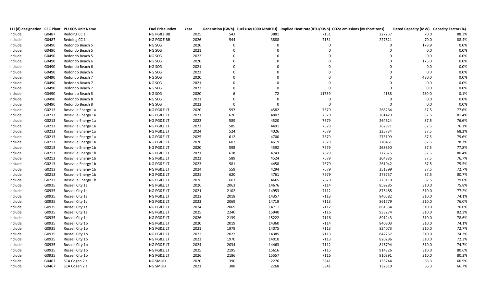|         |       | 111(d) designation CEC Plant II PLEXOS Unit Name | <b>Fuel Price Index</b> | Year |             |             |                | Generation (GWh) Fuel Use(1000 MMBTU) Implied Heat rate(BTU/KWh) CO2e emissions (M short tons) | Rated Capacity (MW) Capacity Factor (%) |       |
|---------|-------|--------------------------------------------------|-------------------------|------|-------------|-------------|----------------|------------------------------------------------------------------------------------------------|-----------------------------------------|-------|
| include | G0487 | Redding CC 1                                     | NG PG&E BB              | 2025 | 543         | 3881        | 7151           | 227257                                                                                         | 70.0                                    | 88.3% |
| include | G0487 | Redding CC 1                                     | NG PG&E BB              | 2026 | 544         | 3888        | 7151           | 227621                                                                                         | 70.0                                    | 88.4% |
| include | G0490 | Redondo Beach 5                                  | NG SCG                  | 2020 | $\mathbf 0$ | $\Omega$    | $\mathbf 0$    | $\mathbf 0$                                                                                    | 178.9                                   | 0.0%  |
| include | G0490 | Redondo Beach 5                                  | NG SCG                  | 2021 | $\Omega$    | $\Omega$    | $\Omega$       | $\Omega$                                                                                       | 0.0                                     | 0.0%  |
| include | G0490 | Redondo Beach 5                                  | NG SCG                  | 2022 | $\Omega$    | $\Omega$    | $\Omega$       | $\mathbf 0$                                                                                    | 0.0                                     | 0.0%  |
| include | G0490 | Redondo Beach 6                                  | NG SCG                  | 2020 | $\Omega$    | $\Omega$    | $\Omega$       | $\Omega$                                                                                       | 175.0                                   | 0.0%  |
| include | G0490 | Redondo Beach 6                                  | NG SCG                  | 2021 | $\Omega$    | $\Omega$    | $\Omega$       | $\Omega$                                                                                       | $0.0\,$                                 | 0.0%  |
| include | G0490 | Redondo Beach 6                                  | NG SCG                  | 2022 | $\Omega$    | $\Omega$    | $\Omega$       | $\mathbf 0$                                                                                    | 0.0                                     | 0.0%  |
| include | G0490 | Redondo Beach 7                                  | NG SCG                  | 2020 | $\mathbf 0$ | $\Omega$    | $\Omega$       | $\mathbf 0$                                                                                    | 480.0                                   | 0.0%  |
| include | G0490 | Redondo Beach 7                                  | NG SCG                  | 2021 | $\Omega$    | $\Omega$    | $\Omega$       | $\mathbf 0$                                                                                    | 0.0                                     | 0.0%  |
| include | G0490 | Redondo Beach 7                                  | NG SCG                  | 2022 | $\mathbf 0$ | $\mathbf 0$ | $\mathbf 0$    | $\mathbf 0$                                                                                    | $0.0\,$                                 | 0.0%  |
| include | G0490 | Redondo Beach 8                                  | NG SCG                  | 2020 | 6           | 72          | 11739          | 4188                                                                                           | 480.0                                   | 0.1%  |
| include | G0490 | Redondo Beach 8                                  | NG SCG                  | 2021 | $\Omega$    | $\Omega$    | $\mathbf 0$    | $\mathbf 0$                                                                                    | 0.0                                     | 0.0%  |
| include | G0490 | Redondo Beach 8                                  | NG SCG                  | 2022 | $\mathbf 0$ | $\Omega$    | $\overline{0}$ | $\mathbf 0$                                                                                    | 0.0                                     | 0.0%  |
| include | G0213 | Roseville Energy 1a                              | NG PG&E LT              | 2020 | 597         | 4582        | 7679           | 268264                                                                                         | 87.5                                    | 77.6% |
| include | G0213 | Roseville Energy 1a                              | NG PG&E LT              | 2021 | 626         | 4807        | 7679           | 281429                                                                                         | 87.5                                    | 81.4% |
| include | G0213 | Roseville Energy 1a                              | NG PG&E LT              | 2022 | 589         | 4520        | 7679           | 264624                                                                                         | 87.5                                    | 76.6% |
| include | G0213 | Roseville Energy 1a                              | NG PG&E LT              | 2023 | 585         | 4491        | 7679           | 262971                                                                                         | 87.5                                    | 76.1% |
| include | G0213 | Roseville Energy 1a                              | NG PG&E LT              | 2024 | 524         | 4026        | 7679           | 235734                                                                                         | 87.5                                    | 68.2% |
| include | G0213 | Roseville Energy 1a                              | NG PG&E LT              | 2025 | 612         | 4700        | 7679           | 275199                                                                                         | 87.5                                    | 79.6% |
| include | G0213 | Roseville Energy 1a                              | NG PG&E LT              | 2026 | 602         | 4619        | 7679           | 270461                                                                                         | 87.5                                    | 78.3% |
| include | G0213 | Roseville Energy 1b                              | NG PG&E LT              | 2020 | 598         | 4592        | 7679           | 268890                                                                                         | 87.5                                    | 77.8% |
| include | G0213 | Roseville Energy 1b                              | NG PG&E LT              | 2021 | 618         | 4743        | 7679           | 277675                                                                                         | 87.5                                    | 80.4% |
| include | G0213 | Roseville Energy 1b                              | NG PG&E LT              | 2022 | 589         | 4524        | 7679           | 264886                                                                                         | 87.5                                    | 76.7% |
| include | G0213 | Roseville Energy 1b                              | NG PG&E LT              | 2023 | 581         | 4458        | 7679           | 261042                                                                                         | 87.5                                    | 75.5% |
| include | G0213 | Roseville Energy 1b                              | NG PG&E LT              | 2024 | 559         | 4294        | 7679           | 251399                                                                                         | 87.5                                    | 72.7% |
| include | G0213 | Roseville Energy 1b                              | NG PG&E LT              | 2025 | 620         | 4761        | 7679           | 278757                                                                                         | 87.5                                    | 80.7% |
| include | G0213 | Roseville Energy 1b                              | NG PG&E LT              | 2026 | 607         | 4665        | 7679           | 273110                                                                                         | 87.5                                    | 79.0% |
| include | G0935 | Russell City 1a                                  | NG PG&E LT              | 2020 | 2063        | 14676       | 7114           | 859285                                                                                         | 310.0                                   | 75.8% |
| include | G0935 | Russell City 1a                                  | NG PG&E LT              | 2021 | 2102        | 14953       | 7112           | 875485                                                                                         | 310.0                                   | 77.2% |
| include | G0935 | Russell City 1a                                  | NG PG&E LT              | 2022 | 2018        | 14357       | 7113           | 840582                                                                                         | 310.0                                   | 74.1% |
| include | G0935 | Russell City 1a                                  | NG PG&E LT              | 2023 | 2069        | 14719       | 7113           | 861779                                                                                         | 310.0                                   | 76.0% |
| include | G0935 | Russell City 1a                                  | NG PG&E LT              | 2024 | 2069        | 14711       | 7112           | 861334                                                                                         | 310.0                                   | 76.0% |
| include | G0935 | Russell City 1a                                  | NG PG&E LT              | 2025 | 2240        | 15940       | 7116           | 933274                                                                                         | 310.0                                   | 82.3% |
| include | G0935 | Russell City 1a                                  | NG PG&E LT              | 2026 | 2139        | 15222       | 7116           | 891243                                                                                         | 310.0                                   | 78.6% |
| include | G0935 | Russell City 1b                                  | NG PG&E LT              | 2020 | 2019        | 14360       | 7114           | 840803                                                                                         | 310.0                                   | 74.1% |
| include | G0935 | Russell City 1b                                  | NG PG&E LT              | 2021 | 1979        | 14075       | 7113           | 824073                                                                                         | 310.0                                   | 72.7% |
| include | G0935 | Russell City 1b                                  | NG PG&E LT              | 2022 | 2022        | 14385       | 7113           | 842257                                                                                         | 310.0                                   | 74.3% |
| include | G0935 | Russell City 1b                                  | NG PG&E LT              | 2023 | 1970        | 14010       | 7113           | 820286                                                                                         | 310.0                                   | 72.3% |
| include | G0935 | Russell City 1b                                  | NG PG&E LT              | 2024 | 2034        | 14463       | 7112           | 846794                                                                                         | 310.0                                   | 74.7% |
| include | G0935 | Russell City 1b                                  | NG PG&E LT              | 2025 | 2195        | 15616       | 7115           | 914326                                                                                         | 310.0                                   | 80.6% |
| include | G0935 | Russell City 1b                                  | NG PG&E LT              | 2026 | 2186        | 15557       | 7116           | 910891                                                                                         | 310.0                                   | 80.3% |
| include | G0467 | SCA Cogen 2 a                                    | NG SMUD                 | 2020 | 390         | 2276        | 5841           | 133244                                                                                         | 66.3                                    | 66.9% |
| include | G0467 | SCA Cogen 2 a                                    | NG SMUD                 | 2021 | 388         | 2268        | 5841           | 132810                                                                                         | 66.3                                    | 66.7% |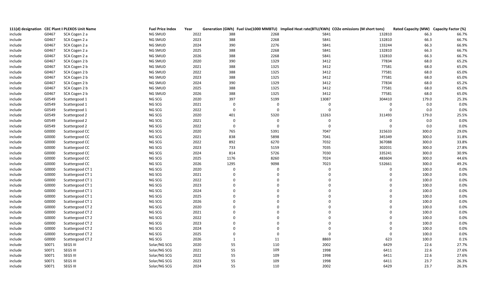|         |       | 111(d) designation CEC Plant II PLEXOS Unit Name | <b>Fuel Price Index</b> | Year |                |             |             | Generation (GWh) Fuel Use(1000 MMBTU) Implied Heat rate(BTU/KWh) CO2e emissions (M short tons) | Rated Capacity (MW) Capacity Factor (%) |       |
|---------|-------|--------------------------------------------------|-------------------------|------|----------------|-------------|-------------|------------------------------------------------------------------------------------------------|-----------------------------------------|-------|
| include | G0467 | SCA Cogen 2 a                                    | NG SMUD                 | 2022 | 388            | 2268        | 5841        | 132810                                                                                         | 66.3                                    | 66.7% |
| include | G0467 | SCA Cogen 2 a                                    | NG SMUD                 | 2023 | 388            | 2268        | 5841        | 132810                                                                                         | 66.3                                    | 66.7% |
| include | G0467 | SCA Cogen 2 a                                    | NG SMUD                 | 2024 | 390            | 2276        | 5841        | 133244                                                                                         | 66.3                                    | 66.9% |
| include | G0467 | SCA Cogen 2 a                                    | NG SMUD                 | 2025 | 388            | 2268        | 5841        | 132810                                                                                         | 66.3                                    | 66.7% |
| include | G0467 | SCA Cogen 2 a                                    | NG SMUD                 | 2026 | 388            | 2268        | 5841        | 132810                                                                                         | 66.3                                    | 66.7% |
| include | G0467 | SCA Cogen 2 b                                    | NG SMUD                 | 2020 | 390            | 1329        | 3412        | 77834                                                                                          | 68.0                                    | 65.2% |
| include | G0467 | SCA Cogen 2 b                                    | NG SMUD                 | 2021 | 388            | 1325        | 3412        | 77581                                                                                          | 68.0                                    | 65.0% |
| include | G0467 | SCA Cogen 2 b                                    | NG SMUD                 | 2022 | 388            | 1325        | 3412        | 77581                                                                                          | 68.0                                    | 65.0% |
| include | G0467 | SCA Cogen 2 b                                    | NG SMUD                 | 2023 | 388            | 1325        | 3412        | 77581                                                                                          | 68.0                                    | 65.0% |
| include | G0467 | SCA Cogen 2 b                                    | NG SMUD                 | 2024 | 390            | 1329        | 3412        | 77834                                                                                          | 68.0                                    | 65.2% |
| include | G0467 | SCA Cogen 2 b                                    | NG SMUD                 | 2025 | 388            | 1325        | 3412        | 77581                                                                                          | 68.0                                    | 65.0% |
| include | G0467 | SCA Cogen 2 b                                    | NG SMUD                 | 2026 | 388            | 1325        | 3412        | 77581                                                                                          | 68.0                                    | 65.0% |
| include | G0549 | Scattergood 1                                    | NG SCG                  | 2020 | 397            | 5199        | 13087       | 304410                                                                                         | 179.0                                   | 25.3% |
| include | G0549 | Scattergood 1                                    | NG SCG                  | 2021 | $\mathbf 0$    | $\mathbf 0$ | $\mathbf 0$ | $\mathbf 0$                                                                                    | 0.0                                     | 0.0%  |
| include | G0549 | Scattergood 1                                    | NG SCG                  | 2022 | $\mathbf 0$    | $\mathbf 0$ | $\mathbf 0$ | $\mathbf 0$                                                                                    | 0.0                                     | 0.0%  |
| include | G0549 | Scattergood 2                                    | NG SCG                  | 2020 | 401            | 5320        | 13263       | 311493                                                                                         | 179.0                                   | 25.5% |
| include | G0549 | Scattergood 2                                    | NG SCG                  | 2021 | $\overline{0}$ | $\mathbf 0$ | $\mathbf 0$ | 0                                                                                              | $0.0\,$                                 | 0.0%  |
| include | G0549 | Scattergood 2                                    | NG SCG                  | 2022 | $\mathbf 0$    | $\mathbf 0$ | $\mathbf 0$ | $\mathbf 0$                                                                                    | $0.0\,$                                 | 0.0%  |
| include | G0000 | Scattergood CC                                   | NG SCG                  | 2020 | 765            | 5391        | 7047        | 315633                                                                                         | 300.0                                   | 29.0% |
| include | G0000 | Scattergood CC                                   | NG SCG                  | 2021 | 838            | 5898        | 7041        | 345349                                                                                         | 300.0                                   | 31.8% |
| include | G0000 | Scattergood CC                                   | NG SCG                  | 2022 | 892            | 6270        | 7032        | 367088                                                                                         | 300.0                                   | 33.8% |
| include | G0000 | Scattergood CC                                   | NG SCG                  | 2023 | 733            | 5159        | 7035        | 302031                                                                                         | 300.0                                   | 27.8% |
| include | G0000 | Scattergood CC                                   | NG SCG                  | 2024 | 814            | 5726        | 7030        | 335241                                                                                         | 300.0                                   | 30.9% |
| include | G0000 | Scattergood CC                                   | NG SCG                  | 2025 | 1176           | 8260        | 7024        | 483604                                                                                         | 300.0                                   | 44.6% |
| include | G0000 | Scattergood CC                                   | NG SCG                  | 2026 | 1295           | 9098        | 7023        | 532661                                                                                         | 300.0                                   | 49.2% |
| include | G0000 | Scattergood CT 1                                 | NG SCG                  | 2020 | $\Omega$       | $\Omega$    | $\Omega$    | $\Omega$                                                                                       | 100.0                                   | 0.0%  |
| include | G0000 | Scattergood CT 1                                 | NG SCG                  | 2021 |                | $\Omega$    | $\Omega$    | $\Omega$                                                                                       | 100.0                                   | 0.0%  |
| include | G0000 | Scattergood CT 1                                 | NG SCG                  | 2022 | $\Omega$       | $\Omega$    | $\Omega$    | $\Omega$                                                                                       | 100.0                                   | 0.0%  |
| include | G0000 | Scattergood CT 1                                 | NG SCG                  | 2023 | $\Omega$       | $\Omega$    | $\Omega$    | $\Omega$                                                                                       | 100.0                                   | 0.0%  |
| include | G0000 | Scattergood CT 1                                 | NG SCG                  | 2024 |                | $\Omega$    | $\Omega$    | $\Omega$                                                                                       | 100.0                                   | 0.0%  |
| include | G0000 | Scattergood CT 1                                 | NG SCG                  | 2025 | $\Omega$       | $\Omega$    | $\Omega$    | $\Omega$                                                                                       | 100.0                                   | 0.0%  |
| include | G0000 | Scattergood CT 1                                 | NG SCG                  | 2026 | $\Omega$       | $\Omega$    | $\Omega$    | $\Omega$                                                                                       | 100.0                                   | 0.0%  |
| include | G0000 | Scattergood CT 2                                 | NG SCG                  | 2020 |                | $\Omega$    | $\Omega$    | $\Omega$                                                                                       | 100.0                                   | 0.0%  |
| include | G0000 | Scattergood CT 2                                 | NG SCG                  | 2021 | $\Omega$       | $\Omega$    | $\Omega$    | $\Omega$                                                                                       | 100.0                                   | 0.0%  |
| include | G0000 | Scattergood CT 2                                 | NG SCG                  | 2022 | $\Omega$       | $\Omega$    | $\Omega$    | $\Omega$                                                                                       | 100.0                                   | 0.0%  |
| include | G0000 | Scattergood CT 2                                 | NG SCG                  | 2023 |                | $\mathbf 0$ | $\mathbf 0$ | $\mathbf 0$                                                                                    | 100.0                                   | 0.0%  |
| include | G0000 | Scattergood CT 2                                 | NG SCG                  | 2024 | $\Omega$       | $\Omega$    | $\mathbf 0$ | $\mathbf 0$                                                                                    | 100.0                                   | 0.0%  |
| include | G0000 | Scattergood CT 2                                 | NG SCG                  | 2025 | $\Omega$       | $\Omega$    | $\mathbf 0$ | $\mathbf 0$                                                                                    | 100.0                                   | 0.0%  |
| include | G0000 | Scattergood CT 2                                 | NG SCG                  | 2026 | $\mathbf{1}$   | 11          | 8869        | 623                                                                                            | 100.0                                   | 0.1%  |
| include | S0071 | SEGS III                                         | Solar/NG SCG            | 2020 | 55             | 110         | 2002        | 6429                                                                                           | 22.6                                    | 27.7% |
| include | S0071 | SEGS III                                         | Solar/NG SCG            | 2021 | 55             | 109         | 1998        | 6411                                                                                           | 22.6                                    | 27.6% |
| include | S0071 | SEGS III                                         | Solar/NG SCG            | 2022 | 55             | 109         | 1998        | 6411                                                                                           | 22.6                                    | 27.6% |
| include | S0071 | SEGS III                                         | Solar/NG SCG            | 2023 | 55             | 109         | 1998        | 6411                                                                                           | 23.7                                    | 26.3% |
| include | S0071 | SEGS III                                         | Solar/NG SCG            | 2024 | 55             | 110         | 2002        | 6429                                                                                           | 23.7                                    | 26.3% |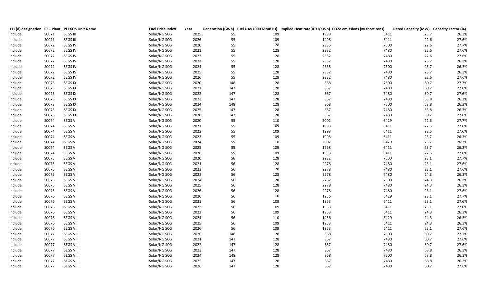|         |       | 111(d) designation CEC Plant II PLEXOS Unit Name | <b>Fuel Price Index</b> | Year | Generation (GWh) Fuel Use(1000 MMBTU) Implied Heat rate(BTU/KWh) CO2e emissions (M short tons) |      |      | Rated Capacity (MW) Capacity Factor (%) |       |
|---------|-------|--------------------------------------------------|-------------------------|------|------------------------------------------------------------------------------------------------|------|------|-----------------------------------------|-------|
| include | S0071 | <b>SEGS III</b>                                  | Solar/NG SCG            | 2025 | 55<br>109                                                                                      | 1998 | 6411 | 23.7                                    | 26.3% |
| include | S0071 | SEGS III                                         | Solar/NG SCG            | 2026 | 55<br>109                                                                                      | 1998 | 6411 | 22.6                                    | 27.6% |
| include | S0072 | <b>SEGS IV</b>                                   | Solar/NG SCG            | 2020 | 55<br>128                                                                                      | 2335 | 7500 | 22.6                                    | 27.7% |
| include | S0072 | <b>SEGS IV</b>                                   | Solar/NG SCG            | 2021 | 55<br>128                                                                                      | 2332 | 7480 | 22.6                                    | 27.6% |
| include | S0072 | <b>SEGS IV</b>                                   | Solar/NG SCG            | 2022 | 128<br>55                                                                                      | 2332 | 7480 | 22.6                                    | 27.6% |
| include | S0072 | SEGS IV                                          | Solar/NG SCG            | 2023 | 55<br>128                                                                                      | 2332 | 7480 | 23.7                                    | 26.3% |
| include | S0072 | <b>SEGS IV</b>                                   | Solar/NG SCG            | 2024 | 55<br>128                                                                                      | 2335 | 7500 | 23.7                                    | 26.3% |
| include | S0072 | SEGS IV                                          | Solar/NG SCG            | 2025 | 55<br>128                                                                                      | 2332 | 7480 | 23.7                                    | 26.3% |
| include | S0072 | <b>SEGS IV</b>                                   | Solar/NG SCG            | 2026 | 55<br>128                                                                                      | 2332 | 7480 | 22.6                                    | 27.6% |
| include | S0073 | <b>SEGS IX</b>                                   | Solar/NG SCG            | 2020 | 128<br>148                                                                                     | 868  | 7500 | 60.7                                    | 27.7% |
| include | S0073 | SEGS IX                                          | Solar/NG SCG            | 2021 | 147<br>128                                                                                     | 867  | 7480 | 60.7                                    | 27.6% |
| include | S0073 | <b>SEGS IX</b>                                   | Solar/NG SCG            | 2022 | 147<br>128                                                                                     | 867  | 7480 | 60.7                                    | 27.6% |
| include | S0073 | <b>SEGS IX</b>                                   | Solar/NG SCG            | 2023 | 147<br>128                                                                                     | 867  | 7480 | 63.8                                    | 26.3% |
| include | S0073 | <b>SEGS IX</b>                                   | Solar/NG SCG            | 2024 | 148<br>128                                                                                     | 868  | 7500 | 63.8                                    | 26.3% |
| include | S0073 | <b>SEGS IX</b>                                   | Solar/NG SCG            | 2025 | 147<br>128                                                                                     | 867  | 7480 | 63.8                                    | 26.3% |
| include | S0073 | <b>SEGS IX</b>                                   | Solar/NG SCG            | 2026 | 147<br>128                                                                                     | 867  | 7480 | 60.7                                    | 27.6% |
| include | S0074 | SEGS V                                           | Solar/NG SCG            | 2020 | 55<br>110                                                                                      | 2002 | 6429 | 22.6                                    | 27.7% |
| include | S0074 | SEGS V                                           | Solar/NG SCG            | 2021 | 55<br>109                                                                                      | 1998 | 6411 | 22.6                                    | 27.6% |
| include | S0074 | SEGS V                                           | Solar/NG SCG            | 2022 | 109<br>55                                                                                      | 1998 | 6411 | 22.6                                    | 27.6% |
| include | S0074 | SEGS V                                           | Solar/NG SCG            | 2023 | 55<br>109                                                                                      | 1998 | 6411 | 23.7                                    | 26.3% |
| include | S0074 | SEGS V                                           | Solar/NG SCG            | 2024 | 55<br>110                                                                                      | 2002 | 6429 | 23.7                                    | 26.3% |
| include | S0074 | SEGS V                                           | Solar/NG SCG            | 2025 | 55<br>109                                                                                      | 1998 | 6411 | 23.7                                    | 26.3% |
| include | S0074 | SEGS V                                           | Solar/NG SCG            | 2026 | 55<br>109                                                                                      | 1998 | 6411 | 22.6                                    | 27.6% |
| include | S0075 | <b>SEGS VI</b>                                   | Solar/NG SCG            | 2020 | 56<br>128                                                                                      | 2282 | 7500 | 23.1                                    | 27.7% |
| include | S0075 | <b>SEGS VI</b>                                   | Solar/NG SCG            | 2021 | 56<br>128                                                                                      | 2278 | 7480 | 23.1                                    | 27.6% |
| include | S0075 | <b>SEGS VI</b>                                   | Solar/NG SCG            | 2022 | 128<br>56                                                                                      | 2278 | 7480 | 23.1                                    | 27.6% |
| include | S0075 | <b>SEGS VI</b>                                   | Solar/NG SCG            | 2023 | 56<br>128                                                                                      | 2278 | 7480 | 24.3                                    | 26.3% |
| include | S0075 | <b>SEGS VI</b>                                   | Solar/NG SCG            | 2024 | 56<br>128                                                                                      | 2282 | 7500 | 24.3                                    | 26.3% |
| include | S0075 | SEGS VI                                          | Solar/NG SCG            | 2025 | 56<br>128                                                                                      | 2278 | 7480 | 24.3                                    | 26.3% |
| include | S0075 | <b>SEGS VI</b>                                   | Solar/NG SCG            | 2026 | 56<br>128                                                                                      | 2278 | 7480 | 23.1                                    | 27.6% |
| include | S0076 | <b>SEGS VII</b>                                  | Solar/NG SCG            | 2020 | 110<br>56                                                                                      | 1956 | 6429 | 23.1                                    | 27.7% |
| include | S0076 | <b>SEGS VII</b>                                  | Solar/NG SCG            | 2021 | 56<br>109                                                                                      | 1953 | 6411 | 23.1                                    | 27.6% |
| include | S0076 | <b>SEGS VII</b>                                  | Solar/NG SCG            | 2022 | 56<br>109                                                                                      | 1953 | 6411 | 23.1                                    | 27.6% |
| include | S0076 | <b>SEGS VII</b>                                  | Solar/NG SCG            | 2023 | 56<br>109                                                                                      | 1953 | 6411 | 24.3                                    | 26.3% |
| include | S0076 | <b>SEGS VII</b>                                  | Solar/NG SCG            | 2024 | 56<br>110                                                                                      | 1956 | 6429 | 24.3                                    | 26.3% |
| include | S0076 | <b>SEGS VII</b>                                  | Solar/NG SCG            | 2025 | 56<br>109                                                                                      | 1953 | 6411 | 24.3                                    | 26.3% |
| include | S0076 | <b>SEGS VII</b>                                  | Solar/NG SCG            | 2026 | 56<br>109                                                                                      | 1953 | 6411 | 23.1                                    | 27.6% |
| include | S0077 | SEGS VIII                                        | Solar/NG SCG            | 2020 | 148<br>128                                                                                     | 868  | 7500 | 60.7                                    | 27.7% |
| include | S0077 | <b>SEGS VIII</b>                                 | Solar/NG SCG            | 2021 | 128<br>147                                                                                     | 867  | 7480 | 60.7                                    | 27.6% |
| include | S0077 | SEGS VIII                                        | Solar/NG SCG            | 2022 | 147<br>128                                                                                     | 867  | 7480 | 60.7                                    | 27.6% |
| include | S0077 | SEGS VIII                                        | Solar/NG SCG            | 2023 | 147<br>128                                                                                     | 867  | 7480 | 63.8                                    | 26.3% |
| include | S0077 | <b>SEGS VIII</b>                                 | Solar/NG SCG            | 2024 | 128<br>148                                                                                     | 868  | 7500 | 63.8                                    | 26.3% |
| include | S0077 | <b>SEGS VIII</b>                                 | Solar/NG SCG            | 2025 | 147<br>128                                                                                     | 867  | 7480 | 63.8                                    | 26.3% |
| include | S0077 | <b>SEGS VIII</b>                                 | Solar/NG SCG            | 2026 | 147<br>128                                                                                     | 867  | 7480 | 60.7                                    | 27.6% |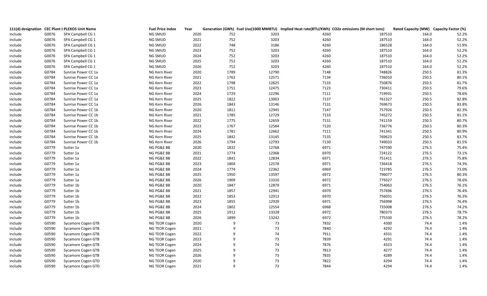|         |       | 111(d) designation CEC Plant II PLEXOS Unit Name | <b>Fuel Price Index</b> | Year | Generation (GWh) Fuel Use(1000 MMBTU) Implied Heat rate(BTU/KWh) CO2e emissions (M short tons) |      |        | Rated Capacity (MW) Capacity Factor (%) |       |
|---------|-------|--------------------------------------------------|-------------------------|------|------------------------------------------------------------------------------------------------|------|--------|-----------------------------------------|-------|
| include | G0076 | SPA Campbell CG 1                                | NG SMUD                 | 2020 | 752<br>3203                                                                                    | 4260 | 187510 | 164.0                                   | 52.2% |
| include | G0076 | SPA Campbell CG 1                                | NG SMUD                 | 2021 | 3203<br>752                                                                                    | 4260 | 187510 | 164.0                                   | 52.2% |
| include | G0076 | SPA Campbell CG 1                                | NG SMUD                 | 2022 | 748<br>3186                                                                                    | 4260 | 186528 | 164.0                                   | 51.9% |
| include | G0076 | SPA Campbell CG 1                                | NG SMUD                 | 2023 | 752<br>3203                                                                                    | 4260 | 187510 | 164.0                                   | 52.2% |
| include | G0076 | SPA Campbell CG 1                                | NG SMUD                 | 2024 | 752<br>3203                                                                                    | 4260 | 187510 | 164.0                                   | 52.2% |
| include | G0076 | SPA Campbell CG 1                                | NG SMUD                 | 2025 | 752<br>3203                                                                                    | 4260 | 187510 | 164.0                                   | 52.2% |
| include | G0076 | SPA Campbell CG 1                                | NG SMUD                 | 2026 | 752<br>3203                                                                                    | 4260 | 187510 | 164.0                                   | 52.2% |
| include | G0784 | Sunrise Power CC 1a                              | NG Kern River           | 2020 | 1789<br>12790                                                                                  | 7148 | 748826 | 250.5                                   | 81.3% |
| include | G0784 | Sunrise Power CC 1a                              | NG Kern River           | 2021 | 12571<br>1762                                                                                  | 7134 | 736010 | 250.5                                   | 80.1% |
| include | G0784 | Sunrise Power CC 1a                              | NG Kern River           | 2022 | 1798<br>12825                                                                                  | 7133 | 750876 | 250.5                                   | 81.7% |
| include | G0784 | Sunrise Power CC 1a                              | NG Kern River           | 2023 | 12475<br>1751                                                                                  | 7123 | 730411 | 250.5                                   | 79.6% |
| include | G0784 | Sunrise Power CC 1a                              | NG Kern River           | 2024 | 12296<br>1729                                                                                  | 7111 | 719931 | 250.5                                   | 78.6% |
| include | G0784 | Sunrise Power CC 1a                              | NG Kern River           | 2025 | 1822<br>13003                                                                                  | 7137 | 761327 | 250.5                                   | 82.8% |
| include | G0784 | Sunrise Power CC 1a                              | NG Kern River           | 2026 | 1843<br>13146                                                                                  | 7131 | 769673 | 250.5                                   | 83.8% |
| include | G0784 | Sunrise Power CC 1b                              | NG Kern River           | 2020 | 12945<br>1811                                                                                  | 7147 | 757926 | 250.5                                   | 82.3% |
| include | G0784 | Sunrise Power CC 1b                              | NG Kern River           | 2021 | 1785<br>12729                                                                                  | 7133 | 745272 | 250.5                                   | 81.1% |
| include | G0784 | Sunrise Power CC 1b                              | NG Kern River           | 2022 | 1775<br>12659                                                                                  | 7131 | 741159 | 250.5                                   | 80.7% |
| include | G0784 | Sunrise Power CC 1b                              | NG Kern River           | 2023 | 1767<br>12584                                                                                  | 7120 | 736776 | 250.5                                   | 80.3% |
| include | G0784 | Sunrise Power CC 1b                              | NG Kern River           | 2024 | 1781<br>12662                                                                                  | 7111 | 741341 | 250.5                                   | 80.9% |
| include | G0784 | Sunrise Power CC 1b                              | NG Kern River           | 2025 | 1842<br>13145                                                                                  | 7135 | 769623 | 250.5                                   | 83.7% |
| include | G0784 | Sunrise Power CC 1b                              | NG Kern River           | 2026 | 1794<br>12793                                                                                  | 7130 | 749033 | 250.5                                   | 81.5% |
| include | G0779 | Sutter 1a                                        | NG PG&E BB              | 2020 | 1832<br>12768                                                                                  | 6971 | 747590 | 276.5                                   | 75.4% |
| include | G0779 | Sutter 1a                                        | NG PG&E BB              | 2021 | 1774<br>12368                                                                                  | 6970 | 724122 | 276.5                                   | 73.1% |
| include | G0779 | Sutter 1a                                        | NG PG&E BB              | 2022 | 1841<br>12834                                                                                  | 6971 | 751411 | 276.5                                   | 75.8% |
| include | G0779 | Sutter 1a                                        | NG PG&E BB              | 2023 | 1804<br>12578                                                                                  | 6971 | 736418 | 276.5                                   | 74.3% |
| include | G0779 | Sutter 1a                                        | NG PG&E BB              | 2024 | 1774<br>12362                                                                                  | 6969 | 723785 | 276.5                                   | 73.0% |
| include | G0779 | Sutter 1a                                        | NG PG&E BB              | 2025 | 13597<br>1950                                                                                  | 6972 | 796077 | 276.5                                   | 80.3% |
| include | G0779 | Sutter 1a                                        | NG PG&E BB              | 2026 | 1909<br>13310                                                                                  | 6972 | 779327 | 276.5                                   | 78.6% |
| include | G0779 | Sutter 1b                                        | NG PG&E BB              | 2020 | 12879<br>1847                                                                                  | 6971 | 754063 | 276.5                                   | 76.1% |
| include | G0779 | Sutter 1b                                        | NG PG&E BB              | 2021 | 12941<br>1857                                                                                  | 6970 | 757696 | 276.5                                   | 76.4% |
| include | G0779 | Sutter 1b                                        | NG PG&E BB              | 2022 | 12913<br>1853                                                                                  | 6970 | 756031 | 276.5                                   | 76.3% |
| include | G0779 | Sutter 1b                                        | NG PG&E BB              | 2023 | 1855<br>12929                                                                                  | 6971 | 756998 | 276.5                                   | 76.4% |
| include | G0779 | Sutter 1b                                        | NG PG&E BB              | 2024 | 1802<br>12554                                                                                  | 6968 | 735008 | 276.5                                   | 74.2% |
| include | G0779 | Sutter 1b                                        | NG PG&E BB              | 2025 | 13328<br>1912                                                                                  | 6972 | 780373 | 276.5                                   | 78.7% |
| include | G0779 | Sutter 1b                                        | NG PG&E BB              | 2026 | 13242<br>1899                                                                                  | 6972 | 775330 | 276.5                                   | 78.2% |
| include | G0590 | Sycamore Cogen GTB                               | NG TEOR Cogen           | 2020 | 73<br>-9                                                                                       | 7832 | 4300   | 74.4                                    | 1.4%  |
| include | G0590 | Sycamore Cogen GTB                               | NG TEOR Cogen           | 2021 | 73<br>9                                                                                        | 7840 | 4292   | 74.4                                    | 1.4%  |
| include | G0590 | Sycamore Cogen GTB                               | NG TEOR Cogen           | 2022 | 74<br>9                                                                                        | 7911 | 4331   | 74.4                                    | 1.4%  |
| include | G0590 | Sycamore Cogen GTB                               | NG TEOR Cogen           | 2023 | 73<br>9                                                                                        | 7839 | 4291   | 74.4                                    | 1.4%  |
| include | G0590 | Sycamore Cogen GTB                               | NG TEOR Cogen           | 2024 | 74<br>-9                                                                                       | 7876 | 4323   | 74.4                                    | 1.4%  |
| include | G0590 | Sycamore Cogen GTB                               | NG TEOR Cogen           | 2025 | 73<br>9                                                                                        | 7813 | 4277   | 74.4                                    | 1.4%  |
| include | G0590 | Sycamore Cogen GTB                               | NG TEOR Cogen           | 2026 | 73<br>9                                                                                        | 7835 | 4289   | 74.4                                    | 1.4%  |
| include | G0590 | <b>Sycamore Cogen GTD</b>                        | NG TEOR Cogen           | 2020 | 73<br>9                                                                                        | 7822 | 4294   | 74.4                                    | 1.4%  |
| include | G0590 | <b>Sycamore Cogen GTD</b>                        | NG TEOR Cogen           | 2021 | 73<br>$\mathsf{q}$                                                                             | 7844 | 4294   | 74.4                                    | 1.4%  |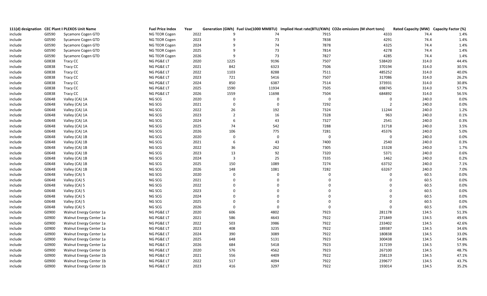|         |       | 111(d) designation CEC Plant II PLEXOS Unit Name | <b>Fuel Price Index</b> | Year |                |             |                | Generation (GWh) Fuel Use(1000 MMBTU) Implied Heat rate(BTU/KWh) CO2e emissions (M short tons) | Rated Capacity (MW) Capacity Factor (%) |       |
|---------|-------|--------------------------------------------------|-------------------------|------|----------------|-------------|----------------|------------------------------------------------------------------------------------------------|-----------------------------------------|-------|
| include | G0590 | Sycamore Cogen GTD                               | NG TEOR Cogen           | 2022 |                | 74          | 7915           | 4333                                                                                           | 74.4                                    | 1.4%  |
| include | G0590 | Sycamore Cogen GTD                               | NG TEOR Cogen           | 2023 | q              | 73          | 7838           | 4291                                                                                           | 74.4                                    | 1.4%  |
| include | G0590 | Sycamore Cogen GTD                               | NG TEOR Cogen           | 2024 | $\mathsf{q}$   | 74          | 7878           | 4325                                                                                           | 74.4                                    | 1.4%  |
| include | G0590 | Sycamore Cogen GTD                               | NG TEOR Cogen           | 2025 | q              | 73          | 7814           | 4278                                                                                           | 74.4                                    | 1.4%  |
| include | G0590 | Sycamore Cogen GTD                               | NG TEOR Cogen           | 2026 | 9              | 73          | 7827           | 4285                                                                                           | 74.4                                    | 1.4%  |
| include | G0838 | Tracy CC                                         | NG PG&E LT              | 2020 | 1225           | 9196        | 7507           | 538420                                                                                         | 314.0                                   | 44.4% |
| include | G0838 | Tracy CC                                         | NG PG&E LT              | 2021 | 842            | 6323        | 7506           | 370194                                                                                         | 314.0                                   | 30.5% |
| include | G0838 | Tracy CC                                         | NG PG&E LT              | 2022 | 1103           | 8288        | 7511           | 485252                                                                                         | 314.0                                   | 40.0% |
| include | G0838 | Tracy CC                                         | NG PG&E LT              | 2023 | 721            | 5416        | 7507           | 317086                                                                                         | 314.0                                   | 26.2% |
| include | G0838 | Tracy CC                                         | NG PG&E LT              | 2024 | 850            | 6387        | 7514           | 373931                                                                                         | 314.0                                   | 30.8% |
| include | G0838 | Tracy CC                                         | NG PG&E LT              | 2025 | 1590           | 11934       | 7505           | 698745                                                                                         | 314.0                                   | 57.7% |
| include | G0838 | Tracy CC                                         | NG PG&E LT              | 2026 | 1559           | 11698       | 7504           | 684892                                                                                         | 314.0                                   | 56.5% |
| include | G0648 | Valley (CA) 1A                                   | NG SCG                  | 2020 | $\mathbf 0$    | $\mathbf 0$ | $\mathbf 0$    | $\pmb{0}$                                                                                      | 240.0                                   | 0.0%  |
| include | G0648 | Valley (CA) 1A                                   | NG SCG                  | 2021 | $\overline{0}$ | $\mathbf 0$ | 7292           | $\overline{2}$                                                                                 | 240.0                                   | 0.0%  |
| include | G0648 | Valley (CA) 1A                                   | NG SCG                  | 2022 | 26             | 192         | 7324           | 11244                                                                                          | 240.0                                   | 1.2%  |
| include | G0648 | Valley (CA) 1A                                   | NG SCG                  | 2023 | $\overline{2}$ | 16          | 7328           | 963                                                                                            | 240.0                                   | 0.1%  |
| include | G0648 | Valley (CA) 1A                                   | NG SCG                  | 2024 | 6              | 43          | 7327           | 2541                                                                                           | 240.0                                   | 0.3%  |
| include | G0648 | Valley (CA) 1A                                   | NG SCG                  | 2025 | 74             | 542         | 7288           | 31718                                                                                          | 240.0                                   | 3.5%  |
| include | G0648 | Valley (CA) 1A                                   | NG SCG                  | 2026 | 106            | 775         | 7281           | 45376                                                                                          | 240.0                                   | 5.0%  |
| include | G0648 | Valley (CA) 1B                                   | NG SCG                  | 2020 | $\Omega$       | $\mathbf 0$ | $\pmb{0}$      | $\mathbf 0$                                                                                    | 240.0                                   | 0.0%  |
| include | G0648 | Valley (CA) 1B                                   | NG SCG                  | 2021 | 6              | 43          | 7400           | 2540                                                                                           | 240.0                                   | 0.3%  |
| include | G0648 | Valley (CA) 1B                                   | NG SCG                  | 2022 | 36             | 262         | 7305           | 15328                                                                                          | 240.0                                   | 1.7%  |
| include | G0648 | Valley (CA) 1B                                   | NG SCG                  | 2023 | 13             | 92          | 7320           | 5371                                                                                           | 240.0                                   | 0.6%  |
| include | G0648 | Valley (CA) 1B                                   | NG SCG                  | 2024 | $\overline{3}$ | 25          | 7335           | 1462                                                                                           | 240.0                                   | 0.2%  |
| include | G0648 | Valley (CA) 1B                                   | NG SCG                  | 2025 | 150            | 1089        | 7274           | 63732                                                                                          | 240.0                                   | 7.1%  |
| include | G0648 | Valley (CA) 1B                                   | NG SCG                  | 2026 | 148            | 1081        | 7282           | 63267                                                                                          | 240.0                                   | 7.0%  |
| include | G0648 | Valley (CA) 5                                    | NG SCG                  | 2020 | $\overline{0}$ | $\Omega$    | $\overline{0}$ | $\mathbf 0$                                                                                    | 60.5                                    | 0.0%  |
| include | G0648 | Valley (CA) 5                                    | NG SCG                  | 2021 | $\Omega$       | $\Omega$    | $\Omega$       | $\Omega$                                                                                       | 60.5                                    | 0.0%  |
| include | G0648 | Valley (CA) 5                                    | NG SCG                  | 2022 | $\Omega$       | $\Omega$    | $\Omega$       | $\mathbf 0$                                                                                    | 60.5                                    | 0.0%  |
| include | G0648 | Valley (CA) 5                                    | NG SCG                  | 2023 | $\Omega$       | $\Omega$    | $\Omega$       | $\mathbf 0$                                                                                    | 60.5                                    | 0.0%  |
| include | G0648 | Valley (CA) 5                                    | NG SCG                  | 2024 | $\Omega$       | $\Omega$    | $\Omega$       | $\Omega$                                                                                       | 60.5                                    | 0.0%  |
| include | G0648 | Valley (CA) 5                                    | NG SCG                  | 2025 | $\Omega$       | $\Omega$    | $\Omega$       | $\mathbf 0$                                                                                    | 60.5                                    | 0.0%  |
| include | G0648 | Valley (CA) 5                                    | NG SCG                  | 2026 | $\Omega$       | $\Omega$    | $\overline{0}$ | $\Omega$                                                                                       | 60.5                                    | 0.0%  |
| include | G0900 | Walnut Energy Center 1a                          | NG PG&E LT              | 2020 | 606            | 4802        | 7923           | 281178                                                                                         | 134.5                                   | 51.3% |
| include | G0900 | Walnut Energy Center 1a                          | NG PG&E LT              | 2021 | 586            | 4643        | 7922           | 271849                                                                                         | 134.5                                   | 49.6% |
| include | G0900 | Walnut Energy Center 1a                          | NG PG&E LT              | 2022 | 503            | 3986        | 7922           | 233402                                                                                         | 134.5                                   | 42.6% |
| include | G0900 | Walnut Energy Center 1a                          | NG PG&E LT              | 2023 | 408            | 3235        | 7922           | 189387                                                                                         | 134.5                                   | 34.6% |
| include | G0900 | Walnut Energy Center 1a                          | NG PG&E LT              | 2024 | 390            | 3089        | 7922           | 180838                                                                                         | 134.5                                   | 33.0% |
| include | G0900 | Walnut Energy Center 1a                          | NG PG&E LT              | 2025 | 648            | 5131        | 7923           | 300438                                                                                         | 134.5                                   | 54.8% |
| include | G0900 | Walnut Energy Center 1a                          | NG PG&E LT              | 2026 | 684            | 5418        | 7923           | 317239                                                                                         | 134.5                                   | 57.9% |
| include | G0900 | Walnut Energy Center 1b                          | NG PG&E LT              | 2020 | 576            | 4562        | 7923           | 267100                                                                                         | 134.5                                   | 48.7% |
| include | G0900 | Walnut Energy Center 1b                          | NG PG&E LT              | 2021 | 556            | 4409        | 7922           | 258119                                                                                         | 134.5                                   | 47.1% |
| include | G0900 | Walnut Energy Center 1b                          | NG PG&E LT              | 2022 | 517            | 4094        | 7922           | 239677                                                                                         | 134.5                                   | 43.7% |
| include | G0900 | Walnut Energy Center 1b                          | NG PG&E LT              | 2023 | 416            | 3297        | 7922           | 193014                                                                                         | 134.5                                   | 35.2% |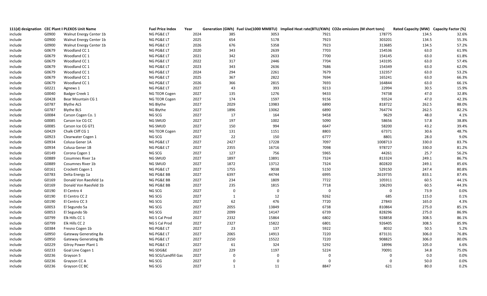|         |       | 111(d) designation CEC Plant II PLEXOS Unit Name | <b>Fuel Price Index</b> | Year | Generation (GWh) Fuel Use(1000 MMBTU) Implied Heat rate(BTU/KWh) CO2e emissions (M short tons) |                               |             | Rated Capacity (MW) Capacity Factor (%) |       |
|---------|-------|--------------------------------------------------|-------------------------|------|------------------------------------------------------------------------------------------------|-------------------------------|-------------|-----------------------------------------|-------|
| include | G0900 | Walnut Energy Center 1b                          | NG PG&E LT              | 2024 | 385<br>3053                                                                                    | 7921                          | 178775      | 134.5                                   | 32.6% |
| include | G0900 | Walnut Energy Center 1b                          | NG PG&E LT              | 2025 | 654<br>5178                                                                                    | 7923                          | 303201      | 134.5                                   | 55.3% |
| include | G0900 | Walnut Energy Center 1b                          | NG PG&E LT              | 2026 | 676<br>5358                                                                                    | 7923                          | 313685      | 134.5                                   | 57.2% |
| include | G0679 | Woodland CC 1                                    | NG PG&E LT              | 2020 | 343<br>2639                                                                                    | 7703                          | 154536      | 63.0                                    | 61.9% |
| include | G0679 | Woodland CC 1                                    | NG PG&E LT              | 2021 | 2633<br>342                                                                                    | 7700                          | 154145      | 63.0                                    | 61.8% |
| include | G0679 | Woodland CC 1                                    | NG PG&E LT              | 2022 | 317<br>2446                                                                                    | 7704                          | 143195      | 63.0                                    | 57.4% |
| include | G0679 | Woodland CC 1                                    | NG PG&E LT              | 2023 | 343<br>2636                                                                                    | 7686                          | 154349      | 63.0                                    | 62.0% |
| include | G0679 | Woodland CC 1                                    | NG PG&E LT              | 2024 | 294<br>2261                                                                                    | 7679                          | 132357      | 63.0                                    | 53.2% |
| include | G0679 | Woodland CC 1                                    | NG PG&E LT              | 2025 | 367<br>2822                                                                                    | 7694                          | 165241      | 63.0                                    | 66.3% |
| include | G0679 | Woodland CC 1                                    | NG PG&E LT              | 2026 | 2815<br>366                                                                                    | 7693                          | 164844      | 63.0                                    | 66.1% |
| include | G0221 | Agnews 1                                         | NG PG&E LT              | 2027 | 393<br>43                                                                                      | 9213                          | 22994       | 30.5                                    | 15.9% |
| include | G0040 | Badger Creek 1                                   | NG TEOR Cogen           | 2027 | 1276<br>135                                                                                    | 9433                          | 74738       | 47.0                                    | 32.8% |
| include | G0428 | Bear Mountain CG 1                               | NG TEOR Cogen           | 2027 | 174<br>1597                                                                                    | 9156                          | 93524       | 47.0                                    | 42.3% |
| include | G0787 | <b>Blythe ALS</b>                                | NG Blythe               | 2027 | 2029<br>13983                                                                                  | 6890                          | 818722      | 262.5                                   | 88.0% |
| include | G0787 | <b>Blythe BLS</b>                                | NG Blythe               | 2027 | 1896<br>13062                                                                                  | 6890                          | 764774      | 262.5                                   | 82.2% |
| include | G0084 | Carson Cogen Co. 1                               | NG SCG                  | 2027 | 17<br>164                                                                                      | 9458                          | 9629        | 48.0                                    | 4.1%  |
| include | G0085 | Carson Ice CG CC                                 | NG SMUD                 | 2027 | 197<br>1002                                                                                    | 5090                          | 58656       | 57.8                                    | 38.8% |
| include | G0085 | Carson Ice CG GT1                                | NG SMUD                 | 2027 | 994<br>150                                                                                     | 6647                          | 58200       | 43.2                                    | 39.4% |
| include | G0429 | Chalk Cliff CG 1                                 | NG TEOR Cogen           | 2027 | 131<br>1151                                                                                    | 8803                          | 67371       | 30.6                                    | 48.7% |
| include | G0923 | Clearwater Cogen 1                               | NG SCG                  | 2027 | 22<br>150                                                                                      | 6777                          | 8801        | 28.0                                    | 9.0%  |
| include | G0934 | Colusa Gener 1A                                  | NG PG&E LT              | 2027 | 17228<br>2427                                                                                  | 7097                          | 1008713     | 330.0                                   | 83.7% |
| include | G0934 | Colusa Gener 1B                                  | NG PG&E LT              | 2027 | 2355<br>16716                                                                                  | 7098                          | 978727      | 330.0                                   | 81.2% |
| Include | G0149 | Corona Cogen 1                                   | NG SCG                  | 2027 | 127<br>756                                                                                     | 5965                          | 44261       | 25.7                                    | 56.2% |
| include | G0889 | Cosumnes River 1a                                | NG SMUD                 | 2027 | 1897<br>13891                                                                                  | 7324                          | 813324      | 249.1                                   | 86.7% |
| include | G0889 | Cosumnes River 1b                                | NG SMUD                 | 2027 | 1872<br>13712                                                                                  | 7324                          | 802820      | 249.1                                   | 85.6% |
| include | G0161 | Crockett Cogen 1                                 | NG PG&E LT              | 2027 | 1755<br>9038                                                                                   | 5150                          | 529150      | 247.4                                   | 80.8% |
| include | G0783 | Delta Energy 1a                                  | NG PG&E BB              | 2027 | 6397<br>44744                                                                                  | 6995                          | 2619735     | 833.1                                   | 87.4% |
| include | G0169 | Donald Von Raesfeld 1a                           | NG PG&E BB              | 2027 | 234<br>1809                                                                                    | 7722                          | 105911      | 60.5                                    | 44.1% |
| include | G0169 | Donald Von Raesfeld 1b                           | NG PG&E BB              | 2027 | 1815<br>235                                                                                    | 7718                          | 106293      | 60.5                                    | 44.3% |
| include | G0190 | El Centro 4                                      | NG SCG                  | 2027 | $\mathbf 0$<br>$\overline{0}$                                                                  | $\boldsymbol{0}$              | $\mathbf 0$ | 73.9                                    | 0.0%  |
| include | G0190 | El Centro CC 2                                   | NG SCG                  | 2027 | 12<br>$\mathbf{1}$                                                                             | 9262                          | 685         | 115.0                                   | 0.1%  |
| include | G0190 | El Centro CC 3                                   | NG SCG                  | 2027 | 62<br>476                                                                                      | 7720                          | 27843       | 165.0                                   | 4.3%  |
| include | G0053 | El Segundo 5a                                    | NG SCG                  | 2027 | 2055<br>13849                                                                                  | 6738                          | 810864      | 275.0                                   | 85.1% |
| include | G0053 | El Segundo 5b                                    | NG SCG                  | 2027 | 2099<br>14147                                                                                  | 6739                          | 828296      | 275.0                                   | 86.9% |
| include | G0799 | Elk Hills CC 1                                   | NG S Cal Prod           | 2027 | 2332<br>15864                                                                                  | 6802                          | 928858      | 308.5                                   | 86.1% |
| include | G0799 | Elk Hills CC 2                                   | NG S Cal Prod           | 2027 | 2327<br>15822                                                                                  | 6801                          | 926405      | 308.5                                   | 85.9% |
| include | G0384 | Fresno Cogen 1b                                  | NG PG&E LT              | 2027 | 23<br>137                                                                                      | 5922                          | 8032        | 50.5                                    | 5.2%  |
| include | G0950 | Gateway Generating 8a                            | NG PG&E LT              | 2027 | 2065<br>14913                                                                                  | 7220                          | 873131      | 306.0                                   | 76.8% |
| include | G0950 | Gateway Generating 8b                            | NG PG&E LT              | 2027 | 2150<br>15522                                                                                  | 7220                          | 908825      | 306.0                                   | 80.0% |
| include | G0229 | Gilroy Power Plant 1                             | NG PG&E LT              | 2027 | 61<br>324                                                                                      | 5292                          | 18996       | 105.0                                   | 6.6%  |
| include | G0233 | Goal Line Cogen 1                                | NG SDG&E                | 2027 | 229<br>1197                                                                                    | 5224                          | 70091       | 34.8                                    | 75.0% |
| include | G0236 | Grayson 5                                        | NG SCG/Landfill Gas     | 2027 | $\Omega$                                                                                       | $\mathbf 0$<br>$\overline{0}$ | $\mathbf 0$ | 0.0                                     | 0.0%  |
| include | G0236 | Grayson CC A                                     | NG SCG                  | 2027 | $\mathbf 0$<br>$\mathbf 0$                                                                     | $\Omega$                      | $\Omega$    | 50.0                                    | 0.0%  |
| include | G0236 | Grayson CC BC                                    | NG SCG                  | 2027 | 11<br>$\overline{1}$                                                                           | 8847                          | 621         | 80.0                                    | 0.2%  |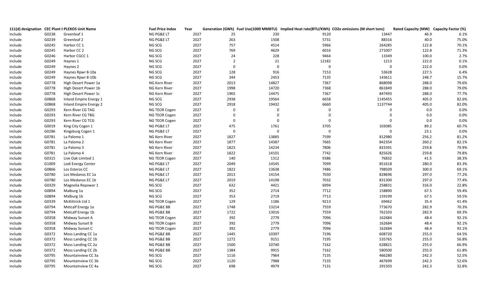|         |       | 111(d) designation CEC Plant II PLEXOS Unit Name | <b>Fuel Price Index</b> | Year |                |             |             | Generation (GWh) Fuel Use(1000 MMBTU) Implied Heat rate(BTU/KWh) CO2e emissions (M short tons) | Rated Capacity (MW) Capacity Factor (%) |       |
|---------|-------|--------------------------------------------------|-------------------------|------|----------------|-------------|-------------|------------------------------------------------------------------------------------------------|-----------------------------------------|-------|
| include | G0238 | Greenleaf 1                                      | NG PG&E LT              | 2027 | 25             | 230         | 9120        | 13447                                                                                          | 46.9                                    | 6.1%  |
| include | G0239 | Greenleaf 2                                      | NG PG&E LT              | 2027 | 263            | 1508        | 5731        | 88316                                                                                          | 40.0                                    | 75.0% |
| include | G0245 | Harbor CC 1                                      | NG SCG                  | 2027 | 757            | 4514        | 5966        | 264285                                                                                         | 122.8                                   | 70.1% |
| include | G0245 | Harbor CC 2                                      | NG SCG                  | 2027 | 769            | 4629        | 6016        | 271007                                                                                         | 122.8                                   | 71.3% |
| include | G0246 | Harbor CGCC 1                                    | NG SCG                  | 2027 | 24             | 228         | 9464        | 13349                                                                                          | 100.0                                   | 2.7%  |
| include | G0249 | Haynes 1                                         | NG SCG                  | 2027 | $\overline{2}$ | 21          | 12182       | 1213                                                                                           | 222.0                                   | 0.1%  |
| include | G0249 | Haynes 2                                         | NG SCG                  | 2027 | $\Omega$       | $\Omega$    | $\mathbf 0$ | $\Omega$                                                                                       | 222.0                                   | 0.0%  |
| include | G0249 | Haynes Rpwr 8-10a                                | NG SCG                  | 2027 | 128            | 916         | 7153        | 53628                                                                                          | 227.5                                   | 6.4%  |
| include | G0249 | Haynes Rpwr 8-10b                                | NG SCG                  | 2027 | 344            | 2453        | 7135        | 143611                                                                                         | 248.7                                   | 15.7% |
| include | G0778 | High Desert Power 1a                             | NG Kern River           | 2027 | 2013           | 14827       | 7367        | 868098                                                                                         | 288.0                                   | 79.6% |
| include | G0778 | High Desert Power 1b                             | NG Kern River           | 2027 | 1998           | 14720       | 7368        | 861849                                                                                         | 288.0                                   | 79.0% |
| include | G0778 | High Desert Power 1c                             | NG Kern River           | 2027 | 1965           | 14475       | 7367        | 847493                                                                                         | 288.0                                   | 77.7% |
| include | G0868 | Inland Empire Energy 1                           | NG SCG                  | 2027 | 2938           | 19564       | 6658        | 1145455                                                                                        | 405.0                                   | 82.6% |
| include | G0868 | Inland Empire Energy 2                           | NG SCG                  | 2027 | 2918           | 19432       | 6660        | 1137744                                                                                        | 405.0                                   | 82.0% |
| include | G0293 | Kern River CG TAG                                | NG TEOR Cogen           | 2027 | $\mathbf 0$    | $\Omega$    | $\mathbf 0$ | $\mathbf 0$                                                                                    | 0.0                                     | 0.0%  |
| include | G0293 | Kern River CG TBG                                | NG TEOR Cogen           | 2027 | $\mathbf 0$    | $\Omega$    | $\mathbf 0$ | $\mathbf 0$                                                                                    | 0.0                                     | 0.0%  |
| include | G0293 | Kern River CG TCG                                | NG TEOR Cogen           | 2027 | $\mathbf 0$    | $\Omega$    | $\mathbf 0$ | $\mathbf 0$                                                                                    | 0.0                                     | 0.0%  |
| include | G0019 | King City Cogen 1                                | NG PG&E LT              | 2027 | 475            | 1761        | 3705        | 103085                                                                                         | 89.2                                    | 60.7% |
| include | G0286 | Kingsburg Cogen 1                                | NG PG&E LT              | 2027 | $\overline{0}$ | $\mathbf 0$ | $\mathbf 0$ | $\mathbf 0$                                                                                    | 23.1                                    | 0.0%  |
| include | G0781 | La Paloma 1                                      | NG Kern River           | 2027 | 1827           | 13885       | 7599        | 812980                                                                                         | 256.2                                   | 81.2% |
| include | G0781 | La Paloma 2                                      | NG Kern River           | 2027 | 1877           | 14387       | 7665        | 842354                                                                                         | 260.2                                   | 82.1% |
| include | G0781 | La Paloma 3                                      | NG Kern River           | 2027 | 1823           | 14234       | 7806        | 833391                                                                                         | 259.8                                   | 79.9% |
| include | G0781 | La Paloma 4                                      | NG Kern River           | 2027 | 1822           | 14101       | 7742        | 825626                                                                                         | 259.8                                   | 79.8% |
| include | G0315 | Live Oak Limited 1                               | NG TEOR Cogen           | 2027 | 140            | 1312        | 9386        | 76832                                                                                          | 41.5                                    | 38.3% |
| include | G1009 | Lodi Energy Center                               | NG PG&E LT              | 2027 | 2049           | 14545       | 7099        | 851618                                                                                         | 280.0                                   | 83.3% |
| include | G0866 | Los Esteros CC                                   | NG PG&E LT              | 2027 | 1822           | 13638       | 7486        | 798509                                                                                         | 300.0                                   | 69.1% |
| include | G0780 | Los Medanos EC 1a                                | NG PG&E LT              | 2027 | 2013           | 14154       | 7030        | 828696                                                                                         | 297.0                                   | 77.2% |
| include | G0780 | Los Medanos EC 1b                                | NG PG&E LT              | 2027 | 2019           | 14198       | 7032        | 831300                                                                                         | 297.0                                   | 77.4% |
| include | G0329 | Magnolia Repower 1                               | NG SCG                  | 2027 | 632            | 4421        | 6994        | 258831                                                                                         | 316.0                                   | 22.8% |
| include | G0894 | Malburg 1a                                       | NG SCG                  | 2027 | 352            | 2714        | 7712        | 158890                                                                                         | 67.5                                    | 59.4% |
| include | G0894 | Malburg 1b                                       | NG SCG                  | 2027 | 353            | 2719        | 7713        | 159199                                                                                         | 67.5                                    | 59.5% |
| include | G0339 | McKittrick Ltd 1                                 | NG TEOR Cogen           | 2027 | 129            | 1186        | 9213        | 69462                                                                                          | 35.4                                    | 41.4% |
| include | G0794 | Metcalf Energy 1a                                | NG PG&E BB              | 2027 | 1748           | 13214       | 7559        | 773670                                                                                         | 282.9                                   | 70.3% |
| include | G0794 | Metcalf Energy 1b                                | NG PG&E BB              | 2027 | 1722           | 13016       | 7559        | 762103                                                                                         | 282.9                                   | 69.3% |
| include | G0358 | Midway Sunset A                                  | NG TEOR Cogen           | 2027 | 392            | 2779        | 7096        | 162684                                                                                         | 48.4                                    | 92.1% |
| include | G0358 | Midway Sunset B                                  | NG TEOR Cogen           | 2027 | 392            | 2779        | 7096        | 162684                                                                                         | 48.4                                    | 92.1% |
| include | G0358 | Midway Sunset C                                  | NG TEOR Cogen           | 2027 | 392            | 2779        | 7096        | 162684                                                                                         | 48.4                                    | 92.1% |
| include | G0372 | Moss Landing CC 1a                               | NG PG&E BB              | 2027 | 1445           | 10397       | 7196        | 608720                                                                                         | 255.0                                   | 64.5% |
| include | G0372 | Moss Landing CC 1b                               | NG PG&E BB              | 2027 | 1272           | 9151        | 7195        | 535765                                                                                         | 255.0                                   | 56.8% |
| include | G0372 | Moss Landing CC 2a                               | NG PG&E BB              | 2027 | 1500           | 10740       | 7162        | 628821                                                                                         | 255.0                                   | 66.9% |
| include | G0372 | Moss Landing CC 2b                               | NG PG&E BB              | 2027 | 1384           | 9915        | 7162        | 580500                                                                                         | 255.0                                   | 61.8% |
| include | G0795 | Mountainview CC 3a                               | NG SCG                  | 2027 | 1116           | 7964        | 7135        | 466280                                                                                         | 242.3                                   | 52.5% |
| include | G0795 | Mountainview CC 3b                               | NG SCG                  | 2027 | 1120           | 7988        | 7135        | 467699                                                                                         | 242.3                                   | 52.6% |
| include | G0795 | Mountainview CC 4a                               | NG SCG                  | 2027 | 698            | 4979        | 7131        | 291503                                                                                         | 242.3                                   | 32.8% |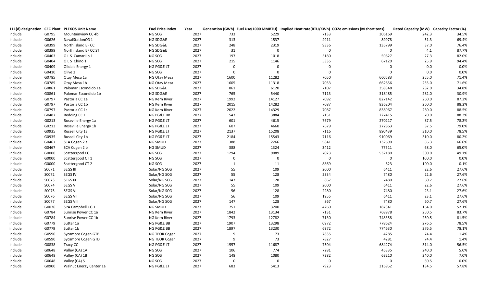|         |       | 111(d) designation CEC Plant II PLEXOS Unit Name | <b>Fuel Price Index</b> | Year | Generation (GWh) Fuel Use(1000 MMBTU) Implied Heat rate(BTU/KWh) CO2e emissions (M short tons) |              |                |             | Rated Capacity (MW) Capacity Factor (%) |       |
|---------|-------|--------------------------------------------------|-------------------------|------|------------------------------------------------------------------------------------------------|--------------|----------------|-------------|-----------------------------------------|-------|
| include | G0795 | Mountainview CC 4b                               | NG SCG                  | 2027 | 733                                                                                            | 5229         | 7133           | 306169      | 242.3                                   | 34.5% |
| include | G0626 | NavalStationCG 1                                 | NG SDG&E                | 2027 | 313                                                                                            | 1537         | 4911           | 89978       | 51.3                                    | 69.4% |
| include | G0399 | North Island EF CC                               | NG SDG&E                | 2027 | 248                                                                                            | 2319         | 9336           | 135799      | 37.0                                    | 76.4% |
| include | G0399 | North Island EF CC ST                            | NG SDG&E                | 2027 | 31                                                                                             | $\mathbf 0$  | $\mathbf 0$    | $\mathbf 0$ | 4.1                                     | 87.7% |
| include | G0403 | O L S Camarillo 1                                | NG SCG                  | 2027 | 197                                                                                            | 1018         | 5180           | 59627       | 27.3                                    | 82.0% |
| include | G0404 | OLS Chino 1                                      | NG SCG                  | 2027 | 215                                                                                            | 1146         | 5335           | 67120       | 25.9                                    | 94.4% |
| include | G0409 | Oildale Energy 1                                 | NG PG&E LT              | 2027 | $\overline{0}$                                                                                 | $\mathbf 0$  | $\Omega$       | $\mathbf 0$ | 0.0                                     | 0.0%  |
| include | G0410 | Olive 2                                          | NG SCG                  | 2027 | $\mathbf 0$                                                                                    | $\mathbf 0$  | $\mathbf 0$    | $\mathbf 0$ | 0.0                                     | 0.0%  |
| include | G0785 | Otay Mesa 1a                                     | NG Otay Mesa            | 2027 | 1600                                                                                           | 11282        | 7050           | 660583      | 255.0                                   | 71.4% |
| include | G0785 | Otay Mesa 1b                                     | NG Otay Mesa            | 2027 | 1605                                                                                           | 11318        | 7053           | 662656      | 255.0                                   | 71.6% |
| include | G0861 | Palomar Escondido 1a                             | NG SDG&E                | 2027 | 861                                                                                            | 6120         | 7107           | 358348      | 282.0                                   | 34.8% |
| include | G0861 | Palomar Escondido 1b                             | NG SDG&E                | 2027 | 765                                                                                            | 5440         | 7113           | 318485      | 282.0                                   | 30.9% |
| include | G0797 | Pastoria CC 1a                                   | NG Kern River           | 2027 | 1992                                                                                           | 14127        | 7092           | 827142      | 260.0                                   | 87.2% |
| include | G0797 | Pastoria CC 1b                                   | NG Kern River           | 2027 | 2015                                                                                           | 14282        | 7087           | 836204      | 260.0                                   | 88.2% |
| include | G0797 | Pastoria CC 1c                                   | NG Kern River           | 2027 | 2022                                                                                           | 14329        | 7087           | 838967      | 260.0                                   | 88.5% |
| include | G0487 | Redding CC 1                                     | NG PG&E BB              | 2027 | 543                                                                                            | 3884         | 7151           | 227415      | 70.0                                    | 88.3% |
| include | G0213 | Roseville Energy 1a                              | NG PG&E LT              | 2027 | 601                                                                                            | 4615         | 7679           | 270217      | 87.5                                    | 78.2% |
| include | G0213 | Roseville Energy 1b                              | NG PG&E LT              | 2027 | 607                                                                                            | 4660         | 7679           | 272863      | 87.5                                    | 79.0% |
| include | G0935 | Russell City 1a                                  | NG PG&E LT              | 2027 | 2137                                                                                           | 15208        | 7116           | 890439      | 310.0                                   | 78.5% |
| include | G0935 | Russell City 1b                                  | NG PG&E LT              | 2027 | 2184                                                                                           | 15543        | 7116           | 910069      | 310.0                                   | 80.2% |
| include | G0467 | SCA Cogen 2 a                                    | NG SMUD                 | 2027 | 388                                                                                            | 2266         | 5841           | 132690      | 66.3                                    | 66.6% |
| include | G0467 | SCA Cogen 2 b                                    | NG SMUD                 | 2027 | 388                                                                                            | 1324         | 3412           | 77511       | 68.0                                    | 65.0% |
| include | G0000 | Scattergood CC                                   | NG SCG                  | 2027 | 1294                                                                                           | 9089         | 7023           | 532180      | 300.0                                   | 49.1% |
| include | G0000 | Scattergood CT 1                                 | NG SCG                  | 2027 | $\mathbf 0$                                                                                    | $\mathbf 0$  | $\mathbf 0$    | $\mathbf 0$ | 100.0                                   | 0.0%  |
| include | G0000 | Scattergood CT 2                                 | NG SCG                  | 2027 | $\mathbf{1}$                                                                                   | 11           | 8869           | 623         | 100.0                                   | 0.1%  |
| include | S0071 | SEGS III                                         | Solar/NG SCG            | 2027 | 55                                                                                             | 109          | 2000           | 6411        | 22.6                                    | 27.6% |
| include | S0072 | SEGS IV                                          | Solar/NG SCG            | 2027 | 55                                                                                             | 128          | 2334           | 7480        | 22.6                                    | 27.6% |
| include | S0073 | <b>SEGS IX</b>                                   | Solar/NG SCG            | 2027 | 147                                                                                            | 128          | 867            | 7480        | 60.7                                    | 27.6% |
| include | S0074 | SEGS V                                           | Solar/NG SCG            | 2027 | 55                                                                                             | 109          | 2000           | 6411        | 22.6                                    | 27.6% |
| include | S0075 | <b>SEGS VI</b>                                   | Solar/NG SCG            | 2027 | 56                                                                                             | 128          | 2280           | 7480        | 23.1                                    | 27.6% |
| include | S0076 | <b>SEGS VII</b>                                  | Solar/NG SCG            | 2027 | 56                                                                                             | 109          | 1955           | 6411        | 23.1                                    | 27.6% |
| include | S0077 | <b>SEGS VIII</b>                                 | Solar/NG SCG            | 2027 | 147                                                                                            | 128          | 867            | 7480        | 60.7                                    | 27.6% |
| include | G0076 | SPA Campbell CG 1                                | NG SMUD                 | 2027 | 751                                                                                            | 3200         | 4260           | 187341      | 164.0                                   | 52.1% |
| include | G0784 | Sunrise Power CC 1a                              | NG Kern River           | 2027 | 1842                                                                                           | 13134        | 7131           | 768978      | 250.5                                   | 83.7% |
| include | G0784 | Sunrise Power CC 1b                              | NG Kern River           | 2027 | 1793                                                                                           | 12782        | 7130           | 748358      | 250.5                                   | 81.5% |
| include | G0779 | Sutter 1a                                        | NG PG&E BB              | 2027 | 1907                                                                                           | 13298        | 6972           | 778624      | 276.5                                   | 78.5% |
| include | G0779 | Sutter 1b                                        | NG PG&E BB              | 2027 | 1897                                                                                           | 13230        | 6972           | 774630      | 276.5                                   | 78.1% |
| include | G0590 | Sycamore Cogen GTB                               | NG TEOR Cogen           | 2027 | -9                                                                                             | 73           | 7835           | 4285        | 74.4                                    | 1.4%  |
| include | G0590 | Sycamore Cogen GTD                               | NG TEOR Cogen           | 2027 | -9                                                                                             | 73           | 7827           | 4281        | 74.4                                    | 1.4%  |
| include | G0838 | Tracy CC                                         | NG PG&E LT              | 2027 | 1557                                                                                           | 11687        | 7504           | 684274      | 314.0                                   | 56.5% |
| include | G0648 | Valley (CA) 1A                                   | NG SCG                  | 2027 | 106                                                                                            | 774          | 7281           | 45335       | 240.0                                   | 5.0%  |
| include | G0648 | Valley (CA) 1B                                   | NG SCG                  | 2027 | 148                                                                                            | 1080         | 7282           | 63210       | 240.0                                   | 7.0%  |
| include | G0648 | Valley (CA) 5                                    | NG SCG                  | 2027 | $\mathbf{0}$                                                                                   | $\mathbf{0}$ | $\overline{0}$ | $\Omega$    | 60.5                                    | 0.0%  |
| include | G0900 | Walnut Energy Center 1a                          | NG PG&E LT              | 2027 | 683                                                                                            | 5413         | 7923           | 316952      | 134.5                                   | 57.8% |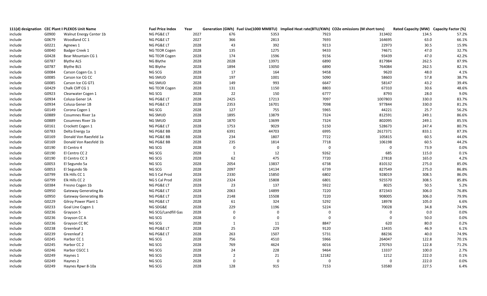|         |       | 111(d) designation CEC Plant II PLEXOS Unit Name | <b>Fuel Price Index</b> | Year |                |              |             | Generation (GWh) Fuel Use(1000 MMBTU) Implied Heat rate(BTU/KWh) CO2e emissions (M short tons) | Rated Capacity (MW) Capacity Factor (%) |       |
|---------|-------|--------------------------------------------------|-------------------------|------|----------------|--------------|-------------|------------------------------------------------------------------------------------------------|-----------------------------------------|-------|
| include | G0900 | Walnut Energy Center 1b                          | NG PG&E LT              | 2027 | 676            | 5353         | 7923        | 313402                                                                                         | 134.5                                   | 57.2% |
| include | G0679 | Woodland CC 1                                    | NG PG&E LT              | 2027 | 366            | 2813         | 7693        | 164695                                                                                         | 63.0                                    | 66.1% |
| include | G0221 | Agnews 1                                         | NG PG&E LT              | 2028 | 43             | 392          | 9213        | 22973                                                                                          | 30.5                                    | 15.9% |
| include | G0040 | Badger Creek 1                                   | NG TEOR Cogen           | 2028 | 135            | 1275         | 9433        | 74671                                                                                          | 47.0                                    | 32.7% |
| include | G0428 | Bear Mountain CG 1                               | NG TEOR Cogen           | 2028 | 174            | 1596         | 9156        | 93439                                                                                          | 47.0                                    | 42.2% |
| include | G0787 | <b>Blythe ALS</b>                                | NG Blythe               | 2028 | 2028           | 13971        | 6890        | 817984                                                                                         | 262.5                                   | 87.9% |
| include | G0787 | <b>Blythe BLS</b>                                | NG Blythe               | 2028 | 1894           | 13050        | 6890        | 764084                                                                                         | 262.5                                   | 82.1% |
| include | G0084 | Carson Cogen Co. 1                               | NG SCG                  | 2028 | 17             | 164          | 9458        | 9620                                                                                           | 48.0                                    | 4.1%  |
| include | G0085 | Carson Ice CG CC                                 | NG SMUD                 | 2028 | 197            | 1001         | 5090        | 58603                                                                                          | 57.8                                    | 38.7% |
| include | G0085 | Carson Ice CG GT1                                | NG SMUD                 | 2028 | 149            | 993          | 6647        | 58147                                                                                          | 43.2                                    | 39.4% |
| include | G0429 | Chalk Cliff CG 1                                 | NG TEOR Cogen           | 2028 | 131            | 1150         | 8803        | 67310                                                                                          | 30.6                                    | 48.6% |
| include | G0923 | Clearwater Cogen 1                               | NG SCG                  | 2028 | 22             | 150          | 6777        | 8793                                                                                           | 28.0                                    | 9.0%  |
| include | G0934 | Colusa Gener 1A                                  | NG PG&E LT              | 2028 | 2425           | 17213        | 7097        | 1007803                                                                                        | 330.0                                   | 83.7% |
| include | G0934 | Colusa Gener 1B                                  | NG PG&E LT              | 2028 | 2353           | 16701        | 7098        | 977844                                                                                         | 330.0                                   | 81.2% |
| Include | G0149 | Corona Cogen 1                                   | NG SCG                  | 2028 | 127            | 755          | 5965        | 44221                                                                                          | 25.7                                    | 56.2% |
| include | G0889 | Cosumnes River 1a                                | NG SMUD                 | 2028 | 1895           | 13879        | 7324        | 812591                                                                                         | 249.1                                   | 86.6% |
| include | G0889 | Cosumnes River 1b                                | NG SMUD                 | 2028 | 1870           | 13699        | 7324        | 802095                                                                                         | 249.1                                   | 85.5% |
| include | G0161 | Crockett Cogen 1                                 | NG PG&E LT              | 2028 | 1753           | 9029         | 5150        | 528673                                                                                         | 247.4                                   | 80.7% |
| include | G0783 | Delta Energy 1a                                  | NG PG&E BB              | 2028 | 6391           | 44703        | 6995        | 2617371                                                                                        | 833.1                                   | 87.3% |
| include | G0169 | Donald Von Raesfeld 1a                           | NG PG&E BB              | 2028 | 234            | 1807         | 7722        | 105815                                                                                         | 60.5                                    | 44.0% |
| include | G0169 | Donald Von Raesfeld 1b                           | NG PG&E BB              | 2028 | 235            | 1814         | 7718        | 106198                                                                                         | 60.5                                    | 44.2% |
| include | G0190 | El Centro 4                                      | NG SCG                  | 2028 | $\mathbf 0$    | $\mathbf 0$  | $\mathbf 0$ | $\mathbf 0$                                                                                    | 73.9                                    | 0.0%  |
| include | G0190 | El Centro CC 2                                   | NG SCG                  | 2028 | 1              | 12           | 9262        | 685                                                                                            | 115.0                                   | 0.1%  |
| include | G0190 | El Centro CC 3                                   | NG SCG                  | 2028 | 62             | 475          | 7720        | 27818                                                                                          | 165.0                                   | 4.2%  |
| include | G0053 | El Segundo 5a                                    | NG SCG                  | 2028 | 2054           | 13837        | 6738        | 810132                                                                                         | 275.0                                   | 85.0% |
| include | G0053 | El Segundo 5b                                    | NG SCG                  | 2028 | 2097           | 14134        | 6739        | 827549                                                                                         | 275.0                                   | 86.8% |
| include | G0799 | Elk Hills CC 1                                   | NG S Cal Prod           | 2028 | 2330           | 15850        | 6802        | 928019                                                                                         | 308.5                                   | 86.0% |
| include | G0799 | Elk Hills CC 2                                   | NG S Cal Prod           | 2028 | 2324           | 15808        | 6801        | 925570                                                                                         | 308.5                                   | 85.8% |
| include | G0384 | Fresno Cogen 1b                                  | NG PG&E LT              | 2028 | 23             | 137          | 5922        | 8025                                                                                           | 50.5                                    | 5.2%  |
| include | G0950 | <b>Gateway Generating 8a</b>                     | NG PG&E LT              | 2028 | 2063           | 14899        | 7220        | 872343                                                                                         | 306.0                                   | 76.8% |
| include | G0950 | <b>Gateway Generating 8b</b>                     | NG PG&E LT              | 2028 | 2148           | 15508        | 7220        | 908005                                                                                         | 306.0                                   | 79.9% |
| include | G0229 | Gilroy Power Plant 1                             | NG PG&E LT              | 2028 | 61             | 324          | 5292        | 18978                                                                                          | 105.0                                   | 6.6%  |
| include | G0233 | Goal Line Cogen 1                                | NG SDG&E                | 2028 | 229            | 1196         | 5224        | 70028                                                                                          | 34.8                                    | 74.9% |
| include | G0236 | Grayson 5                                        | NG SCG/Landfill Gas     | 2028 | $\mathbf 0$    | $\mathbf{0}$ | $\mathbf 0$ | $\mathbf 0$                                                                                    | 0.0                                     | 0.0%  |
| include | G0236 | Grayson CC A                                     | NG SCG                  | 2028 | $\Omega$       | $\mathbf 0$  | $\mathbf 0$ | $\Omega$                                                                                       | 50.0                                    | 0.0%  |
| include | G0236 | Grayson CC BC                                    | NG SCG                  | 2028 | 1              | 11           | 8847        | 620                                                                                            | 80.0                                    | 0.2%  |
| include | G0238 | Greenleaf 1                                      | NG PG&E LT              | 2028 | 25             | 229          | 9120        | 13435                                                                                          | 46.9                                    | 6.1%  |
| include | G0239 | Greenleaf 2                                      | NG PG&E LT              | 2028 | 263            | 1507         | 5731        | 88236                                                                                          | 40.0                                    | 74.9% |
| include | G0245 | Harbor CC 1                                      | NG SCG                  | 2028 | 756            | 4510         | 5966        | 264047                                                                                         | 122.8                                   | 70.1% |
| include | G0245 | Harbor CC 2                                      | NG SCG                  | 2028 | 769            | 4624         | 6016        | 270763                                                                                         | 122.8                                   | 71.2% |
| include | G0246 | Harbor CGCC 1                                    | NG SCG                  | 2028 | 24             | 228          | 9464        | 13337                                                                                          | 100.0                                   | 2.7%  |
| include | G0249 | Haynes 1                                         | NG SCG                  | 2028 | $\overline{2}$ | 21           | 12182       | 1212                                                                                           | 222.0                                   | 0.1%  |
| include | G0249 | Haynes 2                                         | NG SCG                  | 2028 | $\mathbf 0$    | $\mathbf{0}$ | $\mathbf 0$ | $\Omega$                                                                                       | 222.0                                   | 0.0%  |
| include | G0249 | Haynes Rpwr 8-10a                                | NG SCG                  | 2028 | 128            | 915          | 7153        | 53580                                                                                          | 227.5                                   | 6.4%  |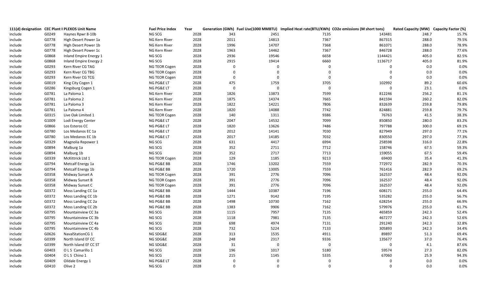|         |       | 111(d) designation CEC Plant II PLEXOS Unit Name | <b>Fuel Price Index</b> | Year | Generation (GWh) Fuel Use(1000 MMBTU) Implied Heat rate(BTU/KWh) CO2e emissions (M short tons) |              |                  |             | Rated Capacity (MW) Capacity Factor (%) |       |
|---------|-------|--------------------------------------------------|-------------------------|------|------------------------------------------------------------------------------------------------|--------------|------------------|-------------|-----------------------------------------|-------|
| include | G0249 | Haynes Rpwr 8-10b                                | NG SCG                  | 2028 | 343                                                                                            | 2451         | 7135             | 143481      | 248.7                                   | 15.7% |
| include | G0778 | High Desert Power 1a                             | NG Kern River           | 2028 | 2011                                                                                           | 14813        | 7367             | 867315      | 288.0                                   | 79.5% |
| include | G0778 | High Desert Power 1b                             | NG Kern River           | 2028 | 1996                                                                                           | 14707        | 7368             | 861071      | 288.0                                   | 78.9% |
| include | G0778 | High Desert Power 1c                             | NG Kern River           | 2028 | 1963                                                                                           | 14462        | 7367             | 846728      | 288.0                                   | 77.6% |
| include | G0868 | Inland Empire Energy 1                           | NG SCG                  | 2028 | 2936                                                                                           | 19546        | 6658             | 1144421     | 405.0                                   | 82.5% |
| include | G0868 | Inland Empire Energy 2                           | NG SCG                  | 2028 | 2915                                                                                           | 19414        | 6660             | 1136717     | 405.0                                   | 81.9% |
| include | G0293 | Kern River CG TAG                                | NG TEOR Cogen           | 2028 | $\overline{0}$                                                                                 | $\Omega$     | $\mathbf 0$      | $\mathbf 0$ | 0.0                                     | 0.0%  |
| include | G0293 | Kern River CG TBG                                | NG TEOR Cogen           | 2028 | $\overline{0}$                                                                                 | $\Omega$     | $\Omega$         | $\mathbf 0$ | 0.0                                     | 0.0%  |
| include | G0293 | Kern River CG TCG                                | NG TEOR Cogen           | 2028 | $\mathbf{0}$                                                                                   | $\Omega$     | $\overline{0}$   | $\mathbf 0$ | 0.0                                     | 0.0%  |
| include | G0019 | King City Cogen 1                                | NG PG&E LT              | 2028 | 475                                                                                            | 1759         | 3705             | 102992      | 89.2                                    | 60.6% |
| include | G0286 | Kingsburg Cogen 1                                | NG PG&E LT              | 2028 | $\mathbf{0}$                                                                                   | $\mathbf 0$  | $\boldsymbol{0}$ | $\mathbf 0$ | 23.1                                    | 0.0%  |
| include | G0781 | La Paloma 1                                      | NG Kern River           | 2028 | 1826                                                                                           | 13873        | 7599             | 812246      | 256.2                                   | 81.1% |
| include | G0781 | La Paloma 2                                      | NG Kern River           | 2028 | 1875                                                                                           | 14374        | 7665             | 841594      | 260.2                                   | 82.0% |
| include | G0781 | La Paloma 3                                      | NG Kern River           | 2028 | 1822                                                                                           | 14221        | 7806             | 832639      | 259.8                                   | 79.8% |
| include | G0781 | La Paloma 4                                      | NG Kern River           | 2028 | 1820                                                                                           | 14088        | 7742             | 824881      | 259.8                                   | 79.7% |
| include | G0315 | Live Oak Limited 1                               | NG TEOR Cogen           | 2028 | 140                                                                                            | 1311         | 9386             | 76763       | 41.5                                    | 38.3% |
| include | G1009 | Lodi Energy Center                               | NG PG&E LT              | 2028 | 2047                                                                                           | 14532        | 7099             | 850850      | 280.0                                   | 83.2% |
| include | G0866 | Los Esteros CC                                   | NG PG&E LT              | 2028 | 1820                                                                                           | 13626        | 7486             | 797788      | 300.0                                   | 69.1% |
| include | G0780 | Los Medanos EC 1a                                | NG PG&E LT              | 2028 | 2012                                                                                           | 14141        | 7030             | 827949      | 297.0                                   | 77.1% |
| include | G0780 | Los Medanos EC 1b                                | NG PG&E LT              | 2028 | 2017                                                                                           | 14185        | 7032             | 830550      | 297.0                                   | 77.3% |
| include | G0329 | Magnolia Repower 1                               | NG SCG                  | 2028 | 631                                                                                            | 4417         | 6994             | 258598      | 316.0                                   | 22.8% |
| include | G0894 | Malburg 1a                                       | NG SCG                  | 2028 | 352                                                                                            | 2711         | 7712             | 158746      | 67.5                                    | 59.3% |
| include | G0894 | Malburg 1b                                       | NG SCG                  | 2028 | 352                                                                                            | 2717         | 7713             | 159055      | 67.5                                    | 59.4% |
| include | G0339 | McKittrick Ltd 1                                 | NG TEOR Cogen           | 2028 | 129                                                                                            | 1185         | 9213             | 69400       | 35.4                                    | 41.3% |
| include | G0794 | Metcalf Energy 1a                                | NG PG&E BB              | 2028 | 1746                                                                                           | 13202        | 7559             | 772972      | 282.9                                   | 70.3% |
| include | G0794 | Metcalf Energy 1b                                | NG PG&E BB              | 2028 | 1720                                                                                           | 13005        | 7559             | 761416      | 282.9                                   | 69.2% |
| include | G0358 | Midway Sunset A                                  | NG TEOR Cogen           | 2028 | 391                                                                                            | 2776         | 7096             | 162537      | 48.4                                    | 92.0% |
| include | G0358 | Midway Sunset B                                  | NG TEOR Cogen           | 2028 | 391                                                                                            | 2776         | 7096             | 162537      | 48.4                                    | 92.0% |
| include | G0358 | Midway Sunset C                                  | NG TEOR Cogen           | 2028 | 391                                                                                            | 2776         | 7096             | 162537      | 48.4                                    | 92.0% |
| include | G0372 | Moss Landing CC 1a                               | NG PG&E BB              | 2028 | 1444                                                                                           | 10387        | 7196             | 608171      | 255.0                                   | 64.4% |
| include | G0372 | Moss Landing CC 1b                               | NG PG&E BB              | 2028 | 1271                                                                                           | 9142         | 7195             | 535282      | 255.0                                   | 56.7% |
| include | G0372 | Moss Landing CC 2a                               | NG PG&E BB              | 2028 | 1498                                                                                           | 10730        | 7162             | 628254      | 255.0                                   | 66.9% |
| include | G0372 | Moss Landing CC 2b                               | NG PG&E BB              | 2028 | 1383                                                                                           | 9906         | 7162             | 579976      | 255.0                                   | 61.7% |
| include | G0795 | Mountainview CC 3a                               | NG SCG                  | 2028 | 1115                                                                                           | 7957         | 7135             | 465859      | 242.3                                   | 52.4% |
| include | G0795 | Mountainview CC 3b                               | NG SCG                  | 2028 | 1118                                                                                           | 7981         | 7135             | 467277      | 242.3                                   | 52.6% |
| include | G0795 | Mountainview CC 4a                               | NG SCG                  | 2028 | 698                                                                                            | 4974         | 7131             | 291240      | 242.3                                   | 32.8% |
| include | G0795 | Mountainview CC 4b                               | NG SCG                  | 2028 | 732                                                                                            | 5224         | 7133             | 305893      | 242.3                                   | 34.4% |
| include | G0626 | NavalStationCG 1                                 | NG SDG&E                | 2028 | 313                                                                                            | 1535         | 4911             | 89897       | 51.3                                    | 69.4% |
| include | G0399 | North Island EF CC                               | NG SDG&E                | 2028 | 248                                                                                            | 2317         | 9336             | 135677      | 37.0                                    | 76.4% |
| include | G0399 | North Island EF CC ST                            | NG SDG&E                | 2028 | 31                                                                                             | $\mathbf 0$  | $\mathbf 0$      | $\mathbf 0$ | 4.1                                     | 87.6% |
| include | G0403 | O L S Camarillo 1                                | NG SCG                  | 2028 | 196                                                                                            | 1017         | 5180             | 59574       | 27.3                                    | 82.0% |
| include | G0404 | OLS Chino 1                                      | NG SCG                  | 2028 | 215                                                                                            | 1145         | 5335             | 67060       | 25.9                                    | 94.3% |
| include | G0409 | Oildale Energy 1                                 | NG PG&E LT              | 2028 | $\mathbf 0$                                                                                    | $\mathbf{0}$ | $\overline{0}$   | $\mathbf 0$ | 0.0                                     | 0.0%  |
| include | G0410 | Olive 2                                          | NG SCG                  | 2028 | $\Omega$                                                                                       | $\Omega$     | $\Omega$         | $\Omega$    | 0.0                                     | 0.0%  |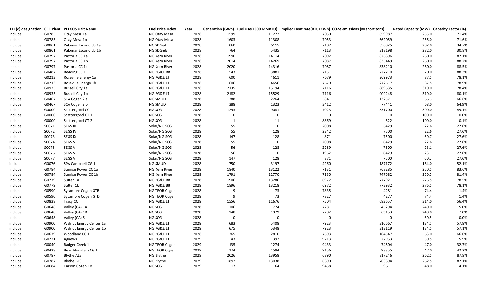|         |       | 111(d) designation CEC Plant II PLEXOS Unit Name | <b>Fuel Price Index</b> | Year | Generation (GWh) Fuel Use(1000 MMBTU) Implied Heat rate(BTU/KWh) CO2e emissions (M short tons) |                            |             | Rated Capacity (MW) Capacity Factor (%) |       |
|---------|-------|--------------------------------------------------|-------------------------|------|------------------------------------------------------------------------------------------------|----------------------------|-------------|-----------------------------------------|-------|
| include | G0785 | Otay Mesa 1a                                     | NG Otay Mesa            | 2028 | 1599<br>11272                                                                                  | 7050                       | 659987      | 255.0                                   | 71.4% |
| include | G0785 | Otay Mesa 1b                                     | NG Otay Mesa            | 2028 | 1603<br>11308                                                                                  | 7053                       | 662059      | 255.0                                   | 71.6% |
| include | G0861 | Palomar Escondido 1a                             | NG SDG&E                | 2028 | 860<br>6115                                                                                    | 7107                       | 358025      | 282.0                                   | 34.7% |
| include | G0861 | Palomar Escondido 1b                             | NG SDG&E                | 2028 | 5435<br>764                                                                                    | 7113                       | 318198      | 282.0                                   | 30.8% |
| include | G0797 | Pastoria CC 1a                                   | NG Kern River           | 2028 | 1990<br>14114                                                                                  | 7092                       | 826396      | 260.0                                   | 87.1% |
| include | G0797 | Pastoria CC 1b                                   | NG Kern River           | 2028 | 14269<br>2014                                                                                  | 7087                       | 835449      | 260.0                                   | 88.2% |
| include | G0797 | Pastoria CC 1c                                   | NG Kern River           | 2028 | 2020<br>14316                                                                                  | 7087                       | 838210      | 260.0                                   | 88.5% |
| include | G0487 | Redding CC 1                                     | NG PG&E BB              | 2028 | 543<br>3881                                                                                    | 7151                       | 227210      | 70.0                                    | 88.3% |
| include | G0213 | Roseville Energy 1a                              | NG PG&E LT              | 2028 | 600<br>4611                                                                                    | 7679                       | 269973      | 87.5                                    | 78.1% |
| include | G0213 | Roseville Energy 1b                              | NG PG&E LT              | 2028 | 606<br>4656                                                                                    | 7679                       | 272617      | 87.5                                    | 78.9% |
| include | G0935 | Russell City 1a                                  | NG PG&E LT              | 2028 | 15194<br>2135                                                                                  | 7116                       | 889635      | 310.0                                   | 78.4% |
| include | G0935 | Russell City 1b                                  | NG PG&E LT              | 2028 | 15529<br>2182                                                                                  | 7116                       | 909248      | 310.0                                   | 80.1% |
| include | G0467 | SCA Cogen 2 a                                    | NG SMUD                 | 2028 | 388<br>2264                                                                                    | 5841                       | 132571      | 66.3                                    | 66.6% |
| include | G0467 | SCA Cogen 2 b                                    | NG SMUD                 | 2028 | 388<br>1323                                                                                    | 3412                       | 77441       | 68.0                                    | 64.9% |
| include | G0000 | Scattergood CC                                   | NG SCG                  | 2028 | 1293<br>9081                                                                                   | 7023                       | 531700      | 300.0                                   | 49.1% |
| include | G0000 | Scattergood CT 1                                 | NG SCG                  | 2028 | $\mathbf 0$                                                                                    | $\mathbf 0$<br>$\mathbf 0$ | $\mathbf 0$ | 100.0                                   | 0.0%  |
| include | G0000 | Scattergood CT 2                                 | NG SCG                  | 2028 | $\mathbf{1}$                                                                                   | 8869<br>11                 | 622         | 100.0                                   | 0.1%  |
| include | S0071 | SEGS III                                         | Solar/NG SCG            | 2028 | 55<br>110                                                                                      | 2008                       | 6429        | 22.6                                    | 27.6% |
| include | S0072 | <b>SEGS IV</b>                                   | Solar/NG SCG            | 2028 | 55<br>128                                                                                      | 2342                       | 7500        | 22.6                                    | 27.6% |
| include | S0073 | <b>SEGS IX</b>                                   | Solar/NG SCG            | 2028 | 147<br>128                                                                                     | 871                        | 7500        | 60.7                                    | 27.6% |
| include | S0074 | SEGS V                                           | Solar/NG SCG            | 2028 | 55<br>110                                                                                      | 2008                       | 6429        | 22.6                                    | 27.6% |
| include | S0075 | <b>SEGS VI</b>                                   | Solar/NG SCG            | 2028 | 56<br>128                                                                                      | 2289                       | 7500        | 23.1                                    | 27.6% |
| include | S0076 | <b>SEGS VII</b>                                  | Solar/NG SCG            | 2028 | 56<br>110                                                                                      | 1962                       | 6429        | 23.1                                    | 27.6% |
| include | S0077 | <b>SEGS VIII</b>                                 | Solar/NG SCG            | 2028 | 147<br>128                                                                                     | 871                        | 7500        | 60.7                                    | 27.6% |
| include | G0076 | SPA Campbell CG 1                                | NG SMUD                 | 2028 | 750<br>3197                                                                                    | 4260                       | 187172      | 164.0                                   | 52.1% |
| include | G0784 | Sunrise Power CC 1a                              | NG Kern River           | 2028 | 13122<br>1840                                                                                  | 7131                       | 768285      | 250.5                                   | 83.6% |
| include | G0784 | Sunrise Power CC 1b                              | NG Kern River           | 2028 | 1791<br>12770                                                                                  | 7130                       | 747682      | 250.5                                   | 81.4% |
| include | G0779 | Sutter 1a                                        | NG PG&E BB              | 2028 | 1906<br>13286                                                                                  | 6972                       | 777921      | 276.5                                   | 78.5% |
| include | G0779 | Sutter 1b                                        | NG PG&E BB              | 2028 | 1896<br>13218                                                                                  | 6972                       | 773932      | 276.5                                   | 78.1% |
| include | G0590 | Sycamore Cogen GTB                               | NG TEOR Cogen           | 2028 | -9                                                                                             | 73<br>7835                 | 4281        | 74.4                                    | 1.4%  |
| include | G0590 | Sycamore Cogen GTD                               | NG TEOR Cogen           | 2028 | -9                                                                                             | 73<br>7827                 | 4277        | 74.4                                    | 1.4%  |
| include | G0838 | Tracy CC                                         | NG PG&E LT              | 2028 | 11676<br>1556                                                                                  | 7504                       | 683657      | 314.0                                   | 56.4% |
| include | G0648 | Valley (CA) 1A                                   | NG SCG                  | 2028 | 106<br>774                                                                                     | 7281                       | 45294       | 240.0                                   | 5.0%  |
| include | G0648 | Valley (CA) 1B                                   | NG SCG                  | 2028 | 148<br>1079                                                                                    | 7282                       | 63153       | 240.0                                   | 7.0%  |
| include | G0648 | Valley (CA) 5                                    | NG SCG                  | 2028 | $\mathbf 0$                                                                                    | $\mathbf 0$<br>$\mathbf 0$ | $\mathbf 0$ | 60.5                                    | 0.0%  |
| include | G0900 | Walnut Energy Center 1a                          | NG PG&E LT              | 2028 | 683<br>5408                                                                                    | 7923                       | 316667      | 134.5                                   | 57.8% |
| include | G0900 | Walnut Energy Center 1b                          | NG PG&E LT              | 2028 | 675<br>5348                                                                                    | 7923                       | 313119      | 134.5                                   | 57.1% |
| include | G0679 | Woodland CC 1                                    | NG PG&E LT              | 2028 | 365<br>2810                                                                                    | 7693                       | 164547      | 63.0                                    | 66.0% |
| include | G0221 | Agnews 1                                         | NG PG&E LT              | 2029 | 43<br>392                                                                                      | 9213                       | 22953       | 30.5                                    | 15.9% |
| include | G0040 | Badger Creek 1                                   | NG TEOR Cogen           | 2029 | 135<br>1274                                                                                    | 9433                       | 74604       | 47.0                                    | 32.7% |
| include | G0428 | Bear Mountain CG 1                               | NG TEOR Cogen           | 2029 | 174<br>1594                                                                                    | 9156                       | 93355       | 47.0                                    | 42.2% |
| include | G0787 | <b>Blythe ALS</b>                                | NG Blythe               | 2029 | 2026<br>13958                                                                                  | 6890                       | 817246      | 262.5                                   | 87.9% |
| include | G0787 | <b>Blythe BLS</b>                                | NG Blythe               | 2029 | 1892<br>13038                                                                                  | 6890                       | 763394      | 262.5                                   | 82.1% |
| include | G0084 | Carson Cogen Co. 1                               | NG SCG                  | 2029 | 17<br>164                                                                                      | 9458                       | 9611        | 48.0                                    | 4.1%  |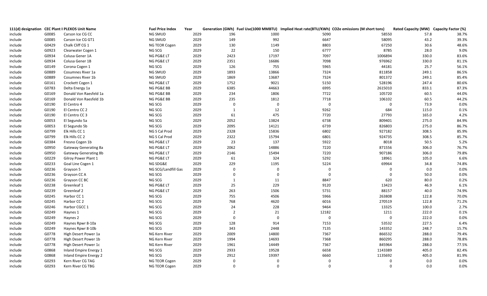|         |       | 111(d) designation CEC Plant II PLEXOS Unit Name | <b>Fuel Price Index</b> | Year | Generation (GWh) Fuel Use(1000 MMBTU) Implied Heat rate(BTU/KWh) CO2e emissions (M short tons) |                                |             | Rated Capacity (MW) Capacity Factor (%) |       |
|---------|-------|--------------------------------------------------|-------------------------|------|------------------------------------------------------------------------------------------------|--------------------------------|-------------|-----------------------------------------|-------|
| include | G0085 | Carson Ice CG CC                                 | NG SMUD                 | 2029 | 196<br>1000                                                                                    | 5090                           | 58550       | 57.8                                    | 38.7% |
| include | G0085 | Carson Ice CG GT1                                | NG SMUD                 | 2029 | 992<br>149                                                                                     | 6647                           | 58095       | 43.2                                    | 39.3% |
| include | G0429 | Chalk Cliff CG 1                                 | NG TEOR Cogen           | 2029 | 130<br>1149                                                                                    | 8803                           | 67250       | 30.6                                    | 48.6% |
| include | G0923 | Clearwater Cogen 1                               | NG SCG                  | 2029 | 22<br>150                                                                                      | 6777                           | 8785        | 28.0                                    | 9.0%  |
| include | G0934 | Colusa Gener 1A                                  | NG PG&E LT              | 2029 | 2423<br>17197                                                                                  | 7097                           | 1006894     | 330.0                                   | 83.6% |
| include | G0934 | Colusa Gener 1B                                  | NG PG&E LT              | 2029 | 2351<br>16686                                                                                  | 7098                           | 976962      | 330.0                                   | 81.1% |
| Include | G0149 | Corona Cogen 1                                   | NG SCG                  | 2029 | 126<br>755                                                                                     | 5965                           | 44181       | 25.7                                    | 56.1% |
| include | G0889 | Cosumnes River 1a                                | NG SMUD                 | 2029 | 1893<br>13866                                                                                  | 7324                           | 811858      | 249.1                                   | 86.5% |
| include | G0889 | Cosumnes River 1b                                | NG SMUD                 | 2029 | 1869<br>13687                                                                                  | 7324                           | 801372      | 249.1                                   | 85.4% |
| include | G0161 | Crockett Cogen 1                                 | NG PG&E LT              | 2029 | 1752<br>9021                                                                                   | 5150                           | 528196      | 247.4                                   | 80.6% |
| include | G0783 | Delta Energy 1a                                  | NG PG&E BB              | 2029 | 6385<br>44663                                                                                  | 6995                           | 2615010     | 833.1                                   | 87.3% |
| include | G0169 | Donald Von Raesfeld 1a                           | NG PG&E BB              | 2029 | 234<br>1806                                                                                    | 7722                           | 105720      | 60.5                                    | 44.0% |
| include | G0169 | Donald Von Raesfeld 1b                           | NG PG&E BB              | 2029 | 235<br>1812                                                                                    | 7718                           | 106102      | 60.5                                    | 44.2% |
| include | G0190 | El Centro 4                                      | NG SCG                  | 2029 | $\mathbf 0$                                                                                    | $\mathbf 0$<br>$\overline{0}$  | $\mathbf 0$ | 73.9                                    | 0.0%  |
| include | G0190 | El Centro CC 2                                   | NG SCG                  | 2029 | $\mathbf{1}$                                                                                   | 12<br>9262                     | 684         | 115.0                                   | 0.1%  |
| include | G0190 | El Centro CC 3                                   | NG SCG                  | 2029 | 61<br>475                                                                                      | 7720                           | 27793       | 165.0                                   | 4.2%  |
| include | G0053 | El Segundo 5a                                    | NG SCG                  | 2029 | 13824<br>2052                                                                                  | 6738                           | 809401      | 275.0                                   | 84.9% |
| include | G0053 | El Segundo 5b                                    | NG SCG                  | 2029 | 2095<br>14121                                                                                  | 6739                           | 826803      | 275.0                                   | 86.7% |
| include | G0799 | Elk Hills CC 1                                   | NG S Cal Prod           | 2029 | 2328<br>15836                                                                                  | 6802                           | 927182      | 308.5                                   | 85.9% |
| include | G0799 | Elk Hills CC 2                                   | NG S Cal Prod           | 2029 | 2322<br>15794                                                                                  | 6801                           | 924735      | 308.5                                   | 85.7% |
| include | G0384 | Fresno Cogen 1b                                  | NG PG&E LT              | 2029 | 23<br>137                                                                                      | 5922                           | 8018        | 50.5                                    | 5.2%  |
| include | G0950 | Gateway Generating 8a                            | NG PG&E LT              | 2029 | 14886<br>2062                                                                                  | 7220                           | 871556      | 306.0                                   | 76.7% |
| include | G0950 | Gateway Generating 8b                            | NG PG&E LT              | 2029 | 2146<br>15494                                                                                  | 7220                           | 907186      | 306.0                                   | 79.8% |
| include | G0229 | Gilroy Power Plant 1                             | NG PG&E LT              | 2029 | 61<br>324                                                                                      | 5292                           | 18961       | 105.0                                   | 6.6%  |
| include | G0233 | Goal Line Cogen 1                                | NG SDG&E                | 2029 | 229<br>1195                                                                                    | 5224                           | 69964       | 34.8                                    | 74.8% |
| include | G0236 | Grayson 5                                        | NG SCG/Landfill Gas     | 2029 | $\mathbf 0$                                                                                    | $\mathbf{0}$<br>$\overline{0}$ | 0           | 0.0                                     | 0.0%  |
| include | G0236 | Grayson CC A                                     | NG SCG                  | 2029 | $\mathbf 0$                                                                                    | $\overline{0}$<br>$\mathbf 0$  | $\mathbf 0$ | 50.0                                    | 0.0%  |
| include | G0236 | Grayson CC BC                                    | NG SCG                  | 2029 | $\mathbf{1}$                                                                                   | 11<br>8847                     | 620         | 80.0                                    | 0.2%  |
| include | G0238 | Greenleaf 1                                      | NG PG&E LT              | 2029 | 25<br>229                                                                                      | 9120                           | 13423       | 46.9                                    | 6.1%  |
| include | G0239 | Greenleaf 2                                      | NG PG&E LT              | 2029 | 263<br>1506                                                                                    | 5731                           | 88157       | 40.0                                    | 74.9% |
| include | G0245 | Harbor CC 1                                      | NG SCG                  | 2029 | 755<br>4506                                                                                    | 5966                           | 263808      | 122.8                                   | 70.0% |
| include | G0245 | Harbor CC 2                                      | NG SCG                  | 2029 | 768<br>4620                                                                                    | 6016                           | 270519      | 122.8                                   | 71.2% |
| include | G0246 | Harbor CGCC 1                                    | NG SCG                  | 2029 | 228<br>24                                                                                      | 9464                           | 13325       | 100.0                                   | 2.7%  |
| include | G0249 | Haynes 1                                         | NG SCG                  | 2029 | $\overline{2}$                                                                                 | 21<br>12182                    | 1211        | 222.0                                   | 0.1%  |
| include | G0249 | Haynes 2                                         | NG SCG                  | 2029 | $\overline{0}$                                                                                 | $\mathbf 0$<br>$\mathbf 0$     | $\mathbf 0$ | 222.0                                   | 0.0%  |
| include | G0249 | Haynes Rpwr 8-10a                                | NG SCG                  | 2029 | 128<br>914                                                                                     | 7153                           | 53532       | 227.5                                   | 6.4%  |
| include | G0249 | Haynes Rpwr 8-10b                                | NG SCG                  | 2029 | 343<br>2448                                                                                    | 7135                           | 143352      | 248.7                                   | 15.7% |
| include | G0778 | High Desert Power 1a                             | NG Kern River           | 2029 | 2009<br>14800                                                                                  | 7367                           | 866532      | 288.0                                   | 79.4% |
| include | G0778 | High Desert Power 1b                             | NG Kern River           | 2029 | 1994<br>14693                                                                                  | 7368                           | 860295      | 288.0                                   | 78.8% |
| include | G0778 | High Desert Power 1c                             | NG Kern River           | 2029 | 14449<br>1961                                                                                  | 7367                           | 845964      | 288.0                                   | 77.5% |
| include | G0868 | Inland Empire Energy 1                           | NG SCG                  | 2029 | 2933<br>19528                                                                                  | 6658                           | 1143389     | 405.0                                   | 82.4% |
| include | G0868 | <b>Inland Empire Energy 2</b>                    | NG SCG                  | 2029 | 19397<br>2912                                                                                  | 6660                           | 1135692     | 405.0                                   | 81.9% |
| include | G0293 | Kern River CG TAG                                | NG TEOR Cogen           | 2029 | $\mathbf 0$                                                                                    | $\overline{0}$<br>$\mathbf 0$  | $\mathbf 0$ | 0.0                                     | 0.0%  |
| include | G0293 | Kern River CG TBG                                | NG TEOR Cogen           | 2029 | $\Omega$                                                                                       | $\Omega$<br>$\Omega$           | $\Omega$    | 0.0                                     | 0.0%  |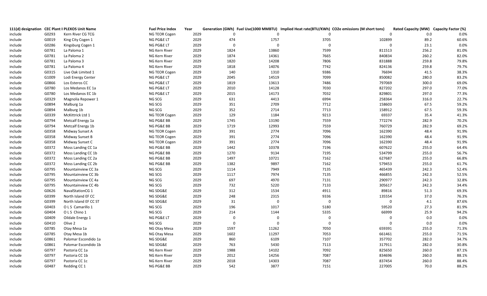|         |       | 111(d) designation CEC Plant II PLEXOS Unit Name | <b>Fuel Price Index</b> | Year |                |             |                | Generation (GWh) Fuel Use(1000 MMBTU) Implied Heat rate(BTU/KWh) CO2e emissions (M short tons) | Rated Capacity (MW) Capacity Factor (%) |       |
|---------|-------|--------------------------------------------------|-------------------------|------|----------------|-------------|----------------|------------------------------------------------------------------------------------------------|-----------------------------------------|-------|
| include | G0293 | Kern River CG TCG                                | NG TEOR Cogen           | 2029 | $\overline{0}$ | $\Omega$    | $\Omega$       | $\Omega$                                                                                       | 0.0                                     | 0.0%  |
| include | G0019 | King City Cogen 1                                | NG PG&E LT              | 2029 | 474            | 1757        | 3705           | 102899                                                                                         | 89.2                                    | 60.6% |
| include | G0286 | Kingsburg Cogen 1                                | NG PG&E LT              | 2029 | 0              | $\Omega$    | $\mathbf 0$    | $\pmb{0}$                                                                                      | 23.1                                    | 0.0%  |
| include | G0781 | La Paloma 1                                      | NG Kern River           | 2029 | 1824           | 13860       | 7599           | 811513                                                                                         | 256.2                                   | 81.0% |
| include | G0781 | La Paloma 2                                      | NG Kern River           | 2029 | 1874           | 14361       | 7665           | 840834                                                                                         | 260.2                                   | 82.0% |
| include | G0781 | La Paloma 3                                      | NG Kern River           | 2029 | 1820           | 14208       | 7806           | 831888                                                                                         | 259.8                                   | 79.8% |
| include | G0781 | La Paloma 4                                      | NG Kern River           | 2029 | 1818           | 14076       | 7742           | 824136                                                                                         | 259.8                                   | 79.7% |
| include | G0315 | Live Oak Limited 1                               | NG TEOR Cogen           | 2029 | 140            | 1310        | 9386           | 76694                                                                                          | 41.5                                    | 38.3% |
| include | G1009 | Lodi Energy Center                               | NG PG&E LT              | 2029 | 2045           | 14519       | 7099           | 850082                                                                                         | 280.0                                   | 83.2% |
| include | G0866 | Los Esteros CC                                   | NG PG&E LT              | 2029 | 1819           | 13613       | 7486           | 797069                                                                                         | 300.0                                   | 69.0% |
| include | G0780 | Los Medanos EC 1a                                | NG PG&E LT              | 2029 | 2010           | 14128       | 7030           | 827202                                                                                         | 297.0                                   | 77.0% |
| include | G0780 | Los Medanos EC 1b                                | NG PG&E LT              | 2029 | 2015           | 14173       | 7032           | 829801                                                                                         | 297.0                                   | 77.3% |
| include | G0329 | Magnolia Repower 1                               | NG SCG                  | 2029 | 631            | 4413        | 6994           | 258364                                                                                         | 316.0                                   | 22.7% |
| include | G0894 | Malburg 1a                                       | NG SCG                  | 2029 | 351            | 2709        | 7712           | 158603                                                                                         | 67.5                                    | 59.2% |
| include | G0894 | Malburg 1b                                       | NG SCG                  | 2029 | 352            | 2714        | 7713           | 158912                                                                                         | 67.5                                    | 59.3% |
| include | G0339 | McKittrick Ltd 1                                 | NG TEOR Cogen           | 2029 | 129            | 1184        | 9213           | 69337                                                                                          | 35.4                                    | 41.3% |
| include | G0794 | Metcalf Energy 1a                                | NG PG&E BB              | 2029 | 1745           | 13190       | 7559           | 772274                                                                                         | 282.9                                   | 70.2% |
| include | G0794 | Metcalf Energy 1b                                | NG PG&E BB              | 2029 | 1719           | 12993       | 7559           | 760729                                                                                         | 282.9                                   | 69.2% |
| include | G0358 | Midway Sunset A                                  | NG TEOR Cogen           | 2029 | 391            | 2774        | 7096           | 162390                                                                                         | 48.4                                    | 91.9% |
| include | G0358 | Midway Sunset B                                  | NG TEOR Cogen           | 2029 | 391            | 2774        | 7096           | 162390                                                                                         | 48.4                                    | 91.9% |
| include | G0358 | Midway Sunset C                                  | NG TEOR Cogen           | 2029 | 391            | 2774        | 7096           | 162390                                                                                         | 48.4                                    | 91.9% |
| include | G0372 | Moss Landing CC 1a                               | NG PG&E BB              | 2029 | 1442           | 10378       | 7196           | 607622                                                                                         | 255.0                                   | 64.4% |
| include | G0372 | Moss Landing CC 1b                               | NG PG&E BB              | 2029 | 1270           | 9134        | 7195           | 534799                                                                                         | 255.0                                   | 56.7% |
| include | G0372 | Moss Landing CC 2a                               | NG PG&E BB              | 2029 | 1497           | 10721       | 7162           | 627687                                                                                         | 255.0                                   | 66.8% |
| include | G0372 | Moss Landing CC 2b                               | NG PG&E BB              | 2029 | 1382           | 9897        | 7162           | 579453                                                                                         | 255.0                                   | 61.7% |
| include | G0795 | Mountainview CC 3a                               | NG SCG                  | 2029 | 1114           | 7949        | 7135           | 465439                                                                                         | 242.3                                   | 52.4% |
| include | G0795 | Mountainview CC 3b                               | NG SCG                  | 2029 | 1117           | 7974        | 7135           | 466855                                                                                         | 242.3                                   | 52.5% |
| include | G0795 | Mountainview CC 4a                               | NG SCG                  | 2029 | 697            | 4970        | 7131           | 290977                                                                                         | 242.3                                   | 32.8% |
| include | G0795 | Mountainview CC 4b                               | NG SCG                  | 2029 | 732            | 5220        | 7133           | 305617                                                                                         | 242.3                                   | 34.4% |
| include | G0626 | NavalStationCG 1                                 | NG SDG&E                | 2029 | 312            | 1534        | 4911           | 89816                                                                                          | 51.3                                    | 69.3% |
| include | G0399 | North Island EF CC                               | NG SDG&E                | 2029 | 248            | 2315        | 9336           | 135554                                                                                         | 37.0                                    | 76.3% |
| include | G0399 | North Island EF CC ST                            | NG SDG&E                | 2029 | 31             | $\mathbf 0$ | $\mathbf 0$    | $\mathbf 0$                                                                                    | 4.1                                     | 87.6% |
| include | G0403 | O L S Camarillo 1                                | NG SCG                  | 2029 | 196            | 1017        | 5180           | 59520                                                                                          | 27.3                                    | 81.9% |
| include | G0404 | OLS Chino 1                                      | NG SCG                  | 2029 | 214            | 1144        | 5335           | 66999                                                                                          | 25.9                                    | 94.2% |
| include | G0409 | Oildale Energy 1                                 | NG PG&E LT              | 2029 | $\Omega$       | $\Omega$    | $\Omega$       | $\mathbf 0$                                                                                    | 0.0                                     | 0.0%  |
| include | G0410 | Olive 2                                          | NG SCG                  | 2029 | 0              | $\mathbf 0$ | $\overline{0}$ | $\mathbf 0$                                                                                    | 0.0                                     | 0.0%  |
| include | G0785 | Otay Mesa 1a                                     | NG Otay Mesa            | 2029 | 1597           | 11262       | 7050           | 659391                                                                                         | 255.0                                   | 71.3% |
| include | G0785 | Otay Mesa 1b                                     | NG Otay Mesa            | 2029 | 1602           | 11297       | 7053           | 661461                                                                                         | 255.0                                   | 71.5% |
| include | G0861 | Palomar Escondido 1a                             | NG SDG&E                | 2029 | 860            | 6109        | 7107           | 357702                                                                                         | 282.0                                   | 34.7% |
| include | G0861 | Palomar Escondido 1b                             | NG SDG&E                | 2029 | 763            | 5430        | 7113           | 317911                                                                                         | 282.0                                   | 30.8% |
| include | G0797 | Pastoria CC 1a                                   | NG Kern River           | 2029 | 1988           | 14102       | 7092           | 825650                                                                                         | 260.0                                   | 87.1% |
| include | G0797 | Pastoria CC 1b                                   | NG Kern River           | 2029 | 2012           | 14256       | 7087           | 834696                                                                                         | 260.0                                   | 88.1% |
| include | G0797 | Pastoria CC 1c                                   | NG Kern River           | 2029 | 2018           | 14303       | 7087           | 837454                                                                                         | 260.0                                   | 88.4% |
| include | G0487 | Redding CC 1                                     | NG PG&E BB              | 2029 | 542            | 3877        | 7151           | 227005                                                                                         | 70.0                                    | 88.2% |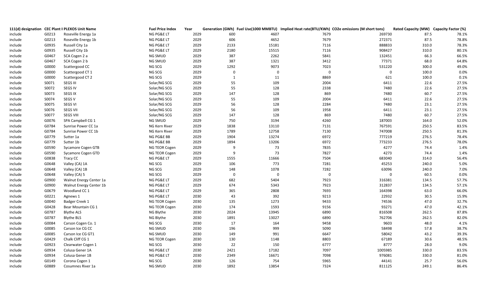|         |       | 111(d) designation CEC Plant II PLEXOS Unit Name | <b>Fuel Price Index</b> | Year |              |             |             | Generation (GWh) Fuel Use(1000 MMBTU) Implied Heat rate(BTU/KWh) CO2e emissions (M short tons) | Rated Capacity (MW) Capacity Factor (%) |       |
|---------|-------|--------------------------------------------------|-------------------------|------|--------------|-------------|-------------|------------------------------------------------------------------------------------------------|-----------------------------------------|-------|
| include | G0213 | Roseville Energy 1a                              | NG PG&E LT              | 2029 | 600          | 4607        | 7679        | 269730                                                                                         | 87.5                                    | 78.1% |
| include | G0213 | Roseville Energy 1b                              | NG PG&E LT              | 2029 | 606          | 4652        | 7679        | 272371                                                                                         | 87.5                                    | 78.8% |
| include | G0935 | Russell City 1a                                  | NG PG&E LT              | 2029 | 2133         | 15181       | 7116        | 888833                                                                                         | 310.0                                   | 78.3% |
| include | G0935 | Russell City 1b                                  | NG PG&E LT              | 2029 | 2180         | 15515       | 7116        | 908427                                                                                         | 310.0                                   | 80.1% |
| include | G0467 | SCA Cogen 2 a                                    | NG SMUD                 | 2029 | 387          | 2262        | 5841        | 132451                                                                                         | 66.3                                    | 66.5% |
| include | G0467 | SCA Cogen 2 b                                    | NG SMUD                 | 2029 | 387          | 1321        | 3412        | 77371                                                                                          | 68.0                                    | 64.8% |
| include | G0000 | Scattergood CC                                   | NG SCG                  | 2029 | 1292         | 9073        | 7023        | 531220                                                                                         | 300.0                                   | 49.0% |
| include | G0000 | Scattergood CT 1                                 | NG SCG                  | 2029 | $\mathbf 0$  | $\mathbf 0$ | $\mathbf 0$ | $\mathbf 0$                                                                                    | 100.0                                   | 0.0%  |
| include | G0000 | Scattergood CT 2                                 | NG SCG                  | 2029 | $\mathbf{1}$ | 11          | 8869        | 621                                                                                            | 100.0                                   | 0.1%  |
| include | S0071 | SEGS III                                         | Solar/NG SCG            | 2029 | 55           | 109         | 2004        | 6411                                                                                           | 22.6                                    | 27.5% |
| include | S0072 | SEGS IV                                          | Solar/NG SCG            | 2029 | 55           | 128         | 2338        | 7480                                                                                           | 22.6                                    | 27.5% |
| include | S0073 | <b>SEGS IX</b>                                   | Solar/NG SCG            | 2029 | 147          | 128         | 869         | 7480                                                                                           | 60.7                                    | 27.5% |
| include | S0074 | SEGS V                                           | Solar/NG SCG            | 2029 | 55           | 109         | 2004        | 6411                                                                                           | 22.6                                    | 27.5% |
| include | S0075 | <b>SEGS VI</b>                                   | Solar/NG SCG            | 2029 | 56           | 128         | 2284        | 7480                                                                                           | 23.1                                    | 27.5% |
| include | S0076 | <b>SEGS VII</b>                                  | Solar/NG SCG            | 2029 | 56           | 109         | 1958        | 6411                                                                                           | 23.1                                    | 27.5% |
| include | S0077 | <b>SEGS VIII</b>                                 | Solar/NG SCG            | 2029 | 147          | 128         | 869         | 7480                                                                                           | 60.7                                    | 27.5% |
| include | G0076 | SPA Campbell CG 1                                | NG SMUD                 | 2029 | 750          | 3194        | 4260        | 187003                                                                                         | 164.0                                   | 52.0% |
| include | G0784 | Sunrise Power CC 1a                              | NG Kern River           | 2029 | 1838         | 13110       | 7131        | 767591                                                                                         | 250.5                                   | 83.5% |
| include | G0784 | Sunrise Power CC 1b                              | NG Kern River           | 2029 | 1789         | 12758       | 7130        | 747008                                                                                         | 250.5                                   | 81.3% |
| include | G0779 | Sutter 1a                                        | NG PG&E BB              | 2029 | 1904         | 13274       | 6972        | 777219                                                                                         | 276.5                                   | 78.4% |
| include | G0779 | Sutter 1b                                        | NG PG&E BB              | 2029 | 1894         | 13206       | 6972        | 773233                                                                                         | 276.5                                   | 78.0% |
| include | G0590 | <b>Sycamore Cogen GTB</b>                        | NG TEOR Cogen           | 2029 | -9           | 73          | 7835        | 4277                                                                                           | 74.4                                    | 1.4%  |
| include | G0590 | Sycamore Cogen GTD                               | NG TEOR Cogen           | 2029 | -9           | 73          | 7827        | 4273                                                                                           | 74.4                                    | 1.4%  |
| include | G0838 | Tracy CC                                         | NG PG&E LT              | 2029 | 1555         | 11666       | 7504        | 683040                                                                                         | 314.0                                   | 56.4% |
| include | G0648 | Valley (CA) 1A                                   | NG SCG                  | 2029 | 106          | 773         | 7281        | 45253                                                                                          | 240.0                                   | 5.0%  |
| include | G0648 | Valley (CA) 1B                                   | NG SCG                  | 2029 | 148          | 1078        | 7282        | 63096                                                                                          | 240.0                                   | 7.0%  |
| include | G0648 | Valley (CA) 5                                    | NG SCG                  | 2029 | $\mathbf 0$  | $\mathbf 0$ | $\mathbf 0$ | $\mathbf 0$                                                                                    | 60.5                                    | 0.0%  |
| include | G0900 | Walnut Energy Center 1a                          | NG PG&E LT              | 2029 | 682          | 5404        | 7923        | 316381                                                                                         | 134.5                                   | 57.7% |
| include | G0900 | Walnut Energy Center 1b                          | NG PG&E LT              | 2029 | 674          | 5343        | 7923        | 312837                                                                                         | 134.5                                   | 57.1% |
| include | G0679 | Woodland CC 1                                    | NG PG&E LT              | 2029 | 365          | 2808        | 7693        | 164398                                                                                         | 63.0                                    | 66.0% |
| include | G0221 | Agnews 1                                         | NG PG&E LT              | 2030 | 43           | 392         | 9213        | 22932                                                                                          | 30.5                                    | 15.9% |
| include | G0040 | Badger Creek 1                                   | NG TEOR Cogen           | 2030 | 135          | 1273        | 9433        | 74536                                                                                          | 47.0                                    | 32.7% |
| include | G0428 | Bear Mountain CG 1                               | NG TEOR Cogen           | 2030 | 174          | 1593        | 9156        | 93271                                                                                          | 47.0                                    | 42.1% |
| include | G0787 | <b>Blythe ALS</b>                                | NG Blythe               | 2030 | 2024         | 13945       | 6890        | 816508                                                                                         | 262.5                                   | 87.8% |
| include | G0787 | <b>Blythe BLS</b>                                | NG Blythe               | 2030 | 1891         | 13027       | 6890        | 762706                                                                                         | 262.5                                   | 82.0% |
| include | G0084 | Carson Cogen Co. 1                               | NG SCG                  | 2030 | 17           | 164         | 9458        | 9603                                                                                           | 48.0                                    | 4.1%  |
| include | G0085 | Carson Ice CG CC                                 | NG SMUD                 | 2030 | 196          | 999         | 5090        | 58498                                                                                          | 57.8                                    | 38.7% |
| include | G0085 | Carson Ice CG GT1                                | NG SMUD                 | 2030 | 149          | 991         | 6647        | 58042                                                                                          | 43.2                                    | 39.3% |
| include | G0429 | Chalk Cliff CG 1                                 | NG TEOR Cogen           | 2030 | 130          | 1148        | 8803        | 67189                                                                                          | 30.6                                    | 48.5% |
| include | G0923 | Clearwater Cogen 1                               | NG SCG                  | 2030 | 22           | 150         | 6777        | 8777                                                                                           | 28.0                                    | 9.0%  |
| include | G0934 | Colusa Gener 1A                                  | NG PG&E LT              | 2030 | 2421         | 17182       | 7097        | 1005985                                                                                        | 330.0                                   | 83.5% |
| include | G0934 | Colusa Gener 1B                                  | NG PG&E LT              | 2030 | 2349         | 16671       | 7098        | 976081                                                                                         | 330.0                                   | 81.0% |
| Include | G0149 | Corona Cogen 1                                   | NG SCG                  | 2030 | 126          | 754         | 5965        | 44141                                                                                          | 25.7                                    | 56.0% |
| include | G0889 | Cosumnes River 1a                                | NG SMUD                 | 2030 | 1892         | 13854       | 7324        | 811125                                                                                         | 249.1                                   | 86.4% |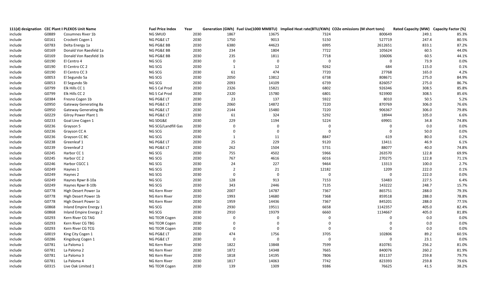|         |       | 111(d) designation CEC Plant II PLEXOS Unit Name | <b>Fuel Price Index</b> | Year |                |             | Generation (GWh) Fuel Use(1000 MMBTU) Implied Heat rate(BTU/KWh) CO2e emissions (M short tons) |             | Rated Capacity (MW) Capacity Factor (%) |       |
|---------|-------|--------------------------------------------------|-------------------------|------|----------------|-------------|------------------------------------------------------------------------------------------------|-------------|-----------------------------------------|-------|
| include | G0889 | Cosumnes River 1b                                | NG SMUD                 | 2030 | 1867           | 13675       | 7324                                                                                           | 800649      | 249.1                                   | 85.3% |
| include | G0161 | Crockett Cogen 1                                 | NG PG&E LT              | 2030 | 1750           | 9013        | 5150                                                                                           | 527719      | 247.4                                   | 80.5% |
| include | G0783 | Delta Energy 1a                                  | NG PG&E BB              | 2030 | 6380           | 44623       | 6995                                                                                           | 2612651     | 833.1                                   | 87.2% |
| include | G0169 | Donald Von Raesfeld 1a                           | NG PG&E BB              | 2030 | 234            | 1804        | 7722                                                                                           | 105624      | 60.5                                    | 44.0% |
| include | G0169 | Donald Von Raesfeld 1b                           | NG PG&E BB              | 2030 | 235            | 1811        | 7718                                                                                           | 106006      | 60.5                                    | 44.1% |
| include | G0190 | El Centro 4                                      | NG SCG                  | 2030 | $\Omega$       | $\mathbf 0$ | $\boldsymbol{0}$                                                                               | $\pmb{0}$   | 73.9                                    | 0.0%  |
| include | G0190 | El Centro CC 2                                   | NG SCG                  | 2030 | $\mathbf{1}$   | 12          | 9262                                                                                           | 684         | 115.0                                   | 0.1%  |
| include | G0190 | El Centro CC 3                                   | NG SCG                  | 2030 | 61             | 474         | 7720                                                                                           | 27768       | 165.0                                   | 4.2%  |
| include | G0053 | El Segundo 5a                                    | NG SCG                  | 2030 | 2050           | 13812       | 6738                                                                                           | 808671      | 275.0                                   | 84.9% |
| include | G0053 | El Segundo 5b                                    | NG SCG                  | 2030 | 2093           | 14109       | 6739                                                                                           | 826057      | 275.0                                   | 86.7% |
| include | G0799 | Elk Hills CC 1                                   | NG S Cal Prod           | 2030 | 2326           | 15821       | 6802                                                                                           | 926346      | 308.5                                   | 85.8% |
| include | G0799 | Elk Hills CC 2                                   | NG S Cal Prod           | 2030 | 2320           | 15780       | 6801                                                                                           | 923900      | 308.5                                   | 85.6% |
| include | G0384 | Fresno Cogen 1b                                  | NG PG&E LT              | 2030 | 23             | 137         | 5922                                                                                           | 8010        | 50.5                                    | 5.2%  |
| include | G0950 | Gateway Generating 8a                            | NG PG&E LT              | 2030 | 2060           | 14872       | 7220                                                                                           | 870769      | 306.0                                   | 76.6% |
| include | G0950 | Gateway Generating 8b                            | NG PG&E LT              | 2030 | 2144           | 15480       | 7220                                                                                           | 906367      | 306.0                                   | 79.8% |
| include | G0229 | Gilroy Power Plant 1                             | NG PG&E LT              | 2030 | 61             | 324         | 5292                                                                                           | 18944       | 105.0                                   | 6.6%  |
| include | G0233 | Goal Line Cogen 1                                | NG SDG&E                | 2030 | 229            | 1194        | 5224                                                                                           | 69901       | 34.8                                    | 74.8% |
| include | G0236 | Grayson 5                                        | NG SCG/Landfill Gas     | 2030 | $\overline{0}$ | $\mathbf 0$ | $\mathbf 0$                                                                                    | $\mathbf 0$ | 0.0                                     | 0.0%  |
| include | G0236 | Grayson CC A                                     | NG SCG                  | 2030 | $\Omega$       | $\mathbf 0$ | $\mathbf 0$                                                                                    | $\mathbf 0$ | 50.0                                    | 0.0%  |
| include | G0236 | Grayson CC BC                                    | NG SCG                  | 2030 | 1              | 11          | 8847                                                                                           | 619         | 80.0                                    | 0.2%  |
| include | G0238 | Greenleaf 1                                      | NG PG&E LT              | 2030 | 25             | 229         | 9120                                                                                           | 13411       | 46.9                                    | 6.1%  |
| include | G0239 | Greenleaf 2                                      | NG PG&E LT              | 2030 | 262            | 1504        | 5731                                                                                           | 88077       | 40.0                                    | 74.8% |
| include | G0245 | Harbor CC 1                                      | NG SCG                  | 2030 | 755            | 4502        | 5966                                                                                           | 263570      | 122.8                                   | 69.9% |
| include | G0245 | Harbor CC 2                                      | NG SCG                  | 2030 | 767            | 4616        | 6016                                                                                           | 270275      | 122.8                                   | 71.1% |
| include | G0246 | Harbor CGCC 1                                    | NG SCG                  | 2030 | 24             | 227         | 9464                                                                                           | 13313       | 100.0                                   | 2.7%  |
| include | G0249 | Haynes 1                                         | NG SCG                  | 2030 | $\overline{2}$ | 21          | 12182                                                                                          | 1209        | 222.0                                   | 0.1%  |
| include | G0249 | Haynes 2                                         | NG SCG                  | 2030 | $\Omega$       | $\mathbf 0$ | $\mathbf 0$                                                                                    | $\mathbf 0$ | 222.0                                   | 0.0%  |
| include | G0249 | Haynes Rpwr 8-10a                                | NG SCG                  | 2030 | 128            | 913         | 7153                                                                                           | 53483       | 227.5                                   | 6.4%  |
| include | G0249 | Haynes Rpwr 8-10b                                | NG SCG                  | 2030 | 343            | 2446        | 7135                                                                                           | 143222      | 248.7                                   | 15.7% |
| include | G0778 | High Desert Power 1a                             | NG Kern River           | 2030 | 2007           | 14787       | 7367                                                                                           | 865751      | 288.0                                   | 79.3% |
| include | G0778 | High Desert Power 1b                             | NG Kern River           | 2030 | 1993           | 14680       | 7368                                                                                           | 859518      | 288.0                                   | 78.8% |
| include | G0778 | High Desert Power 1c                             | NG Kern River           | 2030 | 1959           | 14436       | 7367                                                                                           | 845201      | 288.0                                   | 77.5% |
| include | G0868 | Inland Empire Energy 1                           | NG SCG                  | 2030 | 2930           | 19511       | 6658                                                                                           | 1142357     | 405.0                                   | 82.4% |
| include | G0868 | Inland Empire Energy 2                           | NG SCG                  | 2030 | 2910           | 19379       | 6660                                                                                           | 1134667     | 405.0                                   | 81.8% |
| include | G0293 | Kern River CG TAG                                | NG TEOR Cogen           | 2030 | $\Omega$       | $\Omega$    | $\Omega$                                                                                       | $\mathbf 0$ | 0.0                                     | 0.0%  |
| include | G0293 | Kern River CG TBG                                | NG TEOR Cogen           | 2030 | $\Omega$       | 0           | $\Omega$                                                                                       | $\mathbf 0$ | 0.0                                     | 0.0%  |
| include | G0293 | Kern River CG TCG                                | NG TEOR Cogen           | 2030 | $\Omega$       | 0           | $\Omega$                                                                                       | $\Omega$    | 0.0                                     | 0.0%  |
| include | G0019 | King City Cogen 1                                | NG PG&E LT              | 2030 | 474            | 1756        | 3705                                                                                           | 102806      | 89.2                                    | 60.5% |
| include | G0286 | Kingsburg Cogen 1                                | NG PG&E LT              | 2030 | $\Omega$       | $\Omega$    | $\mathbf 0$                                                                                    | $\mathbf 0$ | 23.1                                    | 0.0%  |
| include | G0781 | La Paloma 1                                      | NG Kern River           | 2030 | 1822           | 13848       | 7599                                                                                           | 810781      | 256.2                                   | 81.0% |
| include | G0781 | La Paloma 2                                      | NG Kern River           | 2030 | 1872           | 14348       | 7665                                                                                           | 840076      | 260.2                                   | 81.9% |
| include | G0781 | La Paloma 3                                      | NG Kern River           | 2030 | 1818           | 14195       | 7806                                                                                           | 831137      | 259.8                                   | 79.7% |
| include | G0781 | La Paloma 4                                      | NG Kern River           | 2030 | 1817           | 14063       | 7742                                                                                           | 823393      | 259.8                                   | 79.6% |
| include | G0315 | Live Oak Limited 1                               | NG TEOR Cogen           | 2030 | 139            | 1309        | 9386                                                                                           | 76625       | 41.5                                    | 38.2% |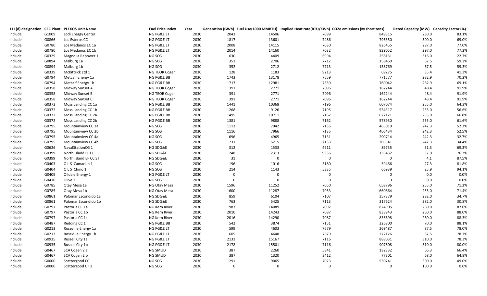|         |       | 111(d) designation CEC Plant II PLEXOS Unit Name | <b>Fuel Price Index</b> | Year |                |             | Generation (GWh) Fuel Use(1000 MMBTU) Implied Heat rate(BTU/KWh) CO2e emissions (M short tons) |             | Rated Capacity (MW) Capacity Factor (%) |       |
|---------|-------|--------------------------------------------------|-------------------------|------|----------------|-------------|------------------------------------------------------------------------------------------------|-------------|-----------------------------------------|-------|
| include | G1009 | Lodi Energy Center                               | NG PG&E LT              | 2030 | 2043           | 14506       | 7099                                                                                           | 849315      | 280.0                                   | 83.1% |
| include | G0866 | Los Esteros CC                                   | NG PG&E LT              | 2030 | 1817           | 13601       | 7486                                                                                           | 796350      | 300.0                                   | 69.0% |
| include | G0780 | Los Medanos EC 1a                                | NG PG&E LT              | 2030 | 2008           | 14115       | 7030                                                                                           | 826455      | 297.0                                   | 77.0% |
| include | G0780 | Los Medanos EC 1b                                | NG PG&E LT              | 2030 | 2014           | 14160       | 7032                                                                                           | 829052      | 297.0                                   | 77.2% |
| include | G0329 | Magnolia Repower 1                               | NG SCG                  | 2030 | 630            | 4409        | 6994                                                                                           | 258131      | 316.0                                   | 22.7% |
| include | G0894 | Malburg 1a                                       | NG SCG                  | 2030 | 351            | 2706        | 7712                                                                                           | 158460      | 67.5                                    | 59.2% |
| include | G0894 | Malburg 1b                                       | NG SCG                  | 2030 | 352            | 2712        | 7713                                                                                           | 158769      | 67.5                                    | 59.3% |
| include | G0339 | McKittrick Ltd 1                                 | NG TEOR Cogen           | 2030 | 128            | 1183        | 9213                                                                                           | 69275       | 35.4                                    | 41.3% |
| include | G0794 | Metcalf Energy 1a                                | NG PG&E BB              | 2030 | 1743           | 13178       | 7559                                                                                           | 771577      | 282.9                                   | 70.2% |
| include | G0794 | Metcalf Energy 1b                                | NG PG&E BB              | 2030 | 1717           | 12981       | 7559                                                                                           | 760042      | 282.9                                   | 69.1% |
| include | G0358 | Midway Sunset A                                  | NG TEOR Cogen           | 2030 | 391            | 2771        | 7096                                                                                           | 162244      | 48.4                                    | 91.9% |
| include | G0358 | Midway Sunset B                                  | NG TEOR Cogen           | 2030 | 391            | 2771        | 7096                                                                                           | 162244      | 48.4                                    | 91.9% |
| include | G0358 | Midway Sunset C                                  | NG TEOR Cogen           | 2030 | 391            | 2771        | 7096                                                                                           | 162244      | 48.4                                    | 91.9% |
| include | G0372 | Moss Landing CC 1a                               | NG PG&E BB              | 2030 | 1441           | 10368       | 7196                                                                                           | 607074      | 255.0                                   | 64.3% |
| include | G0372 | Moss Landing CC 1b                               | NG PG&E BB              | 2030 | 1268           | 9126        | 7195                                                                                           | 534317      | 255.0                                   | 56.6% |
| include | G0372 | Moss Landing CC 2a                               | NG PG&E BB              | 2030 | 1495           | 10711       | 7162                                                                                           | 627121      | 255.0                                   | 66.8% |
| include | G0372 | Moss Landing CC 2b                               | NG PG&E BB              | 2030 | 1381           | 9888        | 7162                                                                                           | 578930      | 255.0                                   | 61.6% |
| include | G0795 | Mountainview CC 3a                               | NG SCG                  | 2030 | 1113           | 7942        | 7135                                                                                           | 465019      | 242.3                                   | 52.3% |
| include | G0795 | Mountainview CC 3b                               | NG SCG                  | 2030 | 1116           | 7966        | 7135                                                                                           | 466434      | 242.3                                   | 52.5% |
| include | G0795 | Mountainview CC 4a                               | NG SCG                  | 2030 | 696            | 4965        | 7131                                                                                           | 290714      | 242.3                                   | 32.7% |
| include | G0795 | Mountainview CC 4b                               | NG SCG                  | 2030 | 731            | 5215        | 7133                                                                                           | 305341      | 242.3                                   | 34.4% |
| include | G0626 | NavalStationCG 1                                 | NG SDG&E                | 2030 | 312            | 1533        | 4911                                                                                           | 89735       | 51.3                                    | 69.3% |
| include | G0399 | North Island EF CC                               | NG SDG&E                | 2030 | 248            | 2313        | 9336                                                                                           | 135432      | 37.0                                    | 76.2% |
| include | G0399 | North Island EF CC ST                            | NG SDG&E                | 2030 | 31             | $\mathbf 0$ | $\mathbf 0$                                                                                    | $\pmb{0}$   | 4.1                                     | 87.5% |
| include | G0403 | OLS Camarillo 1                                  | NG SCG                  | 2030 | 196            | 1016        | 5180                                                                                           | 59466       | 27.3                                    | 81.8% |
| include | G0404 | OLS Chino 1                                      | NG SCG                  | 2030 | 214            | 1143        | 5335                                                                                           | 66939       | 25.9                                    | 94.1% |
| include | G0409 | Oildale Energy 1                                 | NG PG&E LT              | 2030 | $\overline{0}$ | $\mathbf 0$ | $\overline{0}$                                                                                 | 0           | 0.0                                     | 0.0%  |
| include | G0410 | Olive 2                                          | NG SCG                  | 2030 | $\overline{0}$ | $\mathbf 0$ | $\overline{0}$                                                                                 | $\mathbf 0$ | 0.0                                     | 0.0%  |
| include | G0785 | Otay Mesa 1a                                     | NG Otay Mesa            | 2030 | 1596           | 11252       | 7050                                                                                           | 658796      | 255.0                                   | 71.3% |
| include | G0785 | Otay Mesa 1b                                     | NG Otay Mesa            | 2030 | 1600           | 11287       | 7053                                                                                           | 660864      | 255.0                                   | 71.4% |
| include | G0861 | Palomar Escondido 1a                             | NG SDG&E                | 2030 | 859            | 6104        | 7107                                                                                           | 357379      | 282.0                                   | 34.7% |
| include | G0861 | Palomar Escondido 1b                             | NG SDG&E                | 2030 | 763            | 5425        | 7113                                                                                           | 317624      | 282.0                                   | 30.8% |
| include | G0797 | Pastoria CC 1a                                   | NG Kern River           | 2030 | 1987           | 14089       | 7092                                                                                           | 824905      | 260.0                                   | 87.0% |
| include | G0797 | Pastoria CC 1b                                   | NG Kern River           | 2030 | 2010           | 14243       | 7087                                                                                           | 833943      | 260.0                                   | 88.0% |
| include | G0797 | Pastoria CC 1c                                   | NG Kern River           | 2030 | 2016           | 14290       | 7087                                                                                           | 836698      | 260.0                                   | 88.3% |
| include | G0487 | Redding CC 1                                     | NG PG&E BB              | 2030 | 542            | 3874        | 7151                                                                                           | 226800      | 70.0                                    | 88.1% |
| include | G0213 | Roseville Energy 1a                              | NG PG&E LT              | 2030 | 599            | 4603        | 7679                                                                                           | 269487      | 87.5                                    | 78.0% |
| include | G0213 | Roseville Energy 1b                              | NG PG&E LT              | 2030 | 605            | 4648        | 7679                                                                                           | 272126      | 87.5                                    | 78.7% |
| include | G0935 | Russell City 1a                                  | NG PG&E LT              | 2030 | 2131           | 15167       | 7116                                                                                           | 888031      | 310.0                                   | 78.3% |
| include | G0935 | Russell City 1b                                  | NG PG&E LT              | 2030 | 2178           | 15501       | 7116                                                                                           | 907608      | 310.0                                   | 80.0% |
| include | G0467 | SCA Cogen 2 a                                    | NG SMUD                 | 2030 | 387            | 2260        | 5841                                                                                           | 132332      | 66.3                                    | 66.4% |
| include | G0467 | SCA Cogen 2 b                                    | NG SMUD                 | 2030 | 387            | 1320        | 3412                                                                                           | 77301       | 68.0                                    | 64.8% |
| include | G0000 | Scattergood CC                                   | NG SCG                  | 2030 | 1291           | 9065        | 7023                                                                                           | 530741      | 300.0                                   | 49.0% |
| include | G0000 | Scattergood CT 1                                 | NG SCG                  | 2030 | $\mathbf 0$    | $\Omega$    | $\Omega$                                                                                       | $\Omega$    | 100.0                                   | 0.0%  |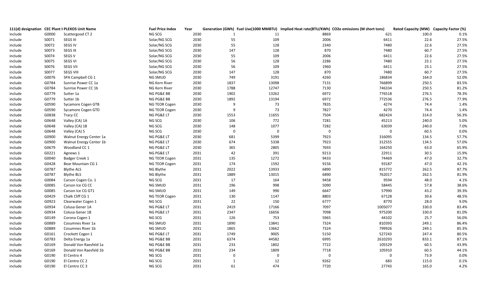|         |       | 111(d) designation CEC Plant II PLEXOS Unit Name | <b>Fuel Price Index</b> | Year |              |             |                  | Generation (GWh) Fuel Use(1000 MMBTU) Implied Heat rate(BTU/KWh) CO2e emissions (M short tons) | Rated Capacity (MW) Capacity Factor (%) |       |
|---------|-------|--------------------------------------------------|-------------------------|------|--------------|-------------|------------------|------------------------------------------------------------------------------------------------|-----------------------------------------|-------|
| include | G0000 | Scattergood CT 2                                 | NG SCG                  | 2030 | $\mathbf{1}$ | 11          | 8869             | 621                                                                                            | 100.0                                   | 0.1%  |
| include | S0071 | <b>SEGS III</b>                                  | Solar/NG SCG            | 2030 | 55           | 109         | 2006             | 6411                                                                                           | 22.6                                    | 27.5% |
| include | S0072 | SEGS IV                                          | Solar/NG SCG            | 2030 | 55           | 128         | 2340             | 7480                                                                                           | 22.6                                    | 27.5% |
| include | S0073 | <b>SEGS IX</b>                                   | Solar/NG SCG            | 2030 | 147          | 128         | 870              | 7480                                                                                           | 60.7                                    | 27.5% |
| include | S0074 | SEGS V                                           | Solar/NG SCG            | 2030 | 55           | 109         | 2006             | 6411                                                                                           | 22.6                                    | 27.5% |
| include | S0075 | <b>SEGS VI</b>                                   | Solar/NG SCG            | 2030 | 56           | 128         | 2286             | 7480                                                                                           | 23.1                                    | 27.5% |
| include | S0076 | <b>SEGS VII</b>                                  | Solar/NG SCG            | 2030 | 56           | 109         | 1960             | 6411                                                                                           | 23.1                                    | 27.5% |
| include | S0077 | <b>SEGS VIII</b>                                 | Solar/NG SCG            | 2030 | 147          | 128         | 870              | 7480                                                                                           | 60.7                                    | 27.5% |
| include | G0076 | SPA Campbell CG 1                                | NG SMUD                 | 2030 | 749          | 3191        | 4260             | 186834                                                                                         | 164.0                                   | 52.0% |
| include | G0784 | Sunrise Power CC 1a                              | NG Kern River           | 2030 | 1837         | 13098       | 7131             | 766899                                                                                         | 250.5                                   | 83.5% |
| include | G0784 | Sunrise Power CC 1b                              | NG Kern River           | 2030 | 1788         | 12747       | 7130             | 746334                                                                                         | 250.5                                   | 81.2% |
| include | G0779 | Sutter 1a                                        | NG PG&E BB              | 2030 | 1902         | 13262       | 6972             | 776518                                                                                         | 276.5                                   | 78.3% |
| include | G0779 | Sutter 1b                                        | NG PG&E BB              | 2030 | 1892         | 13194       | 6972             | 772536                                                                                         | 276.5                                   | 77.9% |
| include | G0590 | Sycamore Cogen GTB                               | NG TEOR Cogen           | 2030 | -9           | 73          | 7835             | 4274                                                                                           | 74.4                                    | 1.4%  |
| include | G0590 | Sycamore Cogen GTD                               | NG TEOR Cogen           | 2030 | 9            | 73          | 7827             | 4270                                                                                           | 74.4                                    | 1.4%  |
| include | G0838 | Tracy CC                                         | NG PG&E LT              | 2030 | 1553         | 11655       | 7504             | 682424                                                                                         | 314.0                                   | 56.3% |
| include | G0648 | Valley (CA) 1A                                   | NG SCG                  | 2030 | 106          | 772         | 7281             | 45213                                                                                          | 240.0                                   | 5.0%  |
| include | G0648 | Valley (CA) 1B                                   | NG SCG                  | 2030 | 148          | 1077        | 7282             | 63039                                                                                          | 240.0                                   | 7.0%  |
| include | G0648 | Valley (CA) 5                                    | NG SCG                  | 2030 | $\mathbf 0$  | $\mathbf 0$ | $\boldsymbol{0}$ | $\mathbf 0$                                                                                    | 60.5                                    | 0.0%  |
| include | G0900 | Walnut Energy Center 1a                          | NG PG&E LT              | 2030 | 681          | 5399        | 7923             | 316095                                                                                         | 134.5                                   | 57.7% |
| include | G0900 | Walnut Energy Center 1b                          | NG PG&E LT              | 2030 | 674          | 5338        | 7923             | 312555                                                                                         | 134.5                                   | 57.0% |
| include | G0679 | Woodland CC 1                                    | NG PG&E LT              | 2030 | 365          | 2805        | 7693             | 164250                                                                                         | 63.0                                    | 65.9% |
| include | G0221 | Agnews 1                                         | NG PG&E LT              | 2031 | 42           | 391         | 9213             | 22911                                                                                          | 30.5                                    | 15.9% |
| include | G0040 | Badger Creek 1                                   | NG TEOR Cogen           | 2031 | 135          | 1272        | 9433             | 74469                                                                                          | 47.0                                    | 32.7% |
| include | G0428 | Bear Mountain CG 1                               | NG TEOR Cogen           | 2031 | 174          | 1592        | 9156             | 93187                                                                                          | 47.0                                    | 42.1% |
| include | G0787 | <b>Blythe ALS</b>                                | NG Blythe               | 2031 | 2022         | 13933       | 6890             | 815772                                                                                         | 262.5                                   | 87.7% |
| include | G0787 | <b>Blythe BLS</b>                                | NG Blythe               | 2031 | 1889         | 13015       | 6890             | 762017                                                                                         | 262.5                                   | 81.9% |
| include | G0084 | Carson Cogen Co. 1                               | NG SCG                  | 2031 | 17           | 164         | 9458             | 9594                                                                                           | 48.0                                    | 4.1%  |
| include | G0085 | Carson Ice CG CC                                 | NG SMUD                 | 2031 | 196          | 998         | 5090             | 58445                                                                                          | 57.8                                    | 38.6% |
| include | G0085 | Carson Ice CG GT1                                | NG SMUD                 | 2031 | 149          | 990         | 6647             | 57990                                                                                          | 43.2                                    | 39.3% |
| include | G0429 | Chalk Cliff CG 1                                 | NG TEOR Cogen           | 2031 | 130          | 1147        | 8803             | 67128                                                                                          | 30.6                                    | 48.5% |
| include | G0923 | Clearwater Cogen 1                               | NG SCG                  | 2031 | 22           | 150         | 6777             | 8770                                                                                           | 28.0                                    | 9.0%  |
| include | G0934 | Colusa Gener 1A                                  | NG PG&E LT              | 2031 | 2419         | 17166       | 7097             | 1005077                                                                                        | 330.0                                   | 83.4% |
| include | G0934 | Colusa Gener 1B                                  | NG PG&E LT              | 2031 | 2347         | 16656       | 7098             | 975200                                                                                         | 330.0                                   | 81.0% |
| Include | G0149 | Corona Cogen 1                                   | NG SCG                  | 2031 | 126          | 753         | 5965             | 44102                                                                                          | 25.7                                    | 56.0% |
| include | G0889 | Cosumnes River 1a                                | NG SMUD                 | 2031 | 1890         | 13841       | 7324             | 810393                                                                                         | 249.1                                   | 86.4% |
| include | G0889 | Cosumnes River 1b                                | NG SMUD                 | 2031 | 1865         | 13662       | 7324             | 799926                                                                                         | 249.1                                   | 85.3% |
| include | G0161 | Crockett Cogen 1                                 | NG PG&E LT              | 2031 | 1749         | 9005        | 5150             | 527243                                                                                         | 247.4                                   | 80.5% |
| include | G0783 | Delta Energy 1a                                  | NG PG&E BB              | 2031 | 6374         | 44582       | 6995             | 2610293                                                                                        | 833.1                                   | 87.1% |
| include | G0169 | Donald Von Raesfeld 1a                           | NG PG&E BB              | 2031 | 233          | 1802        | 7722             | 105529                                                                                         | 60.5                                    | 43.9% |
| include | G0169 | Donald Von Raesfeld 1b                           | NG PG&E BB              | 2031 | 234          | 1809        | 7718             | 105910                                                                                         | 60.5                                    | 44.1% |
| include | G0190 | El Centro 4                                      | NG SCG                  | 2031 | $\Omega$     | $\mathbf 0$ | $\mathbf 0$      | $\mathbf 0$                                                                                    | 73.9                                    | 0.0%  |
| include | G0190 | El Centro CC 2                                   | NG SCG                  | 2031 | 1            | 12          | 9262             | 683                                                                                            | 115.0                                   | 0.1%  |
| include | G0190 | El Centro CC 3                                   | NG SCG                  | 2031 | 61           | 474         | 7720             | 27743                                                                                          | 165.0                                   | 4.2%  |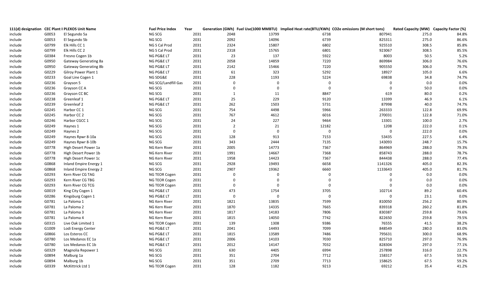|         |       | 111(d) designation CEC Plant II PLEXOS Unit Name | <b>Fuel Price Index</b> | Year |                |             |                | Generation (GWh) Fuel Use(1000 MMBTU) Implied Heat rate(BTU/KWh) CO2e emissions (M short tons) | Rated Capacity (MW) Capacity Factor (%) |       |
|---------|-------|--------------------------------------------------|-------------------------|------|----------------|-------------|----------------|------------------------------------------------------------------------------------------------|-----------------------------------------|-------|
| include | G0053 | El Segundo 5a                                    | NG SCG                  | 2031 | 2048           | 13799       | 6738           | 807941                                                                                         | 275.0                                   | 84.8% |
| include | G0053 | El Segundo 5b                                    | NG SCG                  | 2031 | 2092           | 14096       | 6739           | 825311                                                                                         | 275.0                                   | 86.6% |
| include | G0799 | Elk Hills CC 1                                   | NG S Cal Prod           | 2031 | 2324           | 15807       | 6802           | 925510                                                                                         | 308.5                                   | 85.8% |
| include | G0799 | Elk Hills CC 2                                   | NG S Cal Prod           | 2031 | 2318           | 15765       | 6801           | 923067                                                                                         | 308.5                                   | 85.5% |
| include | G0384 | Fresno Cogen 1b                                  | NG PG&E LT              | 2031 | 23             | 137         | 5922           | 8003                                                                                           | 50.5                                    | 5.2%  |
| include | G0950 | <b>Gateway Generating 8a</b>                     | NG PG&E LT              | 2031 | 2058           | 14859       | 7220           | 869984                                                                                         | 306.0                                   | 76.6% |
| include | G0950 | Gateway Generating 8b                            | NG PG&E LT              | 2031 | 2142           | 15466       | 7220           | 905550                                                                                         | 306.0                                   | 79.7% |
| include | G0229 | Gilroy Power Plant 1                             | NG PG&E LT              | 2031 | 61             | 323         | 5292           | 18927                                                                                          | 105.0                                   | 6.6%  |
| include | G0233 | Goal Line Cogen 1                                | NG SDG&E                | 2031 | 228            | 1193        | 5224           | 69838                                                                                          | 34.8                                    | 74.7% |
| include | G0236 | Grayson 5                                        | NG SCG/Landfill Gas     | 2031 | $\mathbf{0}$   | $\Omega$    | $\overline{0}$ | $\mathbf 0$                                                                                    | 0.0                                     | 0.0%  |
| include | G0236 | Grayson CC A                                     | NG SCG                  | 2031 | $\mathbf 0$    | $\mathbf 0$ | $\mathbf 0$    | $\mathbf 0$                                                                                    | 50.0                                    | 0.0%  |
| include | G0236 | Grayson CC BC                                    | NG SCG                  | 2031 | $\mathbf{1}$   | 11          | 8847           | 619                                                                                            | 80.0                                    | 0.2%  |
| include | G0238 | Greenleaf 1                                      | NG PG&E LT              | 2031 | 25             | 229         | 9120           | 13399                                                                                          | 46.9                                    | 6.1%  |
| include | G0239 | Greenleaf 2                                      | NG PG&E LT              | 2031 | 262            | 1503        | 5731           | 87998                                                                                          | 40.0                                    | 74.7% |
| include | G0245 | Harbor CC 1                                      | NG SCG                  | 2031 | 754            | 4498        | 5966           | 263333                                                                                         | 122.8                                   | 69.9% |
| include | G0245 | Harbor CC 2                                      | NG SCG                  | 2031 | 767            | 4612        | 6016           | 270031                                                                                         | 122.8                                   | 71.0% |
| include | G0246 | Harbor CGCC 1                                    | NG SCG                  | 2031 | 24             | 227         | 9464           | 13301                                                                                          | 100.0                                   | 2.7%  |
| include | G0249 | Haynes 1                                         | NG SCG                  | 2031 | $\overline{2}$ | 21          | 12182          | 1208                                                                                           | 222.0                                   | 0.1%  |
| include | G0249 | Haynes 2                                         | NG SCG                  | 2031 | 0              | $\Omega$    | $\mathbf 0$    | $\Omega$                                                                                       | 222.0                                   | 0.0%  |
| include | G0249 | Haynes Rpwr 8-10a                                | NG SCG                  | 2031 | 128            | 913         | 7153           | 53435                                                                                          | 227.5                                   | 6.4%  |
| include | G0249 | Haynes Rpwr 8-10b                                | NG SCG                  | 2031 | 343            | 2444        | 7135           | 143093                                                                                         | 248.7                                   | 15.7% |
| include | G0778 | High Desert Power 1a                             | NG Kern River           | 2031 | 2005           | 14773       | 7367           | 864969                                                                                         | 288.0                                   | 79.3% |
| include | G0778 | High Desert Power 1b                             | NG Kern River           | 2031 | 1991           | 14667       | 7368           | 858743                                                                                         | 288.0                                   | 78.7% |
| include | G0778 | High Desert Power 1c                             | NG Kern River           | 2031 | 1958           | 14423       | 7367           | 844438                                                                                         | 288.0                                   | 77.4% |
| include | G0868 | Inland Empire Energy 1                           | NG SCG                  | 2031 | 2928           | 19493       | 6658           | 1141326                                                                                        | 405.0                                   | 82.3% |
| include | G0868 | Inland Empire Energy 2                           | NG SCG                  | 2031 | 2907           | 19362       | 6660           | 1133643                                                                                        | 405.0                                   | 81.7% |
| include | G0293 | Kern River CG TAG                                | NG TEOR Cogen           | 2031 | $\mathbf 0$    | $\Omega$    | $\Omega$       | $\mathbf 0$                                                                                    | 0.0                                     | 0.0%  |
| include | G0293 | Kern River CG TBG                                | NG TEOR Cogen           | 2031 | $\mathbf 0$    | $\Omega$    | $\Omega$       | $\mathbf 0$                                                                                    | 0.0                                     | 0.0%  |
| include | G0293 | Kern River CG TCG                                | NG TEOR Cogen           | 2031 | $\Omega$       | $\Omega$    | $\overline{0}$ | $\mathbf 0$                                                                                    | 0.0                                     | 0.0%  |
| include | G0019 | King City Cogen 1                                | NG PG&E LT              | 2031 | 473            | 1754        | 3705           | 102714                                                                                         | 89.2                                    | 60.4% |
| include | G0286 | Kingsburg Cogen 1                                | NG PG&E LT              | 2031 | $\overline{0}$ | $\mathbf 0$ | $\mathbf 0$    | $\mathbf 0$                                                                                    | 23.1                                    | 0.0%  |
| include | G0781 | La Paloma 1                                      | NG Kern River           | 2031 | 1821           | 13835       | 7599           | 810050                                                                                         | 256.2                                   | 80.9% |
| include | G0781 | La Paloma 2                                      | NG Kern River           | 2031 | 1870           | 14335       | 7665           | 839318                                                                                         | 260.2                                   | 81.8% |
| include | G0781 | La Paloma 3                                      | NG Kern River           | 2031 | 1817           | 14183       | 7806           | 830387                                                                                         | 259.8                                   | 79.6% |
| include | G0781 | La Paloma 4                                      | NG Kern River           | 2031 | 1815           | 14050       | 7742           | 822650                                                                                         | 259.8                                   | 79.5% |
| include | G0315 | Live Oak Limited 1                               | NG TEOR Cogen           | 2031 | 139            | 1308        | 9386           | 76555                                                                                          | 41.5                                    | 38.2% |
| include | G1009 | Lodi Energy Center                               | NG PG&E LT              | 2031 | 2041           | 14493       | 7099           | 848549                                                                                         | 280.0                                   | 83.0% |
| include | G0866 | Los Esteros CC                                   | NG PG&E LT              | 2031 | 1815           | 13589       | 7486           | 795631                                                                                         | 300.0                                   | 68.9% |
| include | G0780 | Los Medanos EC 1a                                | NG PG&E LT              | 2031 | 2006           | 14103       | 7030           | 825710                                                                                         | 297.0                                   | 76.9% |
| include | G0780 | Los Medanos EC 1b                                | NG PG&E LT              | 2031 | 2012           | 14147       | 7032           | 828304                                                                                         | 297.0                                   | 77.1% |
| include | G0329 | Magnolia Repower 1                               | NG SCG                  | 2031 | 630            | 4405        | 6994           | 257898                                                                                         | 316.0                                   | 22.7% |
| include | G0894 | Malburg 1a                                       | NG SCG                  | 2031 | 351            | 2704        | 7712           | 158317                                                                                         | 67.5                                    | 59.1% |
| include | G0894 | Malburg 1b                                       | NG SCG                  | 2031 | 351            | 2709        | 7713           | 158625                                                                                         | 67.5                                    | 59.2% |
| include | G0339 | McKittrick Ltd 1                                 | NG TEOR Cogen           | 2031 | 128            | 1182        | 9213           | 69212                                                                                          | 35.4                                    | 41.2% |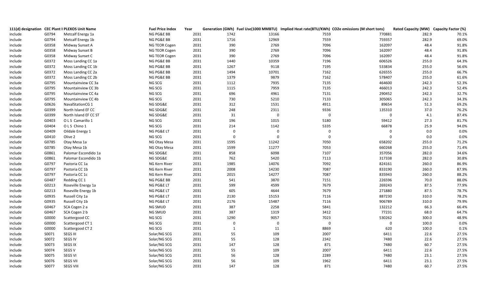|         |       | 111(d) designation CEC Plant II PLEXOS Unit Name | <b>Fuel Price Index</b> | Year |                |             | Generation (GWh) Fuel Use(1000 MMBTU) Implied Heat rate(BTU/KWh) CO2e emissions (M short tons) |                  | Rated Capacity (MW) Capacity Factor (%) |       |
|---------|-------|--------------------------------------------------|-------------------------|------|----------------|-------------|------------------------------------------------------------------------------------------------|------------------|-----------------------------------------|-------|
| include | G0794 | Metcalf Energy 1a                                | NG PG&E BB              | 2031 | 1742           | 13166       | 7559                                                                                           | 770881           | 282.9                                   | 70.1% |
| include | G0794 | Metcalf Energy 1b                                | NG PG&E BB              | 2031 | 1716           | 12969       | 7559                                                                                           | 759357           | 282.9                                   | 69.0% |
| include | G0358 | Midway Sunset A                                  | NG TEOR Cogen           | 2031 | 390            | 2769        | 7096                                                                                           | 162097           | 48.4                                    | 91.8% |
| include | G0358 | Midway Sunset B                                  | NG TEOR Cogen           | 2031 | 390            | 2769        | 7096                                                                                           | 162097           | 48.4                                    | 91.8% |
| include | G0358 | Midway Sunset C                                  | NG TEOR Cogen           | 2031 | 390            | 2769        | 7096                                                                                           | 162097           | 48.4                                    | 91.8% |
| include | G0372 | Moss Landing CC 1a                               | NG PG&E BB              | 2031 | 1440           | 10359       | 7196                                                                                           | 606526           | 255.0                                   | 64.3% |
| include | G0372 | Moss Landing CC 1b                               | NG PG&E BB              | 2031 | 1267           | 9118        | 7195                                                                                           | 533834           | 255.0                                   | 56.6% |
| include | G0372 | Moss Landing CC 2a                               | NG PG&E BB              | 2031 | 1494           | 10701       | 7162                                                                                           | 626555           | 255.0                                   | 66.7% |
| include | G0372 | Moss Landing CC 2b                               | NG PG&E BB              | 2031 | 1379           | 9879        | 7162                                                                                           | 578407           | 255.0                                   | 61.6% |
| include | G0795 | Mountainview CC 3a                               | NG SCG                  | 2031 | 1112           | 7935        | 7135                                                                                           | 464600           | 242.3                                   | 52.3% |
| include | G0795 | Mountainview CC 3b                               | NG SCG                  | 2031 | 1115           | 7959        | 7135                                                                                           | 466013           | 242.3                                   | 52.4% |
| include | G0795 | Mountainview CC 4a                               | NG SCG                  | 2031 | 696            | 4961        | 7131                                                                                           | 290452           | 242.3                                   | 32.7% |
| include | G0795 | Mountainview CC 4b                               | NG SCG                  | 2031 | 730            | 5210        | 7133                                                                                           | 305065           | 242.3                                   | 34.3% |
| include | G0626 | NavalStationCG 1                                 | NG SDG&E                | 2031 | 312            | 1531        | 4911                                                                                           | 89654            | 51.3                                    | 69.2% |
| include | G0399 | North Island EF CC                               | NG SDG&E                | 2031 | 248            | 2311        | 9336                                                                                           | 135310           | 37.0                                    | 76.2% |
| include | G0399 | North Island EF CC ST                            | NG SDG&E                | 2031 | 31             | $\mathbf 0$ | $\mathbf 0$                                                                                    | $\mathbf 0$      | 4.1                                     | 87.4% |
| include | G0403 | O L S Camarillo 1                                | NG SCG                  | 2031 | 196            | 1015        | 5180                                                                                           | 59412            | 27.3                                    | 81.7% |
| include | G0404 | OLS Chino 1                                      | NG SCG                  | 2031 | 214            | 1142        | 5335                                                                                           | 66878            | 25.9                                    | 94.0% |
| include | G0409 | Oildale Energy 1                                 | NG PG&E LT              | 2031 | $\overline{0}$ | $\mathbf 0$ | $\mathbf 0$                                                                                    | $\mathbf 0$      | $0.0\,$                                 | 0.0%  |
| include | G0410 | Olive 2                                          | NG SCG                  | 2031 | $\mathbf 0$    | $\mathbf 0$ | $\mathbf 0$                                                                                    | $\mathbf 0$      | $0.0\,$                                 | 0.0%  |
| include | G0785 | Otay Mesa 1a                                     | NG Otay Mesa            | 2031 | 1595           | 11242       | 7050                                                                                           | 658202           | 255.0                                   | 71.2% |
| include | G0785 | Otay Mesa 1b                                     | NG Otay Mesa            | 2031 | 1599           | 11277       | 7053                                                                                           | 660268           | 255.0                                   | 71.4% |
| include | G0861 | Palomar Escondido 1a                             | NG SDG&E                | 2031 | 858            | 6098        | 7107                                                                                           | 357056           | 282.0                                   | 34.6% |
| include | G0861 | Palomar Escondido 1b                             | NG SDG&E                | 2031 | 762            | 5420        | 7113                                                                                           | 317338           | 282.0                                   | 30.8% |
| include | G0797 | Pastoria CC 1a                                   | NG Kern River           | 2031 | 1985           | 14076       | 7092                                                                                           | 824161           | 260.0                                   | 86.9% |
| include | G0797 | Pastoria CC 1b                                   | NG Kern River           | 2031 | 2008           | 14230       | 7087                                                                                           | 833190           | 260.0                                   | 87.9% |
| include | G0797 | Pastoria CC 1c                                   | NG Kern River           | 2031 | 2015           | 14277       | 7087                                                                                           | 835943           | 260.0                                   | 88.2% |
| include | G0487 | Redding CC 1                                     | NG PG&E BB              | 2031 | 541            | 3870        | 7151                                                                                           | 226596           | 70.0                                    | 88.0% |
| include | G0213 | Roseville Energy 1a                              | NG PG&E LT              | 2031 | 599            | 4599        | 7679                                                                                           | 269243           | 87.5                                    | 77.9% |
| include | G0213 | Roseville Energy 1b                              | NG PG&E LT              | 2031 | 605            | 4644        | 7679                                                                                           | 271880           | 87.5                                    | 78.7% |
| include | G0935 | Russell City 1a                                  | NG PG&E LT              | 2031 | 2130           | 15153       | 7116                                                                                           | 887230           | 310.0                                   | 78.2% |
| include | G0935 | Russell City 1b                                  | NG PG&E LT              | 2031 | 2176           | 15487       | 7116                                                                                           | 906789           | 310.0                                   | 79.9% |
| include | G0467 | SCA Cogen 2 a                                    | NG SMUD                 | 2031 | 387            | 2258        | 5841                                                                                           | 132212           | 66.3                                    | 66.4% |
| include | G0467 | SCA Cogen 2 b                                    | NG SMUD                 | 2031 | 387            | 1319        | 3412                                                                                           | 77231            | 68.0                                    | 64.7% |
| include | G0000 | Scattergood CC                                   | NG SCG                  | 2031 | 1290           | 9057        | 7023                                                                                           | 530262           | 300.0                                   | 48.9% |
| include | G0000 | Scattergood CT 1                                 | NG SCG                  | 2031 | $\mathbf 0$    | $\mathbf 0$ | $\mathbf 0$                                                                                    | $\boldsymbol{0}$ | 100.0                                   | 0.0%  |
| include | G0000 | Scattergood CT 2                                 | NG SCG                  | 2031 | $\mathbf{1}$   | 11          | 8869                                                                                           | 620              | 100.0                                   | 0.1%  |
| include | S0071 | SEGS III                                         | Solar/NG SCG            | 2031 | 55             | 109         | 2007                                                                                           | 6411             | 22.6                                    | 27.5% |
| include | S0072 | SEGS IV                                          | Solar/NG SCG            | 2031 | 55             | 128         | 2342                                                                                           | 7480             | 22.6                                    | 27.5% |
| include | S0073 | SEGS IX                                          | Solar/NG SCG            | 2031 | 147            | 128         | 871                                                                                            | 7480             | 60.7                                    | 27.5% |
| include | S0074 | SEGS V                                           | Solar/NG SCG            | 2031 | 55             | 109         | 2007                                                                                           | 6411             | 22.6                                    | 27.5% |
| include | S0075 | <b>SEGS VI</b>                                   | Solar/NG SCG            | 2031 | 56             | 128         | 2289                                                                                           | 7480             | 23.1                                    | 27.5% |
| include | S0076 | <b>SEGS VII</b>                                  | Solar/NG SCG            | 2031 | 56             | 109         | 1962                                                                                           | 6411             | 23.1                                    | 27.5% |
| include | S0077 | <b>SEGS VIII</b>                                 | Solar/NG SCG            | 2031 | 147            | 128         | 871                                                                                            | 7480             | 60.7                                    | 27.5% |